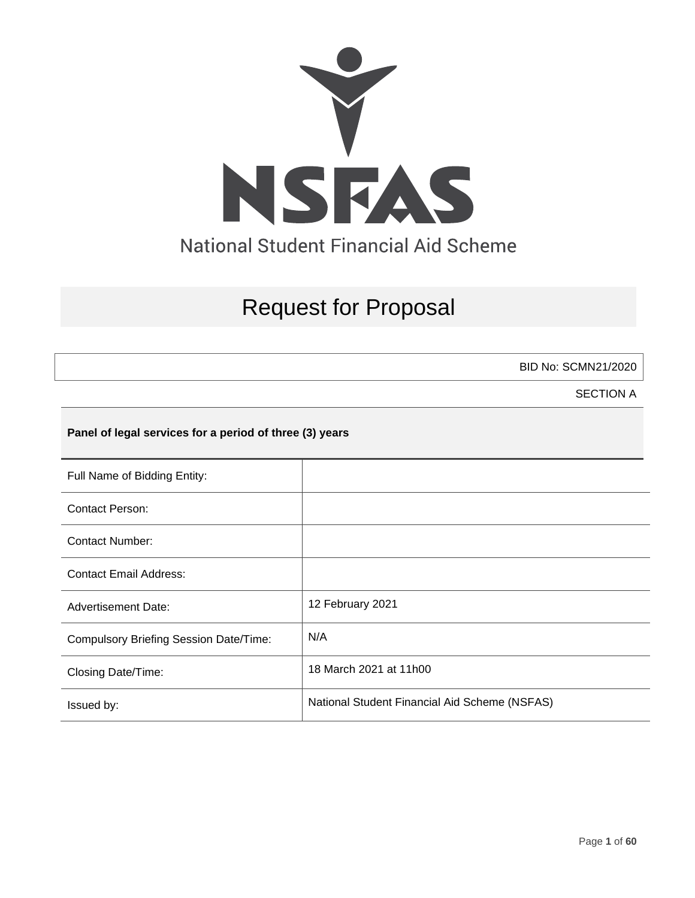

# Request for Proposal

BID No: SCMN21/2020

SECTION A

## **Panel of legal services for a period of three (3) years**

| Full Name of Bidding Entity:                  |                                               |
|-----------------------------------------------|-----------------------------------------------|
| <b>Contact Person:</b>                        |                                               |
| <b>Contact Number:</b>                        |                                               |
| <b>Contact Email Address:</b>                 |                                               |
| <b>Advertisement Date:</b>                    | 12 February 2021                              |
| <b>Compulsory Briefing Session Date/Time:</b> | N/A                                           |
| <b>Closing Date/Time:</b>                     | 18 March 2021 at 11h00                        |
| Issued by:                                    | National Student Financial Aid Scheme (NSFAS) |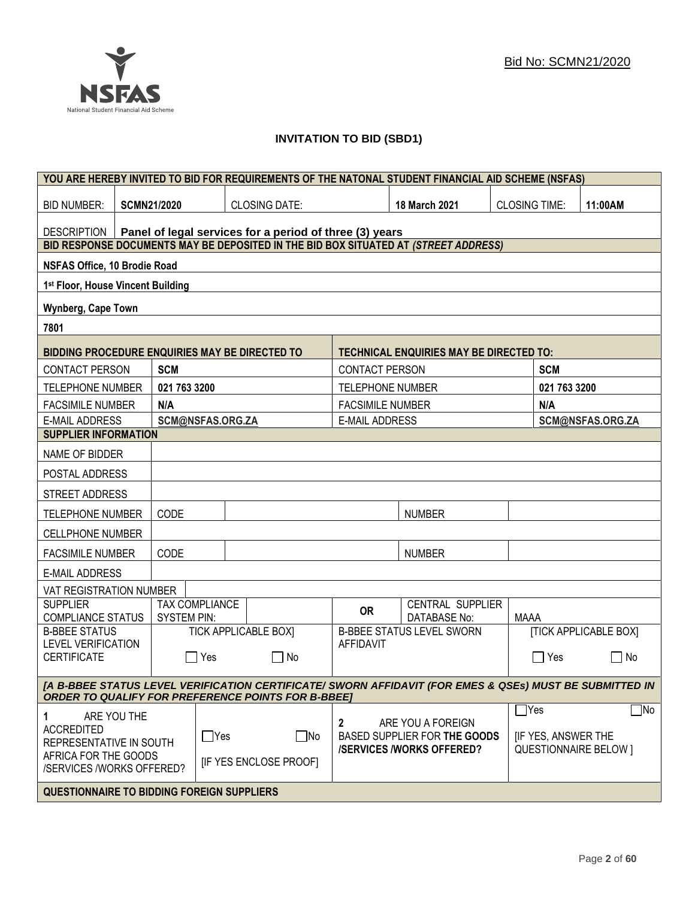## **INVITATION TO BID (SBD1)**

| YOU ARE HEREBY INVITED TO BID FOR REQUIREMENTS OF THE NATONAL STUDENT FINANCIAL AID SCHEME (NSFAS)                                                                   |                    |                       |                                                         |                                                                 |                                                   |                      |                           |                              |
|----------------------------------------------------------------------------------------------------------------------------------------------------------------------|--------------------|-----------------------|---------------------------------------------------------|-----------------------------------------------------------------|---------------------------------------------------|----------------------|---------------------------|------------------------------|
| <b>BID NUMBER:</b>                                                                                                                                                   | <b>SCMN21/2020</b> |                       | <b>CLOSING DATE:</b>                                    |                                                                 | 18 March 2021                                     | <b>CLOSING TIME:</b> |                           | 11:00AM                      |
| <b>DESCRIPTION</b>                                                                                                                                                   |                    |                       | Panel of legal services for a period of three (3) years |                                                                 |                                                   |                      |                           |                              |
| BID RESPONSE DOCUMENTS MAY BE DEPOSITED IN THE BID BOX SITUATED AT (STREET ADDRESS)                                                                                  |                    |                       |                                                         |                                                                 |                                                   |                      |                           |                              |
| NSFAS Office, 10 Brodie Road                                                                                                                                         |                    |                       |                                                         |                                                                 |                                                   |                      |                           |                              |
| 1st Floor, House Vincent Building                                                                                                                                    |                    |                       |                                                         |                                                                 |                                                   |                      |                           |                              |
| Wynberg, Cape Town                                                                                                                                                   |                    |                       |                                                         |                                                                 |                                                   |                      |                           |                              |
| 7801                                                                                                                                                                 |                    |                       |                                                         |                                                                 |                                                   |                      |                           |                              |
| BIDDING PROCEDURE ENQUIRIES MAY BE DIRECTED TO                                                                                                                       |                    |                       |                                                         |                                                                 | <b>TECHNICAL ENQUIRIES MAY BE DIRECTED TO:</b>    |                      |                           |                              |
| <b>CONTACT PERSON</b>                                                                                                                                                | <b>SCM</b>         |                       |                                                         | <b>CONTACT PERSON</b>                                           |                                                   |                      | <b>SCM</b>                |                              |
| <b>TELEPHONE NUMBER</b>                                                                                                                                              | 021 763 3200       |                       |                                                         | <b>TELEPHONE NUMBER</b>                                         |                                                   |                      | 021 763 3200              |                              |
| <b>FACSIMILE NUMBER</b>                                                                                                                                              | N/A                |                       |                                                         | <b>FACSIMILE NUMBER</b>                                         |                                                   |                      | N/A                       |                              |
| <b>E-MAIL ADDRESS</b>                                                                                                                                                |                    | SCM@NSFAS.ORG.ZA      |                                                         | <b>E-MAIL ADDRESS</b>                                           |                                                   |                      |                           | SCM@NSFAS.ORG.ZA             |
| <b>SUPPLIER INFORMATION</b>                                                                                                                                          |                    |                       |                                                         |                                                                 |                                                   |                      |                           |                              |
| NAME OF BIDDER                                                                                                                                                       |                    |                       |                                                         |                                                                 |                                                   |                      |                           |                              |
| POSTAL ADDRESS                                                                                                                                                       |                    |                       |                                                         |                                                                 |                                                   |                      |                           |                              |
| STREET ADDRESS                                                                                                                                                       |                    |                       |                                                         |                                                                 |                                                   |                      |                           |                              |
| <b>TELEPHONE NUMBER</b>                                                                                                                                              | CODE               |                       |                                                         |                                                                 | <b>NUMBER</b>                                     |                      |                           |                              |
| <b>CELLPHONE NUMBER</b>                                                                                                                                              |                    |                       |                                                         |                                                                 |                                                   |                      |                           |                              |
| <b>FACSIMILE NUMBER</b>                                                                                                                                              | CODE               |                       |                                                         |                                                                 | <b>NUMBER</b>                                     |                      |                           |                              |
| <b>E-MAIL ADDRESS</b>                                                                                                                                                |                    |                       |                                                         |                                                                 |                                                   |                      |                           |                              |
| VAT REGISTRATION NUMBER                                                                                                                                              |                    |                       |                                                         |                                                                 |                                                   |                      |                           |                              |
| <b>SUPPLIER</b><br><b>COMPLIANCE STATUS</b>                                                                                                                          | <b>SYSTEM PIN:</b> | <b>TAX COMPLIANCE</b> |                                                         | <b>OR</b>                                                       | CENTRAL SUPPLIER<br>DATABASE No:                  | <b>MAAA</b>          |                           |                              |
| <b>B-BBEE STATUS</b>                                                                                                                                                 |                    |                       | <b>TICK APPLICABLE BOXI</b>                             |                                                                 | <b>B-BBEE STATUS LEVEL SWORN</b>                  |                      |                           | <b>[TICK APPLICABLE BOX]</b> |
| <b>LEVEL VERIFICATION</b><br><b>CERTIFICATE</b>                                                                                                                      | $\mathbf{I}$       | Yes                   | l INo                                                   | <b>AFFIDAVIT</b>                                                |                                                   |                      | ∏ Yes                     | $\mathsf{L}$<br>No           |
| [A B-BBEE STATUS LEVEL VERIFICATION CERTIFICATE/ SWORN AFFIDAVIT (FOR EMES & QSEs) MUST BE SUBMITTED IN<br><b>ORDER TO QUALIFY FOR PREFERENCE POINTS FOR B-BBEE]</b> |                    |                       |                                                         |                                                                 |                                                   |                      |                           |                              |
| ARE YOU THE<br>1.                                                                                                                                                    |                    |                       |                                                         |                                                                 |                                                   |                      | $\Box$ Yes                | $\Box$ No                    |
| <b>ACCREDITED</b><br>REPRESENTATIVE IN SOUTH                                                                                                                         |                    | $\Box$ Yes            | $\square$ No                                            | 2                                                               | ARE YOU A FOREIGN<br>BASED SUPPLIER FOR THE GOODS |                      | <b>IF YES, ANSWER THE</b> |                              |
| AFRICA FOR THE GOODS<br>/SERVICES /WORKS OFFERED?                                                                                                                    |                    |                       | <b>IF YES ENCLOSE PROOFI</b>                            | <b>/SERVICES/WORKS OFFERED?</b><br><b>QUESTIONNAIRE BELOW 1</b> |                                                   |                      |                           |                              |
| <b>QUESTIONNAIRE TO BIDDING FOREIGN SUPPLIERS</b>                                                                                                                    |                    |                       |                                                         |                                                                 |                                                   |                      |                           |                              |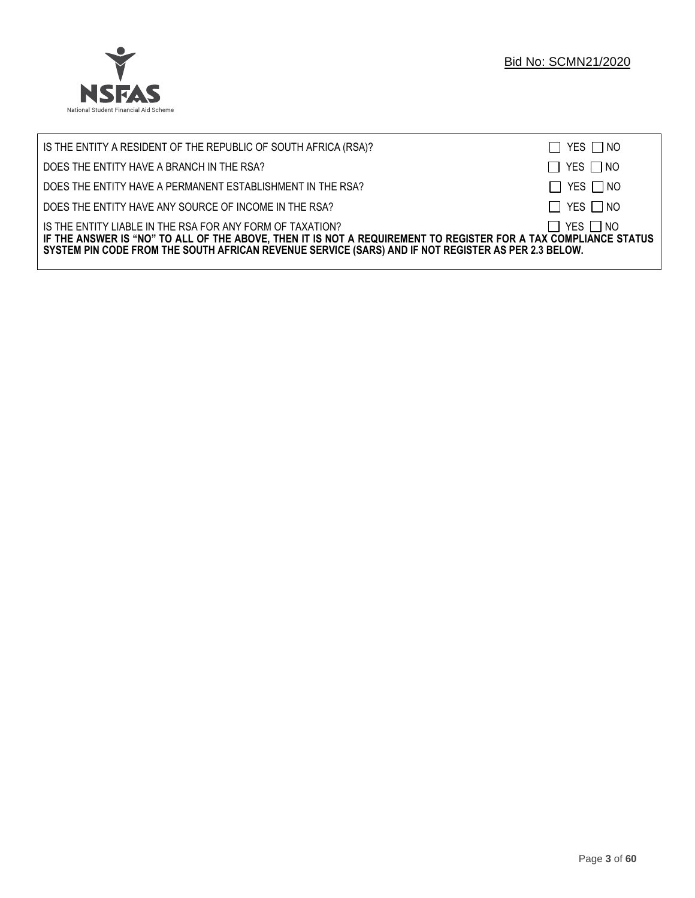

| IS THE ENTITY A RESIDENT OF THE REPUBLIC OF SOUTH AFRICA (RSA)?                                                                                                                                                                                                                     | $\Box$ YES $\Box$ NO |
|-------------------------------------------------------------------------------------------------------------------------------------------------------------------------------------------------------------------------------------------------------------------------------------|----------------------|
| DOES THE ENTITY HAVE A BRANCH IN THE RSA?                                                                                                                                                                                                                                           | $\Box$ YES $\Box$ NO |
| DOES THE ENTITY HAVE A PERMANENT ESTABLISHMENT IN THE RSA?                                                                                                                                                                                                                          | $\Box$ YES $\Box$ NO |
| DOES THE ENTITY HAVE ANY SOURCE OF INCOME IN THE RSA?                                                                                                                                                                                                                               | $\Box$ YES $\Box$ NO |
| IS THE ENTITY LIABLE IN THE RSA FOR ANY FORM OF TAXATION?<br>IF THE ANSWER IS "NO" TO ALL OF THE ABOVE, THEN IT IS NOT A REQUIREMENT TO REGISTER FOR A TAX COMPLIANCE STATUS<br>SYSTEM PIN CODE FROM THE SOUTH AFRICAN REVENUE SERVICE (SARS) AND IF NOT REGISTER AS PER 2.3 BELOW. | $\Box$ YES $\Box$ NO |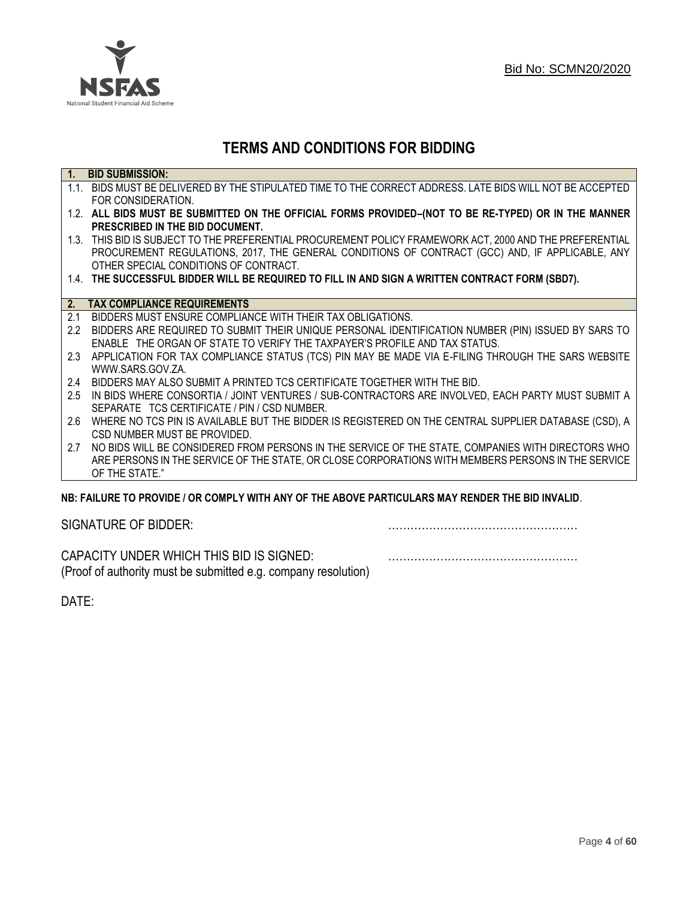

## **TERMS AND CONDITIONS FOR BIDDING**

| $\overline{1}$ . | <b>BID SUBMISSION:</b>                                                                                    |
|------------------|-----------------------------------------------------------------------------------------------------------|
|                  | 1.1. BIDS MUST BE DELIVERED BY THE STIPULATED TIME TO THE CORRECT ADDRESS. LATE BIDS WILL NOT BE ACCEPTED |
|                  | FOR CONSIDERATION.                                                                                        |
|                  | 1.2. ALL BIDS MUST BE SUBMITTED ON THE OFFICIAL FORMS PROVIDED-(NOT TO BE RE-TYPED) OR IN THE MANNER      |
|                  | PRESCRIBED IN THE BID DOCUMENT.                                                                           |
|                  | 1.3. THIS BID IS SUBJECT TO THE PREFERENTIAL PROCUREMENT POLICY FRAMEWORK ACT, 2000 AND THE PREFERENTIAL  |
|                  | PROCUREMENT REGULATIONS, 2017, THE GENERAL CONDITIONS OF CONTRACT (GCC) AND, IF APPLICABLE, ANY           |
|                  | OTHER SPECIAL CONDITIONS OF CONTRACT.                                                                     |
|                  | 1.4. THE SUCCESSFUL BIDDER WILL BE REQUIRED TO FILL IN AND SIGN A WRITTEN CONTRACT FORM (SBD7).           |
|                  |                                                                                                           |
| 2.               | <b>TAX COMPLIANCE REQUIREMENTS</b>                                                                        |
| 2.1              | BIDDERS MUST ENSURE COMPLIANCE WITH THEIR TAX OBLIGATIONS.                                                |
| $2.2^{\circ}$    | BIDDERS ARE REQUIRED TO SUBMIT THEIR UNIQUE PERSONAL IDENTIFICATION NUMBER (PIN) ISSUED BY SARS TO        |
|                  | ENABLE THE ORGAN OF STATE TO VERIFY THE TAXPAYER'S PROFILE AND TAX STATUS.                                |
| 2.3              | APPLICATION FOR TAX COMPLIANCE STATUS (TCS) PIN MAY BE MADE VIA E-FILING THROUGH THE SARS WEBSITE         |
|                  | WWW.SARS.GOV.ZA.                                                                                          |
| 2.4              | BIDDERS MAY ALSO SUBMIT A PRINTED TCS CERTIFICATE TOGETHER WITH THE BID.                                  |
| 2.5              | IN BIDS WHERE CONSORTIA / JOINT VENTURES / SUB-CONTRACTORS ARE INVOLVED, EACH PARTY MUST SUBMIT A         |
|                  | SEPARATE TCS CERTIFICATE / PIN / CSD NUMBER.                                                              |
| 2.6              | WHERE NO TCS PIN IS AVAILABLE BUT THE BIDDER IS REGISTERED ON THE CENTRAL SUPPLIER DATABASE (CSD), A      |
|                  | CSD NUMBER MUST BE PROVIDED.                                                                              |
| 2.7              | NO BIDS WILL BE CONSIDERED FROM PERSONS IN THE SERVICE OF THE STATE, COMPANIES WITH DIRECTORS WHO         |
|                  | ARE PERSONS IN THE SERVICE OF THE STATE, OR CLOSE CORPORATIONS WITH MEMBERS PERSONS IN THE SERVICE        |
|                  | OF THE STATE."                                                                                            |
|                  | NR: EAII HDE TO DDOVIDE / OD COMDI V WITH ANV OF THE AROVE DADTICHI ADS MAV DENDED THE RID INVALID        |

## **NB: FAILURE TO PROVIDE / OR COMPLY WITH ANY OF THE ABOVE PARTICULARS MAY RENDER THE BID INVALID**.

|  | SIGNATURE OF BIDDER: |
|--|----------------------|
|--|----------------------|

SIGNATURE OF BIDDER: ……………………………………………

CAPACITY UNDER WHICH THIS BID IS SIGNED: …………………………………………… (Proof of authority must be submitted e.g. company resolution)

DATE: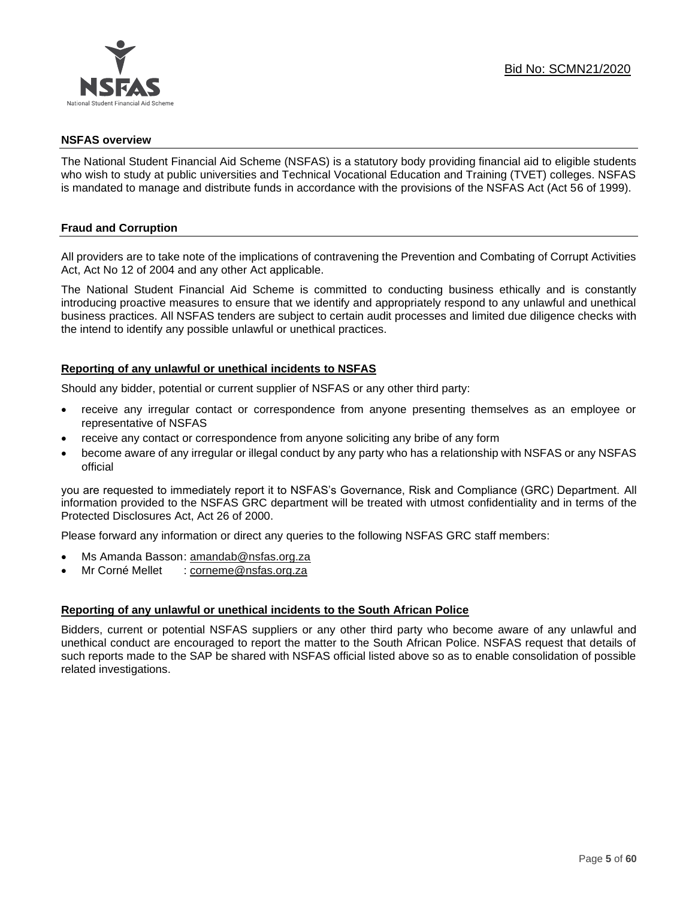

#### **NSFAS overview**

The National Student Financial Aid Scheme (NSFAS) is a statutory body providing financial aid to eligible students who wish to study at public universities and Technical Vocational Education and Training (TVET) colleges. NSFAS is mandated to manage and distribute funds in accordance with the provisions of the NSFAS Act (Act 56 of 1999).

#### **Fraud and Corruption**

All providers are to take note of the implications of contravening the Prevention and Combating of Corrupt Activities Act, Act No 12 of 2004 and any other Act applicable.

The National Student Financial Aid Scheme is committed to conducting business ethically and is constantly introducing proactive measures to ensure that we identify and appropriately respond to any unlawful and unethical business practices. All NSFAS tenders are subject to certain audit processes and limited due diligence checks with the intend to identify any possible unlawful or unethical practices.

#### **Reporting of any unlawful or unethical incidents to NSFAS**

Should any bidder, potential or current supplier of NSFAS or any other third party:

- receive any irregular contact or correspondence from anyone presenting themselves as an employee or representative of NSFAS
- receive any contact or correspondence from anyone soliciting any bribe of any form
- become aware of any irregular or illegal conduct by any party who has a relationship with NSFAS or any NSFAS official

you are requested to immediately report it to NSFAS's Governance, Risk and Compliance (GRC) Department. All information provided to the NSFAS GRC department will be treated with utmost confidentiality and in terms of the Protected Disclosures Act, Act 26 of 2000.

Please forward any information or direct any queries to the following NSFAS GRC staff members:

- Ms Amanda Basson: [amandab@nsfas.org.za](mailto:amandab@nsfas.org.za)
- Mr Corné Mellet : [corneme@nsfas.org.za](mailto:corneme@nsfas.org.za)

#### **Reporting of any unlawful or unethical incidents to the South African Police**

Bidders, current or potential NSFAS suppliers or any other third party who become aware of any unlawful and unethical conduct are encouraged to report the matter to the South African Police. NSFAS request that details of such reports made to the SAP be shared with NSFAS official listed above so as to enable consolidation of possible related investigations.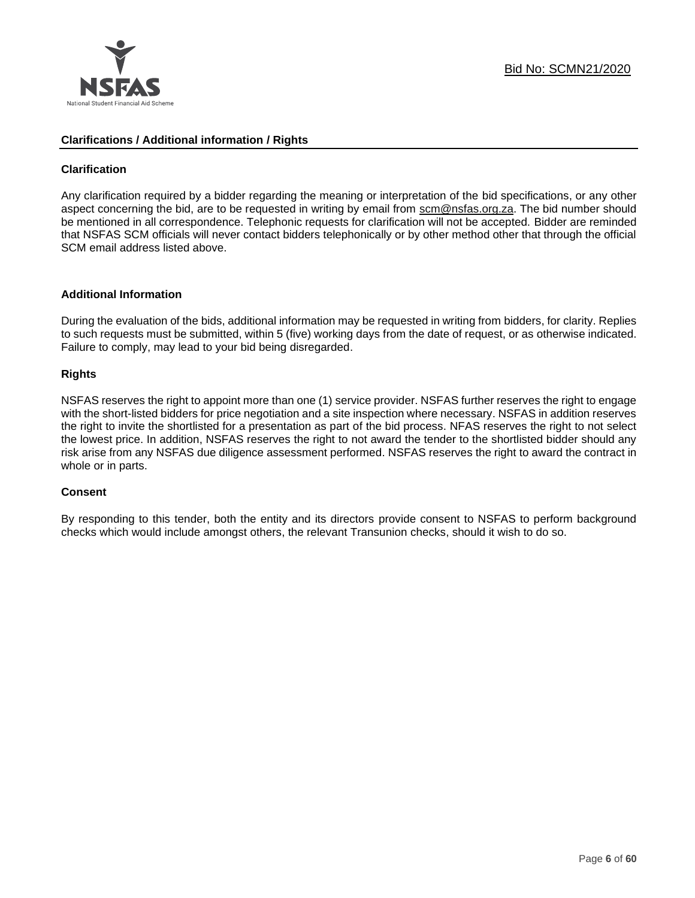

#### **Clarifications / Additional information / Rights**

#### **Clarification**

Any clarification required by a bidder regarding the meaning or interpretation of the bid specifications, or any other aspect concerning the bid, are to be requested in writing by email from scm@nsfas.org.za. The bid number should be mentioned in all correspondence. Telephonic requests for clarification will not be accepted. Bidder are reminded that NSFAS SCM officials will never contact bidders telephonically or by other method other that through the official SCM email address listed above.

#### **Additional Information**

During the evaluation of the bids, additional information may be requested in writing from bidders, for clarity. Replies to such requests must be submitted, within 5 (five) working days from the date of request, or as otherwise indicated. Failure to comply, may lead to your bid being disregarded.

#### **Rights**

NSFAS reserves the right to appoint more than one (1) service provider. NSFAS further reserves the right to engage with the short-listed bidders for price negotiation and a site inspection where necessary. NSFAS in addition reserves the right to invite the shortlisted for a presentation as part of the bid process. NFAS reserves the right to not select the lowest price. In addition, NSFAS reserves the right to not award the tender to the shortlisted bidder should any risk arise from any NSFAS due diligence assessment performed. NSFAS reserves the right to award the contract in whole or in parts.

#### **Consent**

By responding to this tender, both the entity and its directors provide consent to NSFAS to perform background checks which would include amongst others, the relevant Transunion checks, should it wish to do so.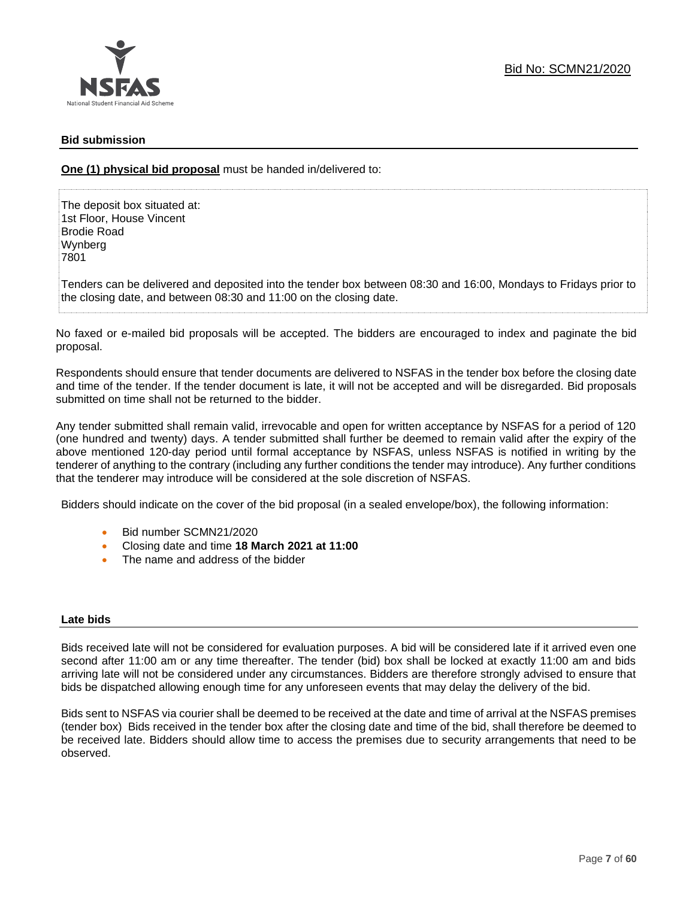#### **Bid submission**

**One (1) physical bid proposal** must be handed in/delivered to:

The deposit box situated at: 1st Floor, House Vincent Brodie Road Wynberg 7801

Tenders can be delivered and deposited into the tender box between 08:30 and 16:00, Mondays to Fridays prior to the closing date, and between 08:30 and 11:00 on the closing date.

No faxed or e-mailed bid proposals will be accepted. The bidders are encouraged to index and paginate the bid proposal.

Respondents should ensure that tender documents are delivered to NSFAS in the tender box before the closing date and time of the tender. If the tender document is late, it will not be accepted and will be disregarded. Bid proposals submitted on time shall not be returned to the bidder.

Any tender submitted shall remain valid, irrevocable and open for written acceptance by NSFAS for a period of 120 (one hundred and twenty) days. A tender submitted shall further be deemed to remain valid after the expiry of the above mentioned 120-day period until formal acceptance by NSFAS, unless NSFAS is notified in writing by the tenderer of anything to the contrary (including any further conditions the tender may introduce). Any further conditions that the tenderer may introduce will be considered at the sole discretion of NSFAS.

Bidders should indicate on the cover of the bid proposal (in a sealed envelope/box), the following information:

- Bid number SCMN21/2020
- Closing date and time **18 March 2021 at 11:00**
- The name and address of the bidder

#### **Late bids**

Bids received late will not be considered for evaluation purposes. A bid will be considered late if it arrived even one second after 11:00 am or any time thereafter. The tender (bid) box shall be locked at exactly 11:00 am and bids arriving late will not be considered under any circumstances. Bidders are therefore strongly advised to ensure that bids be dispatched allowing enough time for any unforeseen events that may delay the delivery of the bid.

Bids sent to NSFAS via courier shall be deemed to be received at the date and time of arrival at the NSFAS premises (tender box) Bids received in the tender box after the closing date and time of the bid, shall therefore be deemed to be received late. Bidders should allow time to access the premises due to security arrangements that need to be observed.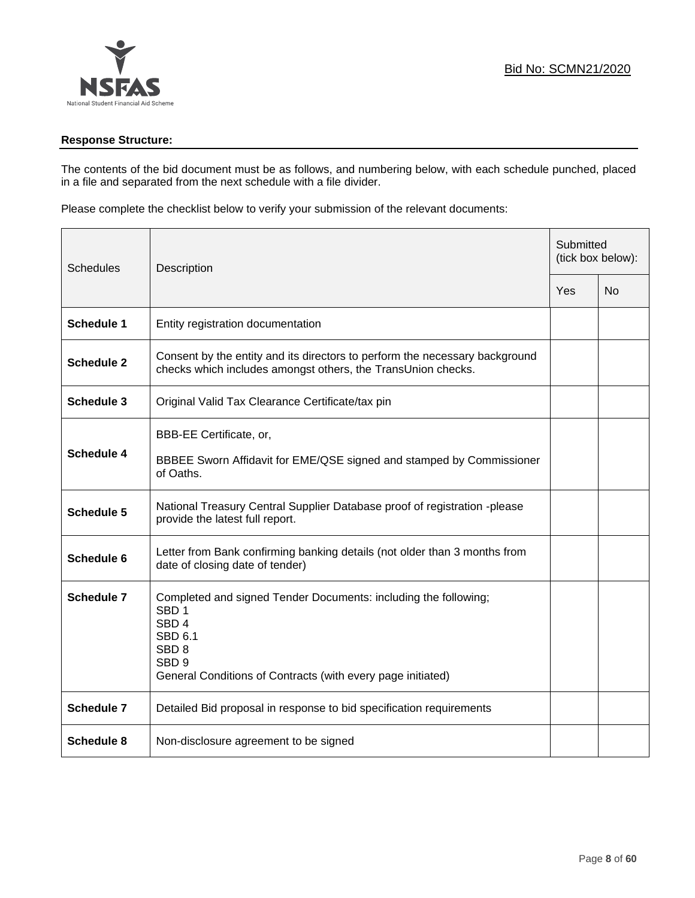## **Response Structure:**

The contents of the bid document must be as follows, and numbering below, with each schedule punched, placed in a file and separated from the next schedule with a file divider.

Please complete the checklist below to verify your submission of the relevant documents:

| <b>Schedules</b>  | Description                                                                                                                                                                                                                      |  | Submitted<br>(tick box below): |  |
|-------------------|----------------------------------------------------------------------------------------------------------------------------------------------------------------------------------------------------------------------------------|--|--------------------------------|--|
|                   |                                                                                                                                                                                                                                  |  | No                             |  |
| <b>Schedule 1</b> | Entity registration documentation                                                                                                                                                                                                |  |                                |  |
| <b>Schedule 2</b> | Consent by the entity and its directors to perform the necessary background<br>checks which includes amongst others, the TransUnion checks.                                                                                      |  |                                |  |
| Schedule 3        | Original Valid Tax Clearance Certificate/tax pin                                                                                                                                                                                 |  |                                |  |
| <b>Schedule 4</b> | BBB-EE Certificate, or,<br>BBBEE Sworn Affidavit for EME/QSE signed and stamped by Commissioner<br>of Oaths.                                                                                                                     |  |                                |  |
| <b>Schedule 5</b> | National Treasury Central Supplier Database proof of registration -please<br>provide the latest full report.                                                                                                                     |  |                                |  |
| Schedule 6        | Letter from Bank confirming banking details (not older than 3 months from<br>date of closing date of tender)                                                                                                                     |  |                                |  |
| <b>Schedule 7</b> | Completed and signed Tender Documents: including the following;<br>SBD <sub>1</sub><br>SBD <sub>4</sub><br><b>SBD 6.1</b><br>SBD <sub>8</sub><br>SBD <sub>9</sub><br>General Conditions of Contracts (with every page initiated) |  |                                |  |
| <b>Schedule 7</b> | Detailed Bid proposal in response to bid specification requirements                                                                                                                                                              |  |                                |  |
| <b>Schedule 8</b> | Non-disclosure agreement to be signed                                                                                                                                                                                            |  |                                |  |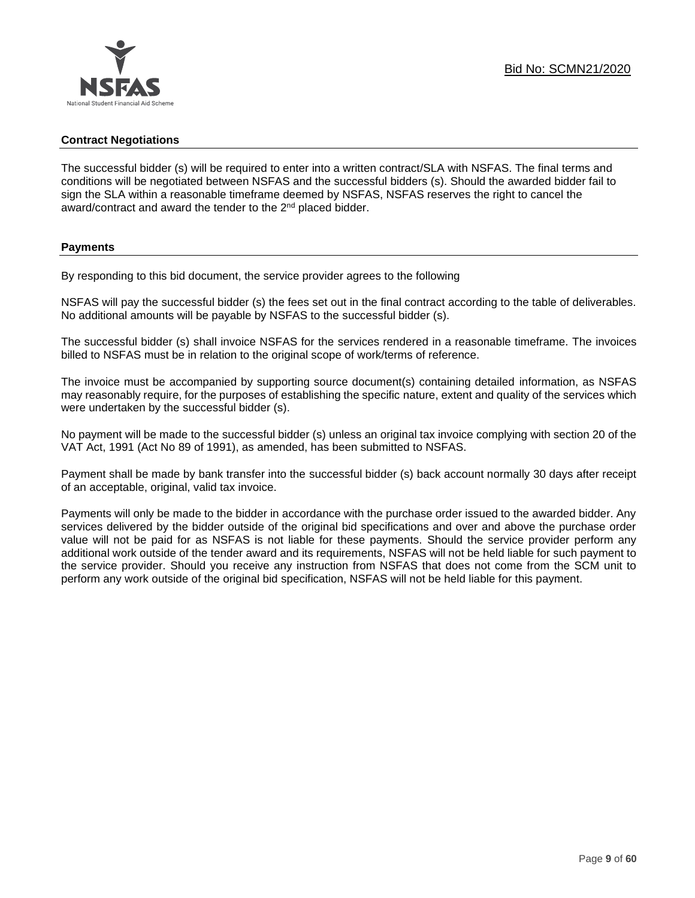#### **Contract Negotiations**

The successful bidder (s) will be required to enter into a written contract/SLA with NSFAS. The final terms and conditions will be negotiated between NSFAS and the successful bidders (s). Should the awarded bidder fail to sign the SLA within a reasonable timeframe deemed by NSFAS, NSFAS reserves the right to cancel the award/contract and award the tender to the 2<sup>nd</sup> placed bidder.

#### **Payments**

By responding to this bid document, the service provider agrees to the following

NSFAS will pay the successful bidder (s) the fees set out in the final contract according to the table of deliverables. No additional amounts will be payable by NSFAS to the successful bidder (s).

The successful bidder (s) shall invoice NSFAS for the services rendered in a reasonable timeframe. The invoices billed to NSFAS must be in relation to the original scope of work/terms of reference.

The invoice must be accompanied by supporting source document(s) containing detailed information, as NSFAS may reasonably require, for the purposes of establishing the specific nature, extent and quality of the services which were undertaken by the successful bidder (s).

No payment will be made to the successful bidder (s) unless an original tax invoice complying with section 20 of the VAT Act, 1991 (Act No 89 of 1991), as amended, has been submitted to NSFAS.

Payment shall be made by bank transfer into the successful bidder (s) back account normally 30 days after receipt of an acceptable, original, valid tax invoice.

Payments will only be made to the bidder in accordance with the purchase order issued to the awarded bidder. Any services delivered by the bidder outside of the original bid specifications and over and above the purchase order value will not be paid for as NSFAS is not liable for these payments. Should the service provider perform any additional work outside of the tender award and its requirements, NSFAS will not be held liable for such payment to the service provider. Should you receive any instruction from NSFAS that does not come from the SCM unit to perform any work outside of the original bid specification, NSFAS will not be held liable for this payment.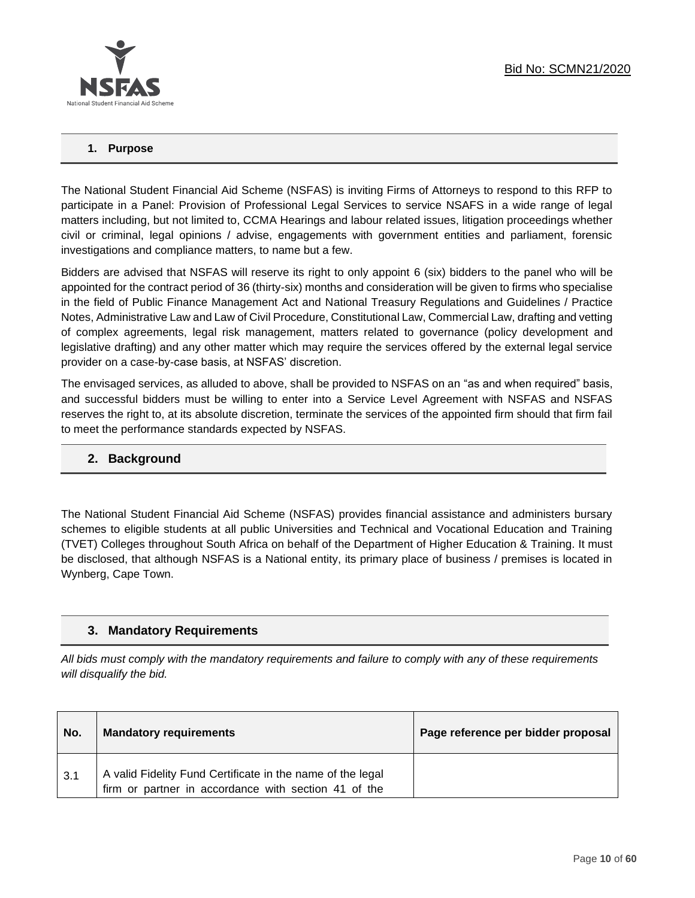

#### **1. Purpose**

The National Student Financial Aid Scheme (NSFAS) is inviting Firms of Attorneys to respond to this RFP to participate in a Panel: Provision of Professional Legal Services to service NSAFS in a wide range of legal matters including, but not limited to, CCMA Hearings and labour related issues, litigation proceedings whether civil or criminal, legal opinions / advise, engagements with government entities and parliament, forensic investigations and compliance matters, to name but a few.

Bidders are advised that NSFAS will reserve its right to only appoint 6 (six) bidders to the panel who will be appointed for the contract period of 36 (thirty-six) months and consideration will be given to firms who specialise in the field of Public Finance Management Act and National Treasury Regulations and Guidelines / Practice Notes, Administrative Law and Law of Civil Procedure, Constitutional Law, Commercial Law, drafting and vetting of complex agreements, legal risk management, matters related to governance (policy development and legislative drafting) and any other matter which may require the services offered by the external legal service provider on a case-by-case basis, at NSFAS' discretion.

The envisaged services, as alluded to above, shall be provided to NSFAS on an "as and when required" basis, and successful bidders must be willing to enter into a Service Level Agreement with NSFAS and NSFAS reserves the right to, at its absolute discretion, terminate the services of the appointed firm should that firm fail to meet the performance standards expected by NSFAS.

## **2. Background**

The National Student Financial Aid Scheme (NSFAS) provides financial assistance and administers bursary schemes to eligible students at all public Universities and Technical and Vocational Education and Training (TVET) Colleges throughout South Africa on behalf of the Department of Higher Education & Training. It must be disclosed, that although NSFAS is a National entity, its primary place of business / premises is located in Wynberg, Cape Town.

## **3. Mandatory Requirements**

*All bids must comply with the mandatory requirements and failure to comply with any of these requirements will disqualify the bid.*

| No. | <b>Mandatory requirements</b>                                                                                      | Page reference per bidder proposal |
|-----|--------------------------------------------------------------------------------------------------------------------|------------------------------------|
| 3.1 | A valid Fidelity Fund Certificate in the name of the legal<br>firm or partner in accordance with section 41 of the |                                    |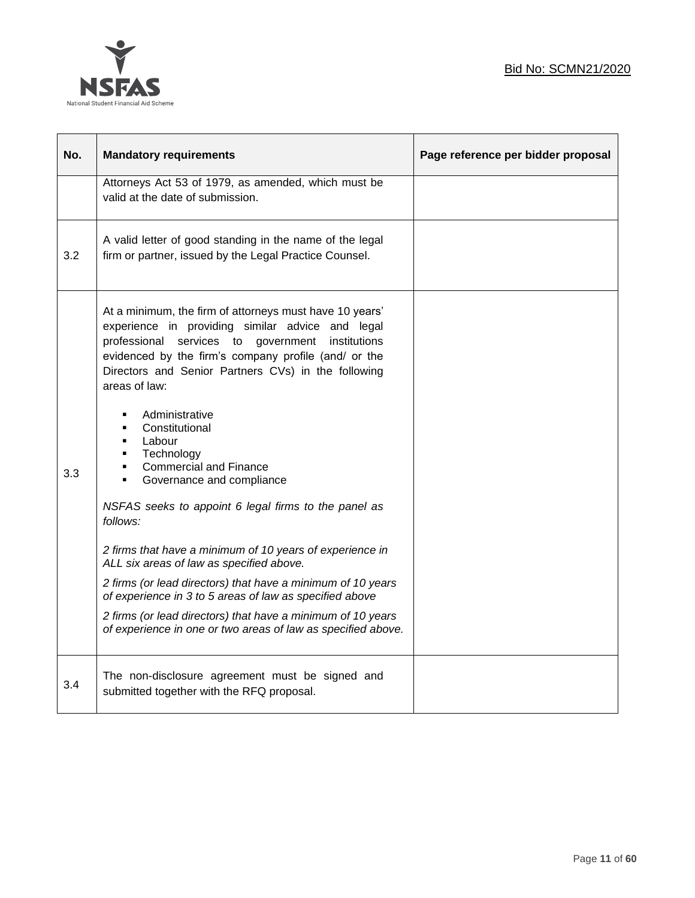

| No. | <b>Mandatory requirements</b>                                                                                                                                                                                                                                                                                                                                                                                                                                                                                                                                                                                                                                                                                                                                                                                                                                                                                             | Page reference per bidder proposal |
|-----|---------------------------------------------------------------------------------------------------------------------------------------------------------------------------------------------------------------------------------------------------------------------------------------------------------------------------------------------------------------------------------------------------------------------------------------------------------------------------------------------------------------------------------------------------------------------------------------------------------------------------------------------------------------------------------------------------------------------------------------------------------------------------------------------------------------------------------------------------------------------------------------------------------------------------|------------------------------------|
|     | Attorneys Act 53 of 1979, as amended, which must be<br>valid at the date of submission.                                                                                                                                                                                                                                                                                                                                                                                                                                                                                                                                                                                                                                                                                                                                                                                                                                   |                                    |
| 3.2 | A valid letter of good standing in the name of the legal<br>firm or partner, issued by the Legal Practice Counsel.                                                                                                                                                                                                                                                                                                                                                                                                                                                                                                                                                                                                                                                                                                                                                                                                        |                                    |
| 3.3 | At a minimum, the firm of attorneys must have 10 years'<br>experience in providing similar advice and legal<br>professional services to government<br>institutions<br>evidenced by the firm's company profile (and/ or the<br>Directors and Senior Partners CVs) in the following<br>areas of law:<br>Administrative<br>$\blacksquare$<br>Constitutional<br>$\blacksquare$<br>Labour<br>٠<br>Technology<br>٠<br><b>Commercial and Finance</b><br>٠<br>Governance and compliance<br>٠<br>NSFAS seeks to appoint 6 legal firms to the panel as<br>follows:<br>2 firms that have a minimum of 10 years of experience in<br>ALL six areas of law as specified above.<br>2 firms (or lead directors) that have a minimum of 10 years<br>of experience in 3 to 5 areas of law as specified above<br>2 firms (or lead directors) that have a minimum of 10 years<br>of experience in one or two areas of law as specified above. |                                    |
| 3.4 | The non-disclosure agreement must be signed and<br>submitted together with the RFQ proposal.                                                                                                                                                                                                                                                                                                                                                                                                                                                                                                                                                                                                                                                                                                                                                                                                                              |                                    |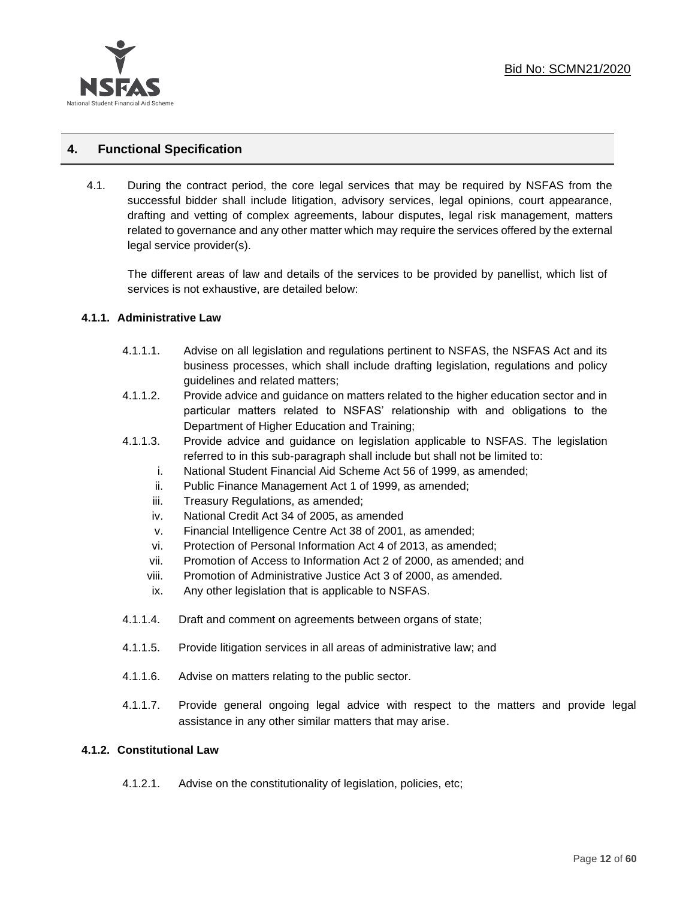

## **4. Functional Specification**

4.1. During the contract period, the core legal services that may be required by NSFAS from the successful bidder shall include litigation, advisory services, legal opinions, court appearance, drafting and vetting of complex agreements, labour disputes, legal risk management, matters related to governance and any other matter which may require the services offered by the external legal service provider(s).

The different areas of law and details of the services to be provided by panellist, which list of services is not exhaustive, are detailed below:

#### **4.1.1. Administrative Law**

- 4.1.1.1. Advise on all legislation and regulations pertinent to NSFAS, the NSFAS Act and its business processes, which shall include drafting legislation, regulations and policy guidelines and related matters;
- 4.1.1.2. Provide advice and guidance on matters related to the higher education sector and in particular matters related to NSFAS' relationship with and obligations to the Department of Higher Education and Training;
- 4.1.1.3. Provide advice and guidance on legislation applicable to NSFAS. The legislation referred to in this sub-paragraph shall include but shall not be limited to:
	- i. National Student Financial Aid Scheme Act 56 of 1999, as amended;
	- ii. Public Finance Management Act 1 of 1999, as amended;
	- iii. Treasury Regulations, as amended;
	- iv. National Credit Act 34 of 2005, as amended
	- v. Financial Intelligence Centre Act 38 of 2001, as amended;
	- vi. Protection of Personal Information Act 4 of 2013, as amended;
	- vii. Promotion of Access to Information Act 2 of 2000, as amended; and
	- viii. Promotion of Administrative Justice Act 3 of 2000, as amended.
	- ix. Any other legislation that is applicable to NSFAS.
- 4.1.1.4. Draft and comment on agreements between organs of state;
- 4.1.1.5. Provide litigation services in all areas of administrative law; and
- 4.1.1.6. Advise on matters relating to the public sector.
- 4.1.1.7. Provide general ongoing legal advice with respect to the matters and provide legal assistance in any other similar matters that may arise.

#### **4.1.2. Constitutional Law**

4.1.2.1. Advise on the constitutionality of legislation, policies, etc;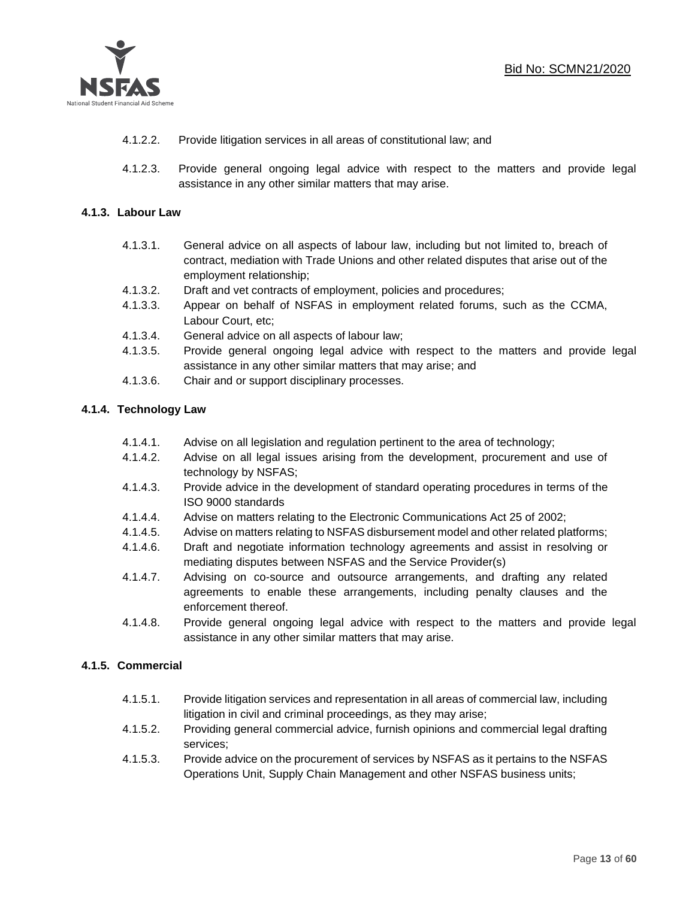

- 4.1.2.2. Provide litigation services in all areas of constitutional law; and
- 4.1.2.3. Provide general ongoing legal advice with respect to the matters and provide legal assistance in any other similar matters that may arise.

## **4.1.3. Labour Law**

- 4.1.3.1. General advice on all aspects of labour law, including but not limited to, breach of contract, mediation with Trade Unions and other related disputes that arise out of the employment relationship;
- 4.1.3.2. Draft and vet contracts of employment, policies and procedures;
- 4.1.3.3. Appear on behalf of NSFAS in employment related forums, such as the CCMA, Labour Court, etc;
- 4.1.3.4. General advice on all aspects of labour law;
- 4.1.3.5. Provide general ongoing legal advice with respect to the matters and provide legal assistance in any other similar matters that may arise; and
- 4.1.3.6. Chair and or support disciplinary processes.

## **4.1.4. Technology Law**

- 4.1.4.1. Advise on all legislation and regulation pertinent to the area of technology;
- 4.1.4.2. Advise on all legal issues arising from the development, procurement and use of technology by NSFAS;
- 4.1.4.3. Provide advice in the development of standard operating procedures in terms of the ISO 9000 standards
- 4.1.4.4. Advise on matters relating to the Electronic Communications Act 25 of 2002;
- 4.1.4.5. Advise on matters relating to NSFAS disbursement model and other related platforms;
- 4.1.4.6. Draft and negotiate information technology agreements and assist in resolving or mediating disputes between NSFAS and the Service Provider(s)
- 4.1.4.7. Advising on co-source and outsource arrangements, and drafting any related agreements to enable these arrangements, including penalty clauses and the enforcement thereof.
- 4.1.4.8. Provide general ongoing legal advice with respect to the matters and provide legal assistance in any other similar matters that may arise.

## **4.1.5. Commercial**

- 4.1.5.1. Provide litigation services and representation in all areas of commercial law, including litigation in civil and criminal proceedings, as they may arise;
- 4.1.5.2. Providing general commercial advice, furnish opinions and commercial legal drafting services;
- 4.1.5.3. Provide advice on the procurement of services by NSFAS as it pertains to the NSFAS Operations Unit, Supply Chain Management and other NSFAS business units;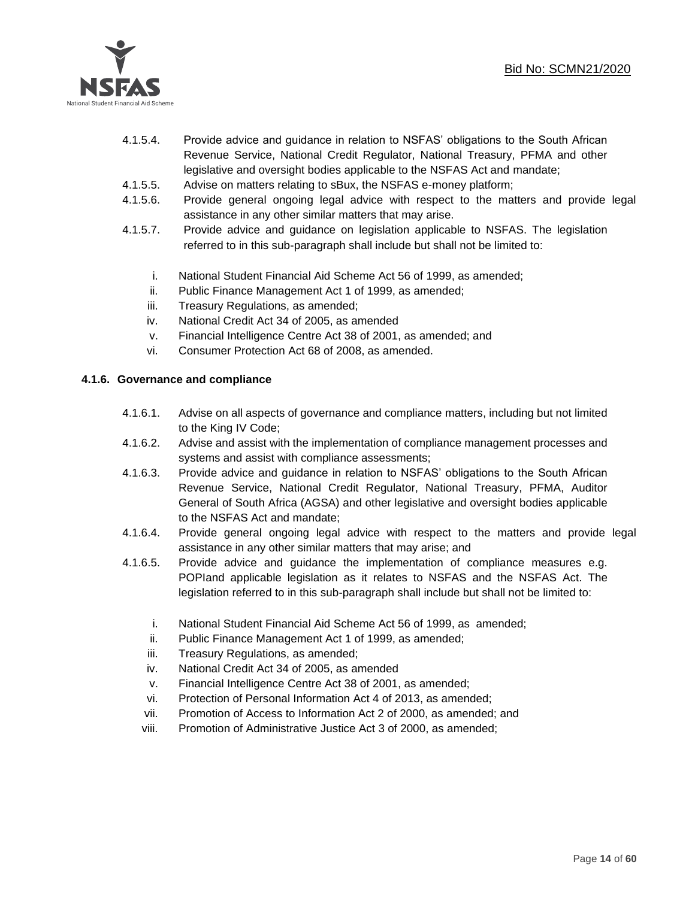

- 4.1.5.4. Provide advice and guidance in relation to NSFAS' obligations to the South African Revenue Service, National Credit Regulator, National Treasury, PFMA and other legislative and oversight bodies applicable to the NSFAS Act and mandate;
- 4.1.5.5. Advise on matters relating to sBux, the NSFAS e-money platform;
- 4.1.5.6. Provide general ongoing legal advice with respect to the matters and provide legal assistance in any other similar matters that may arise.
- 4.1.5.7. Provide advice and guidance on legislation applicable to NSFAS. The legislation referred to in this sub-paragraph shall include but shall not be limited to:
	- i. National Student Financial Aid Scheme Act 56 of 1999, as amended;
	- ii. Public Finance Management Act 1 of 1999, as amended;
	- iii. Treasury Regulations, as amended;
	- iv. National Credit Act 34 of 2005, as amended
	- v. Financial Intelligence Centre Act 38 of 2001, as amended; and
	- vi. Consumer Protection Act 68 of 2008, as amended.

#### **4.1.6. Governance and compliance**

- 4.1.6.1. Advise on all aspects of governance and compliance matters, including but not limited to the King IV Code;
- 4.1.6.2. Advise and assist with the implementation of compliance management processes and systems and assist with compliance assessments;
- 4.1.6.3. Provide advice and guidance in relation to NSFAS' obligations to the South African Revenue Service, National Credit Regulator, National Treasury, PFMA, Auditor General of South Africa (AGSA) and other legislative and oversight bodies applicable to the NSFAS Act and mandate;
- 4.1.6.4. Provide general ongoing legal advice with respect to the matters and provide legal assistance in any other similar matters that may arise; and
- 4.1.6.5. Provide advice and guidance the implementation of compliance measures e.g. POPIand applicable legislation as it relates to NSFAS and the NSFAS Act. The legislation referred to in this sub-paragraph shall include but shall not be limited to:
	- i. National Student Financial Aid Scheme Act 56 of 1999, as amended;
	- ii. Public Finance Management Act 1 of 1999, as amended;
	- iii. Treasury Regulations, as amended;
	- iv. National Credit Act 34 of 2005, as amended
	- v. Financial Intelligence Centre Act 38 of 2001, as amended;
	- vi. Protection of Personal Information Act 4 of 2013, as amended;
	- vii. Promotion of Access to Information Act 2 of 2000, as amended; and
	- viii. Promotion of Administrative Justice Act 3 of 2000, as amended;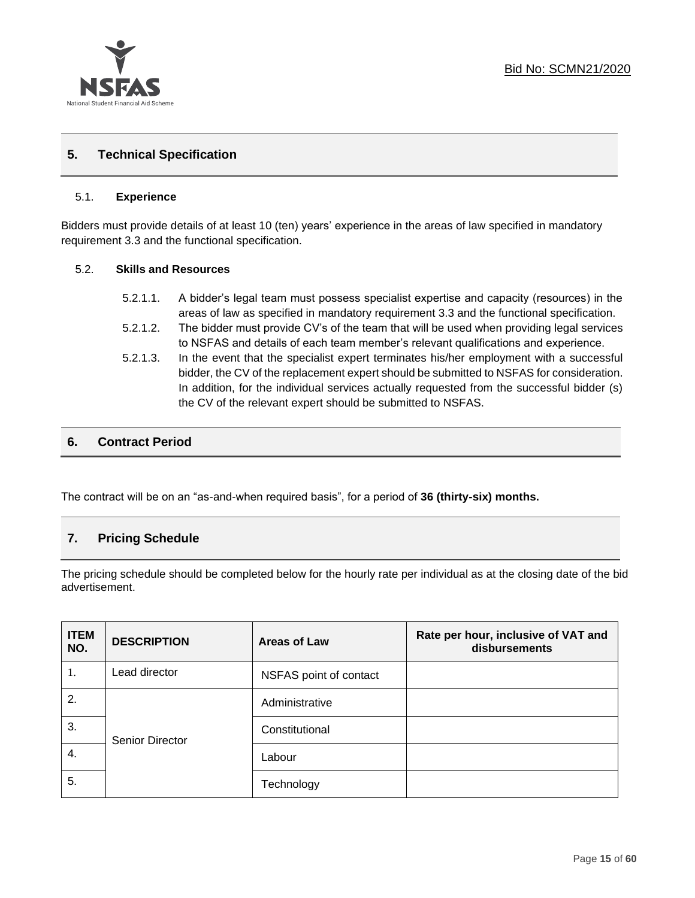

## **5. Technical Specification**

#### 5.1. **Experience**

Bidders must provide details of at least 10 (ten) years' experience in the areas of law specified in mandatory requirement 3.3 and the functional specification.

#### 5.2. **Skills and Resources**

- 5.2.1.1. A bidder's legal team must possess specialist expertise and capacity (resources) in the areas of law as specified in mandatory requirement 3.3 and the functional specification.
- 5.2.1.2. The bidder must provide CV's of the team that will be used when providing legal services to NSFAS and details of each team member's relevant qualifications and experience.
- 5.2.1.3. In the event that the specialist expert terminates his/her employment with a successful bidder, the CV of the replacement expert should be submitted to NSFAS for consideration. In addition, for the individual services actually requested from the successful bidder (s) the CV of the relevant expert should be submitted to NSFAS.

## **6. Contract Period**

The contract will be on an "as-and-when required basis", for a period of **36 (thirty-six) months.**

## **7. Pricing Schedule**

The pricing schedule should be completed below for the hourly rate per individual as at the closing date of the bid advertisement.

| <b>ITEM</b><br>NO. | <b>DESCRIPTION</b>     | Areas of Law           | Rate per hour, inclusive of VAT and<br>disbursements |
|--------------------|------------------------|------------------------|------------------------------------------------------|
| 1.                 | Lead director          | NSFAS point of contact |                                                      |
| 2.                 |                        | Administrative         |                                                      |
| 3.                 | <b>Senior Director</b> | Constitutional         |                                                      |
| 4.                 |                        | Labour                 |                                                      |
| 5.                 |                        | Technology             |                                                      |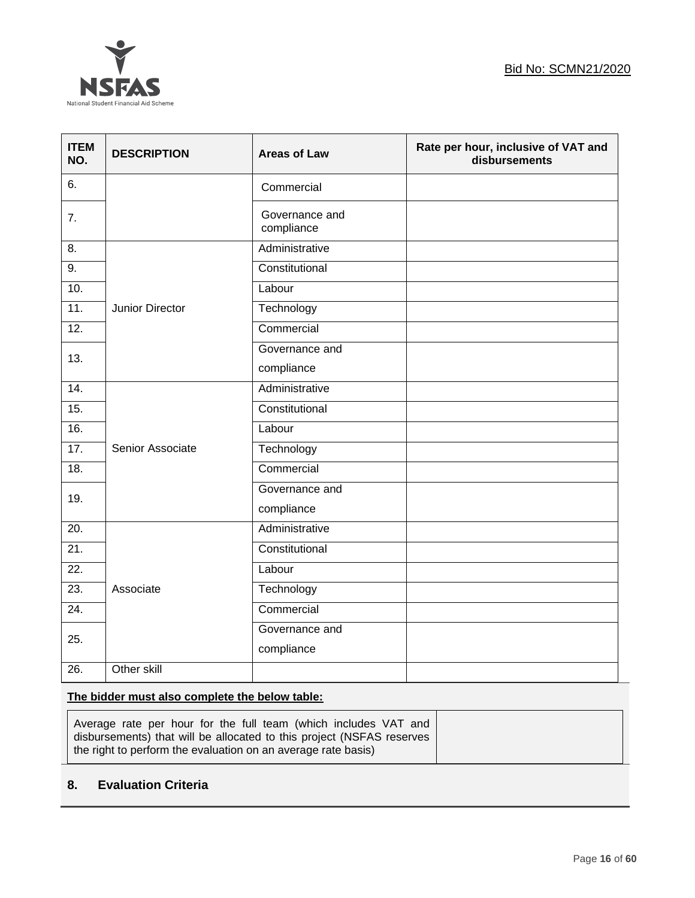

| <b>ITEM</b><br>NO. | <b>DESCRIPTION</b> | <b>Areas of Law</b>          | Rate per hour, inclusive of VAT and<br>disbursements |
|--------------------|--------------------|------------------------------|------------------------------------------------------|
| 6.                 |                    | Commercial                   |                                                      |
| 7.                 |                    | Governance and<br>compliance |                                                      |
| 8.                 |                    | Administrative               |                                                      |
| $\overline{9}$ .   |                    | Constitutional               |                                                      |
| 10.                |                    | Labour                       |                                                      |
| 11.                | Junior Director    | Technology                   |                                                      |
| $\overline{12}$ .  |                    | Commercial                   |                                                      |
| 13.                |                    | Governance and               |                                                      |
|                    |                    | compliance                   |                                                      |
| 14.                |                    | Administrative               |                                                      |
| 15.                |                    | Constitutional               |                                                      |
| 16.                |                    | Labour                       |                                                      |
| 17.                | Senior Associate   | Technology                   |                                                      |
| 18.                |                    | Commercial                   |                                                      |
| 19.                |                    | Governance and               |                                                      |
|                    |                    | compliance                   |                                                      |
| 20.                |                    | Administrative               |                                                      |
| 21.                |                    | Constitutional               |                                                      |
| 22.                |                    | Labour                       |                                                      |
| 23.                | Associate          | Technology                   |                                                      |
| $\overline{24}$ .  |                    | Commercial                   |                                                      |
|                    |                    | Governance and               |                                                      |
| 25.                |                    | compliance                   |                                                      |
| 26.                | Other skill        |                              |                                                      |

## **The bidder must also complete the below table:**

| Average rate per hour for the full team (which includes VAT and<br>  disbursements) that will be allocated to this project (NSFAS reserves |  |  |
|--------------------------------------------------------------------------------------------------------------------------------------------|--|--|
| the right to perform the evaluation on an average rate basis)                                                                              |  |  |

## **8. Evaluation Criteria**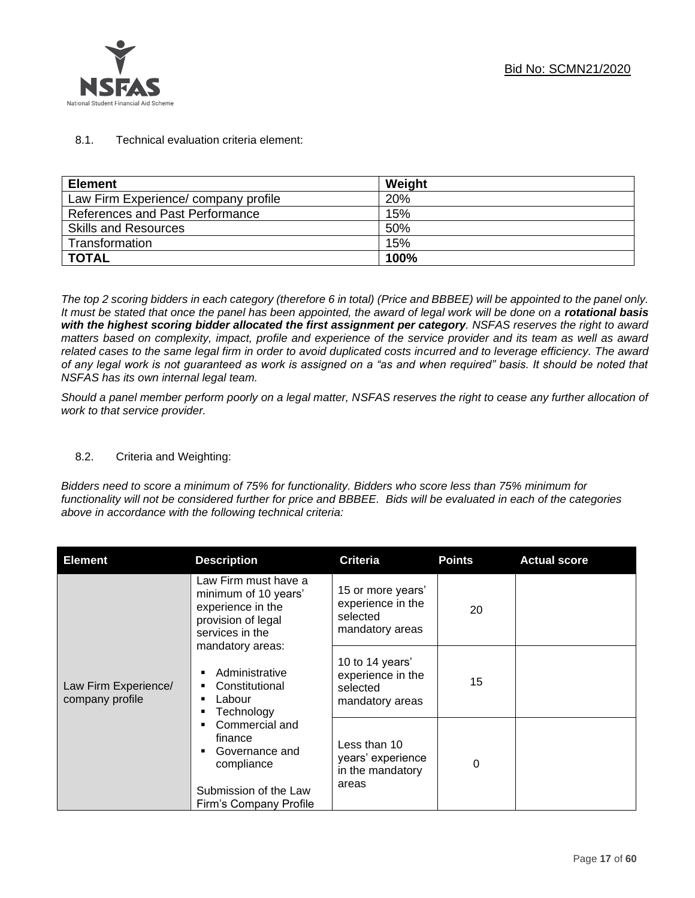

## 8.1. Technical evaluation criteria element:

| <b>Element</b>                      | Weight |
|-------------------------------------|--------|
| Law Firm Experience/company profile | 20%    |
| References and Past Performance     | 15%    |
| <b>Skills and Resources</b>         | 50%    |
| Transformation                      | 15%    |
| <b>TOTAL</b>                        | 100%   |

*The top 2 scoring bidders in each category (therefore 6 in total) (Price and BBBEE) will be appointed to the panel only. It must be stated that once the panel has been appointed, the award of legal work will be done on a rotational basis with the highest scoring bidder allocated the first assignment per category. NSFAS reserves the right to award matters based on complexity, impact, profile and experience of the service provider and its team as well as award related cases to the same legal firm in order to avoid duplicated costs incurred and to leverage efficiency. The award of any legal work is not guaranteed as work is assigned on a "as and when required" basis. It should be noted that NSFAS has its own internal legal team.*

*Should a panel member perform poorly on a legal matter, NSFAS reserves the right to cease any further allocation of work to that service provider.*

## 8.2. Criteria and Weighting:

*Bidders need to score a minimum of 75% for functionality. Bidders who score less than 75% minimum for functionality will not be considered further for price and BBBEE. Bids will be evaluated in each of the categories above in accordance with the following technical criteria:*

| <b>Element</b>                          | <b>Description</b>                                                                                                                                                                                                                                                                                         | <b>Criteria</b>                                                       | <b>Points</b> | <b>Actual score</b> |
|-----------------------------------------|------------------------------------------------------------------------------------------------------------------------------------------------------------------------------------------------------------------------------------------------------------------------------------------------------------|-----------------------------------------------------------------------|---------------|---------------------|
|                                         | Law Firm must have a<br>minimum of 10 years'<br>experience in the<br>provision of legal<br>services in the<br>mandatory areas:<br>Administrative<br>Constitutional<br>Labour<br>Technology<br>Commercial and<br>finance<br>Governance and<br>compliance<br>Submission of the Law<br>Firm's Company Profile | 15 or more years'<br>experience in the<br>selected<br>mandatory areas | 20            |                     |
| Law Firm Experience/<br>company profile |                                                                                                                                                                                                                                                                                                            | 10 to 14 years'<br>experience in the<br>selected<br>mandatory areas   | 15            |                     |
|                                         |                                                                                                                                                                                                                                                                                                            | Less than 10<br>years' experience<br>in the mandatory<br>areas        | 0             |                     |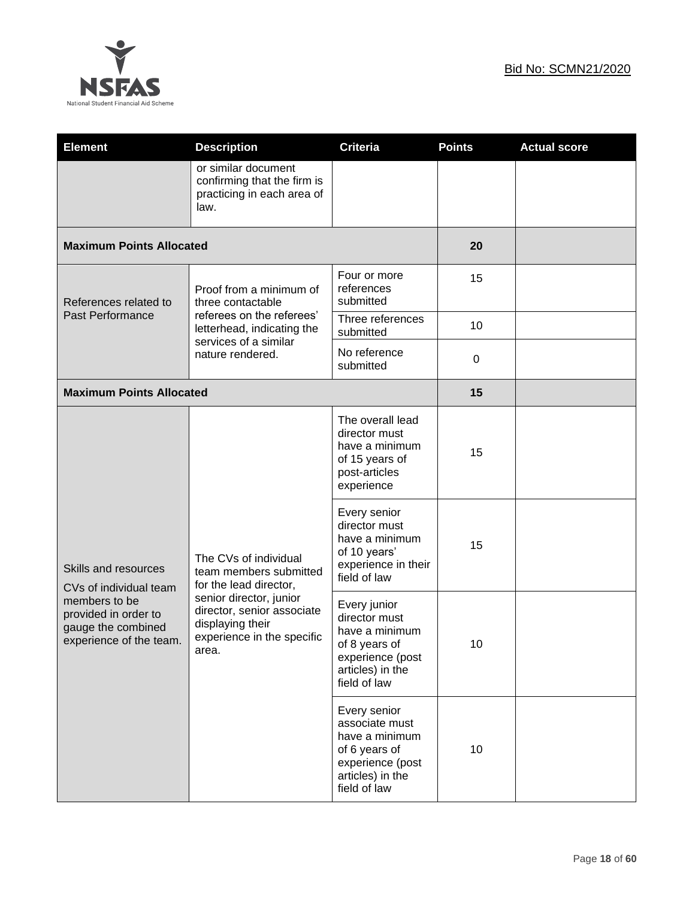

| <b>Element</b>                                                                         | <b>Description</b>                                                                                                                                                                            | <b>Criteria</b>                                                                                                           | <b>Points</b>    | <b>Actual score</b> |
|----------------------------------------------------------------------------------------|-----------------------------------------------------------------------------------------------------------------------------------------------------------------------------------------------|---------------------------------------------------------------------------------------------------------------------------|------------------|---------------------|
|                                                                                        | or similar document<br>confirming that the firm is<br>practicing in each area of<br>law.                                                                                                      |                                                                                                                           |                  |                     |
| <b>Maximum Points Allocated</b>                                                        |                                                                                                                                                                                               |                                                                                                                           | 20               |                     |
| References related to                                                                  | Proof from a minimum of<br>three contactable                                                                                                                                                  | Four or more<br>references<br>submitted                                                                                   | 15               |                     |
| <b>Past Performance</b>                                                                | referees on the referees'<br>letterhead, indicating the                                                                                                                                       | Three references<br>submitted                                                                                             | 10               |                     |
|                                                                                        | services of a similar<br>nature rendered.                                                                                                                                                     | No reference<br>submitted                                                                                                 | $\boldsymbol{0}$ |                     |
| <b>Maximum Points Allocated</b>                                                        |                                                                                                                                                                                               |                                                                                                                           | 15               |                     |
|                                                                                        | The CVs of individual<br>team members submitted<br>for the lead director,<br>senior director, junior<br>director, senior associate<br>displaying their<br>experience in the specific<br>area. | The overall lead<br>director must<br>have a minimum<br>of 15 years of<br>post-articles<br>experience                      | 15               |                     |
| Skills and resources<br>CVs of individual team                                         |                                                                                                                                                                                               | Every senior<br>director must<br>have a minimum<br>of 10 years'<br>experience in their<br>field of law                    | 15               |                     |
| members to be<br>provided in order to<br>gauge the combined<br>experience of the team. |                                                                                                                                                                                               | Every junior<br>director must<br>have a minimum<br>of 8 years of<br>experience (post<br>articles) in the<br>field of law  | 10               |                     |
|                                                                                        |                                                                                                                                                                                               | Every senior<br>associate must<br>have a minimum<br>of 6 years of<br>experience (post<br>articles) in the<br>field of law | 10               |                     |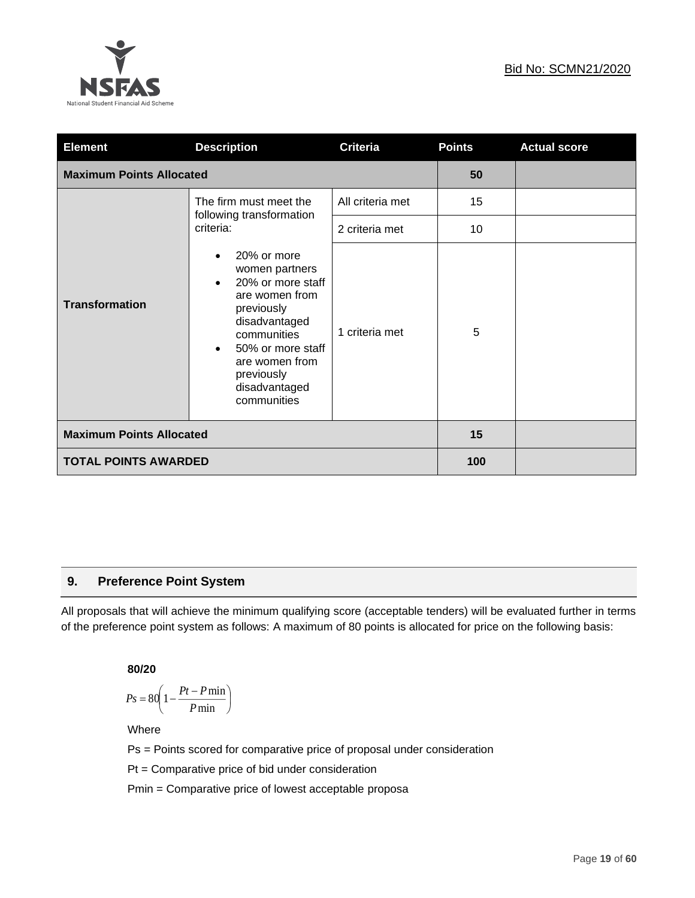

| <b>Element</b>                                                                                                                                                                                                                                | <b>Description</b>                                              | <b>Criteria</b>  | <b>Points</b> | <b>Actual score</b> |
|-----------------------------------------------------------------------------------------------------------------------------------------------------------------------------------------------------------------------------------------------|-----------------------------------------------------------------|------------------|---------------|---------------------|
| <b>Maximum Points Allocated</b>                                                                                                                                                                                                               | 50                                                              |                  |               |                     |
|                                                                                                                                                                                                                                               | The firm must meet the<br>following transformation<br>criteria: | All criteria met | 15            |                     |
|                                                                                                                                                                                                                                               |                                                                 | 2 criteria met   | 10            |                     |
| 20% or more<br>women partners<br>20% or more staff<br>are women from<br><b>Transformation</b><br>previously<br>disadvantaged<br>communities<br>50% or more staff<br>$\bullet$<br>are women from<br>previously<br>disadvantaged<br>communities |                                                                 | 1 criteria met   | 5             |                     |
| <b>Maximum Points Allocated</b>                                                                                                                                                                                                               |                                                                 | 15               |               |                     |
| <b>TOTAL POINTS AWARDED</b>                                                                                                                                                                                                                   | 100                                                             |                  |               |                     |

## **9. Preference Point System**

All proposals that will achieve the minimum qualifying score (acceptable tenders) will be evaluated further in terms of the preference point system as follows: A maximum of 80 points is allocated for price on the following basis:

**80/20**

$$
Ps = 80 \left( 1 - \frac{Pt - P \min}{P \min} \right)
$$

Where

Ps = Points scored for comparative price of proposal under consideration

Pt = Comparative price of bid under consideration

Pmin = Comparative price of lowest acceptable proposa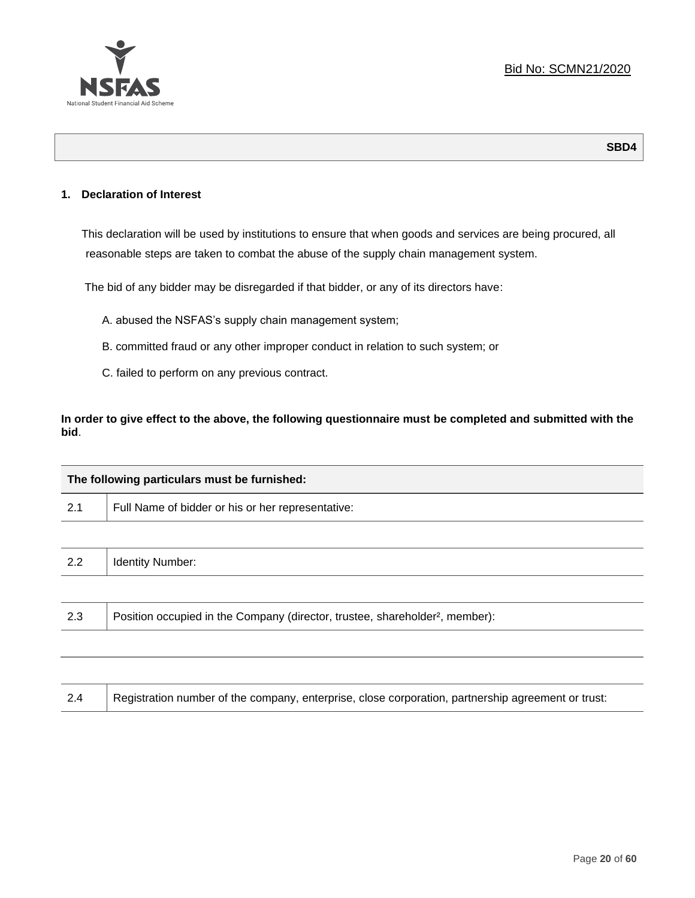

## **1. Declaration of Interest**

This declaration will be used by institutions to ensure that when goods and services are being procured, all reasonable steps are taken to combat the abuse of the supply chain management system.

The bid of any bidder may be disregarded if that bidder, or any of its directors have:

- A. abused the NSFAS's supply chain management system;
- B. committed fraud or any other improper conduct in relation to such system; or
- C. failed to perform on any previous contract.

**In order to give effect to the above, the following questionnaire must be completed and submitted with the bid**.

| The following particulars must be furnished: |                                                                                          |  |  |
|----------------------------------------------|------------------------------------------------------------------------------------------|--|--|
| 2.1                                          | Full Name of bidder or his or her representative:                                        |  |  |
|                                              |                                                                                          |  |  |
| 2.2                                          | <b>Identity Number:</b>                                                                  |  |  |
|                                              |                                                                                          |  |  |
| 2.3                                          | Position occupied in the Company (director, trustee, shareholder <sup>2</sup> , member): |  |  |
|                                              |                                                                                          |  |  |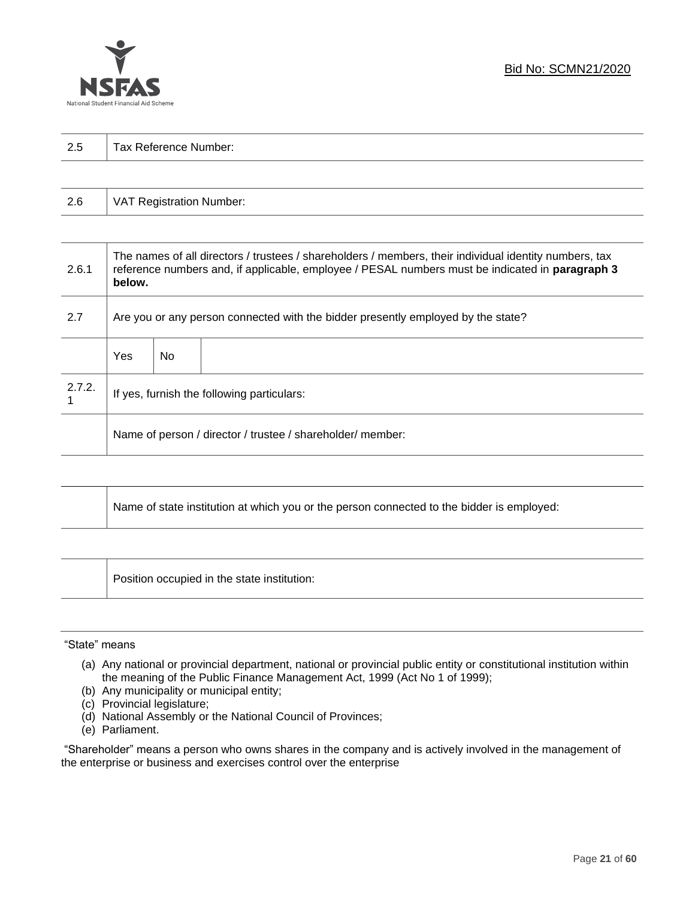

| っょ<br>ن ک | $\overline{\phantom{0}}$<br>-<br>Tax Reference<br>Number: |
|-----------|-----------------------------------------------------------|
|           |                                                           |

| 2.6 | VAT Registration Number: |
|-----|--------------------------|
|-----|--------------------------|

| 2.6.1  | The names of all directors / trustees / shareholders / members, their individual identity numbers, tax<br>reference numbers and, if applicable, employee / PESAL numbers must be indicated in paragraph 3<br>below. |     |  |  |
|--------|---------------------------------------------------------------------------------------------------------------------------------------------------------------------------------------------------------------------|-----|--|--|
| 2.7    | Are you or any person connected with the bidder presently employed by the state?                                                                                                                                    |     |  |  |
|        | Yes                                                                                                                                                                                                                 | No. |  |  |
| 2.7.2. | If yes, furnish the following particulars:                                                                                                                                                                          |     |  |  |
|        | Name of person / director / trustee / shareholder/ member:                                                                                                                                                          |     |  |  |

| Name of state institution at which you or the person connected to the bidder is employed: |
|-------------------------------------------------------------------------------------------|
|                                                                                           |

Position occupied in the state institution:

#### "State" means

┱

- (a) Any national or provincial department, national or provincial public entity or constitutional institution within the meaning of the Public Finance Management Act, 1999 (Act No 1 of 1999);
- (b) Any municipality or municipal entity;
- (c) Provincial legislature;
- (d) National Assembly or the National Council of Provinces;
- (e) Parliament.

"Shareholder" means a person who owns shares in the company and is actively involved in the management of the enterprise or business and exercises control over the enterprise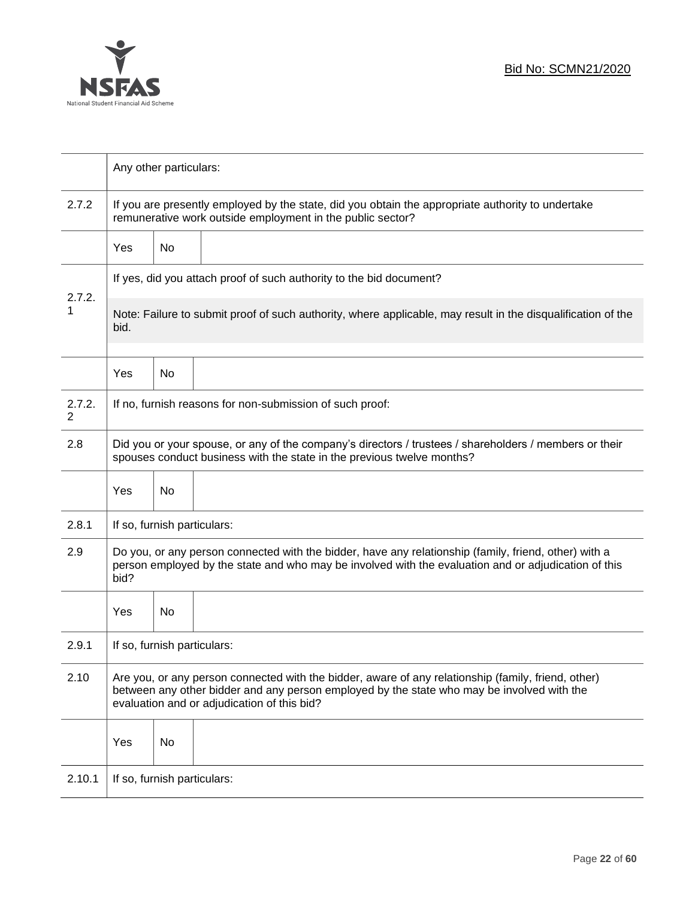

|             | Any other particulars:                                                                                                                                                                                                                           |    |                                                                     |  |  |
|-------------|--------------------------------------------------------------------------------------------------------------------------------------------------------------------------------------------------------------------------------------------------|----|---------------------------------------------------------------------|--|--|
| 2.7.2       | If you are presently employed by the state, did you obtain the appropriate authority to undertake<br>remunerative work outside employment in the public sector?                                                                                  |    |                                                                     |  |  |
|             | Yes                                                                                                                                                                                                                                              | No |                                                                     |  |  |
|             |                                                                                                                                                                                                                                                  |    | If yes, did you attach proof of such authority to the bid document? |  |  |
| 2.7.2.<br>1 | Note: Failure to submit proof of such authority, where applicable, may result in the disqualification of the<br>bid.                                                                                                                             |    |                                                                     |  |  |
|             | Yes                                                                                                                                                                                                                                              | No |                                                                     |  |  |
| 2.7.2.<br>2 |                                                                                                                                                                                                                                                  |    | If no, furnish reasons for non-submission of such proof:            |  |  |
| 2.8         | Did you or your spouse, or any of the company's directors / trustees / shareholders / members or their<br>spouses conduct business with the state in the previous twelve months?                                                                 |    |                                                                     |  |  |
|             | Yes                                                                                                                                                                                                                                              | No |                                                                     |  |  |
| 2.8.1       | If so, furnish particulars:                                                                                                                                                                                                                      |    |                                                                     |  |  |
| 2.9         | Do you, or any person connected with the bidder, have any relationship (family, friend, other) with a<br>person employed by the state and who may be involved with the evaluation and or adjudication of this<br>bid?                            |    |                                                                     |  |  |
|             | Yes                                                                                                                                                                                                                                              | No |                                                                     |  |  |
| 2.9.1       | If so, furnish particulars:                                                                                                                                                                                                                      |    |                                                                     |  |  |
| 2.10        | Are you, or any person connected with the bidder, aware of any relationship (family, friend, other)<br>between any other bidder and any person employed by the state who may be involved with the<br>evaluation and or adjudication of this bid? |    |                                                                     |  |  |
|             | Yes                                                                                                                                                                                                                                              | No |                                                                     |  |  |
| 2.10.1      | If so, furnish particulars:                                                                                                                                                                                                                      |    |                                                                     |  |  |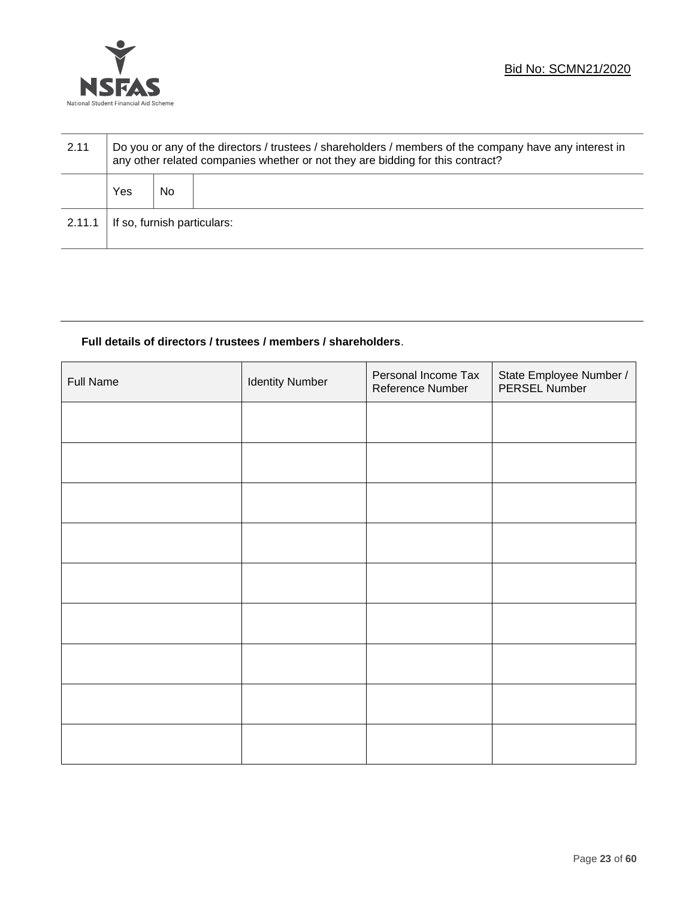

| 2.11   | Do you or any of the directors / trustees / shareholders / members of the company have any interest in<br>any other related companies whether or not they are bidding for this contract? |    |  |  |
|--------|------------------------------------------------------------------------------------------------------------------------------------------------------------------------------------------|----|--|--|
|        | Yes                                                                                                                                                                                      | No |  |  |
| 2.11.1 | If so, furnish particulars:                                                                                                                                                              |    |  |  |

## **Full details of directors / trustees / members / shareholders**.

| <b>Full Name</b> | <b>Identity Number</b> | Personal Income Tax<br>Reference Number | State Employee Number /<br>PERSEL Number |
|------------------|------------------------|-----------------------------------------|------------------------------------------|
|                  |                        |                                         |                                          |
|                  |                        |                                         |                                          |
|                  |                        |                                         |                                          |
|                  |                        |                                         |                                          |
|                  |                        |                                         |                                          |
|                  |                        |                                         |                                          |
|                  |                        |                                         |                                          |
|                  |                        |                                         |                                          |
|                  |                        |                                         |                                          |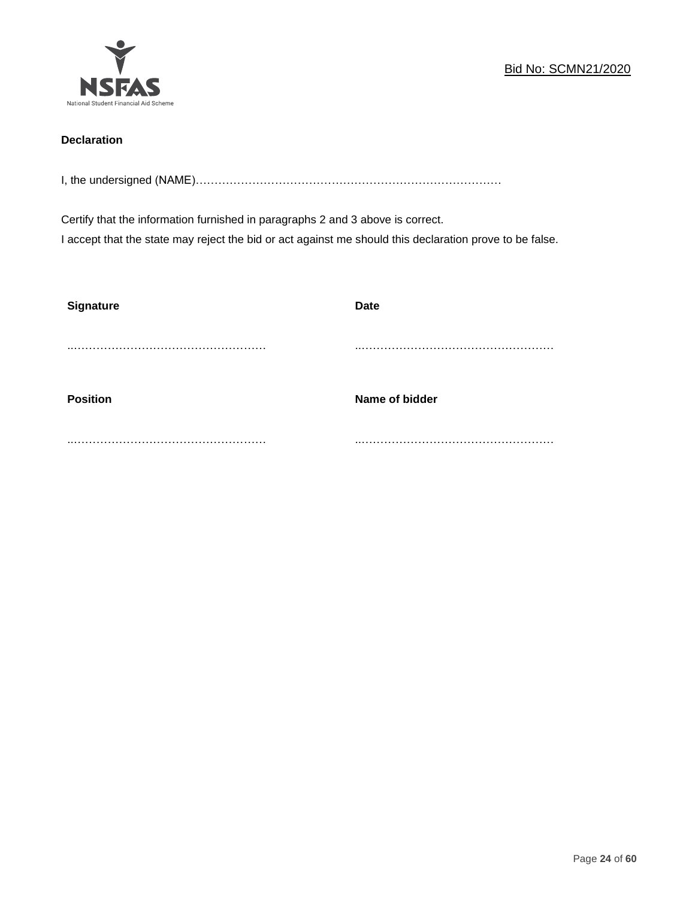

## **Declaration**

I, the undersigned (NAME)………………………………………………………………………

Certify that the information furnished in paragraphs 2 and 3 above is correct. I accept that the state may reject the bid or act against me should this declaration prove to be false.

| <b>Signature</b> | <b>Date</b>    |
|------------------|----------------|
|                  |                |
| <b>Position</b>  | Name of bidder |
|                  |                |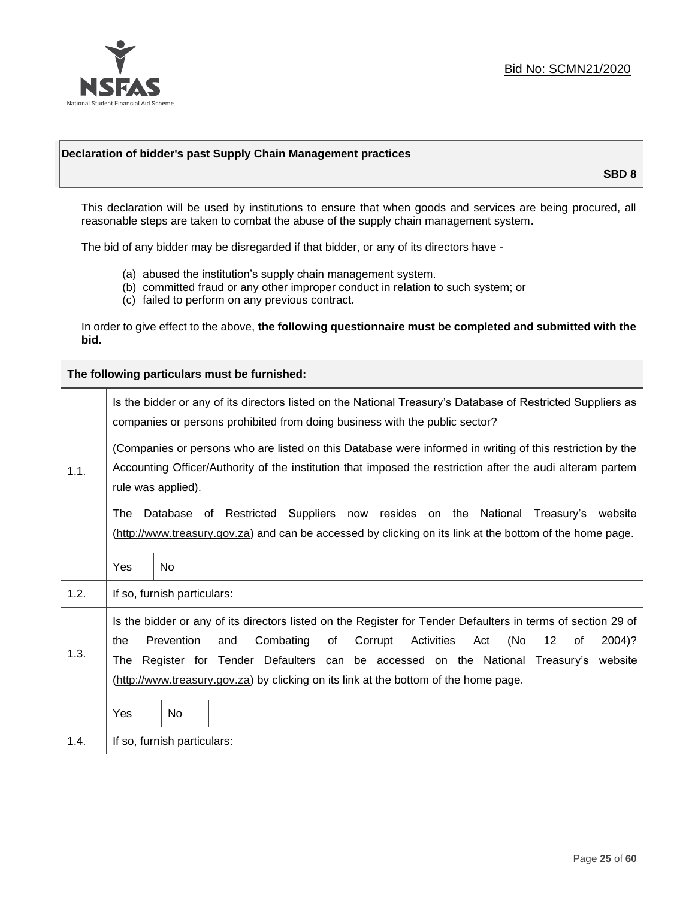

#### **Declaration of bidder's past Supply Chain Management practices**

**SBD 8**

This declaration will be used by institutions to ensure that when goods and services are being procured, all reasonable steps are taken to combat the abuse of the supply chain management system.

The bid of any bidder may be disregarded if that bidder, or any of its directors have -

- (a) abused the institution's supply chain management system.
- (b) committed fraud or any other improper conduct in relation to such system; or
- (c) failed to perform on any previous contract.

In order to give effect to the above, **the following questionnaire must be completed and submitted with the bid.**

**The following particulars must be furnished:**

|      |                                                                                                                                                                                                                                               |                             | Is the bidder or any of its directors listed on the National Treasury's Database of Restricted Suppliers as<br>companies or persons prohibited from doing business with the public sector?                                                                                                                                                                                            |
|------|-----------------------------------------------------------------------------------------------------------------------------------------------------------------------------------------------------------------------------------------------|-----------------------------|---------------------------------------------------------------------------------------------------------------------------------------------------------------------------------------------------------------------------------------------------------------------------------------------------------------------------------------------------------------------------------------|
| 1.1. | (Companies or persons who are listed on this Database were informed in writing of this restriction by the<br>Accounting Officer/Authority of the institution that imposed the restriction after the audi alteram partem<br>rule was applied). |                             |                                                                                                                                                                                                                                                                                                                                                                                       |
|      | The                                                                                                                                                                                                                                           |                             | Database of Restricted Suppliers now resides on the National Treasury's<br>website<br>(http://www.treasury.gov.za) and can be accessed by clicking on its link at the bottom of the home page.                                                                                                                                                                                        |
|      | Yes                                                                                                                                                                                                                                           | <b>No</b>                   |                                                                                                                                                                                                                                                                                                                                                                                       |
| 1.2. |                                                                                                                                                                                                                                               | If so, furnish particulars: |                                                                                                                                                                                                                                                                                                                                                                                       |
| 1.3. | the<br>The                                                                                                                                                                                                                                    | Prevention                  | Is the bidder or any of its directors listed on the Register for Tender Defaulters in terms of section 29 of<br>Combating<br>Corrupt<br>Activities<br>(No<br>and<br>of<br>Act<br>$12 \,$<br>2004)?<br>of<br>Register for Tender Defaulters can be accessed on the National Treasury's website<br>(http://www.treasury.gov.za) by clicking on its link at the bottom of the home page. |
|      | Yes                                                                                                                                                                                                                                           | No                          |                                                                                                                                                                                                                                                                                                                                                                                       |
| 1.4. |                                                                                                                                                                                                                                               | If so, furnish particulars: |                                                                                                                                                                                                                                                                                                                                                                                       |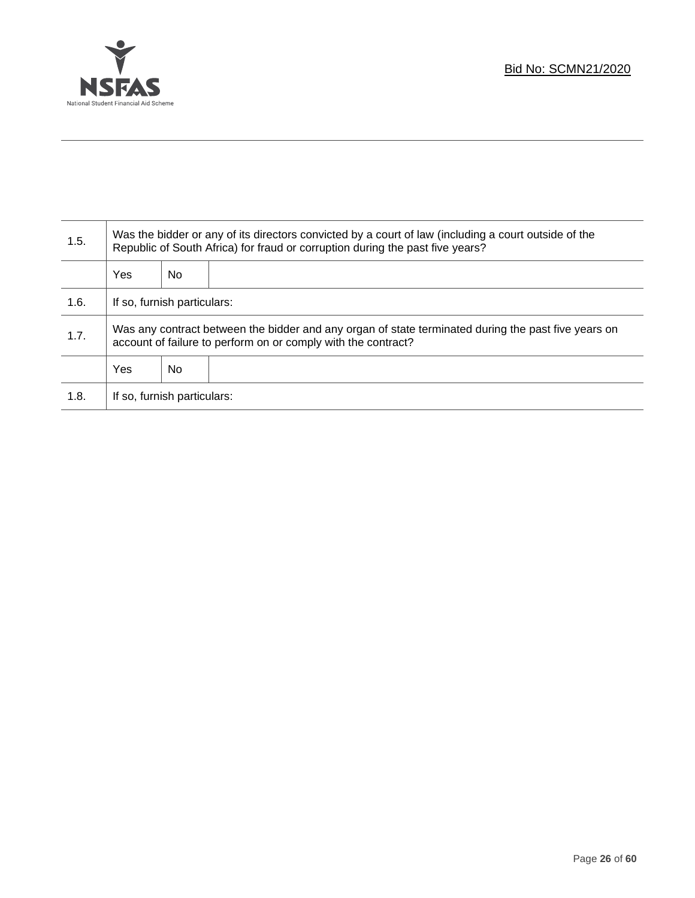

Τ

| 1.5. | Was the bidder or any of its directors convicted by a court of law (including a court outside of the<br>Republic of South Africa) for fraud or corruption during the past five years? |     |  |  |
|------|---------------------------------------------------------------------------------------------------------------------------------------------------------------------------------------|-----|--|--|
|      | Yes                                                                                                                                                                                   | No. |  |  |
| 1.6. | If so, furnish particulars:                                                                                                                                                           |     |  |  |
| 1.7. | Was any contract between the bidder and any organ of state terminated during the past five years on<br>account of failure to perform on or comply with the contract?                  |     |  |  |
|      | Yes                                                                                                                                                                                   | No. |  |  |
| 1.8. | If so, furnish particulars:                                                                                                                                                           |     |  |  |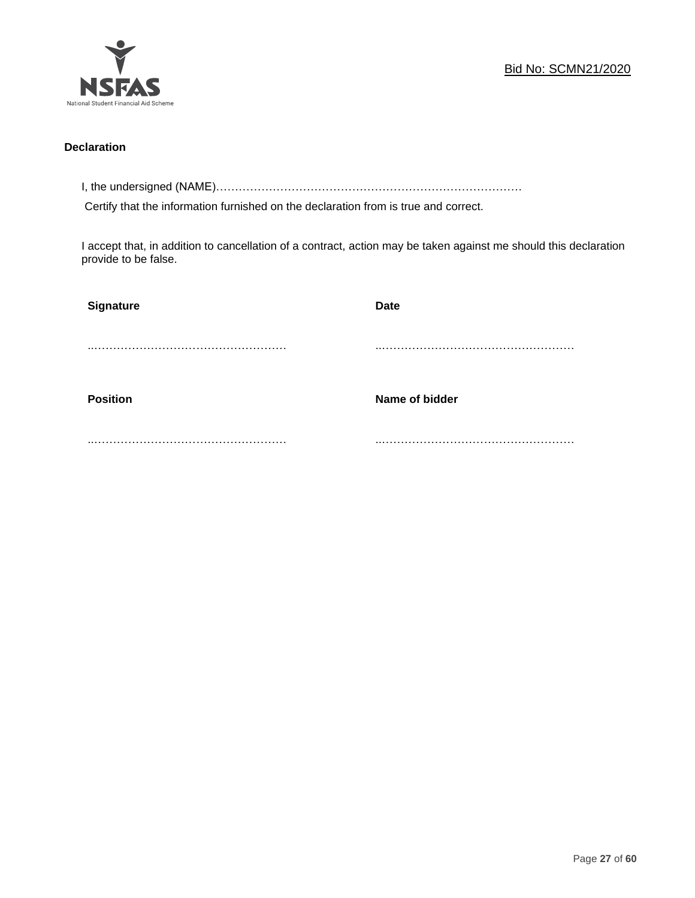

## **Declaration**

I, the undersigned (NAME)………………………………………………………………………

Certify that the information furnished on the declaration from is true and correct.

I accept that, in addition to cancellation of a contract, action may be taken against me should this declaration provide to be false.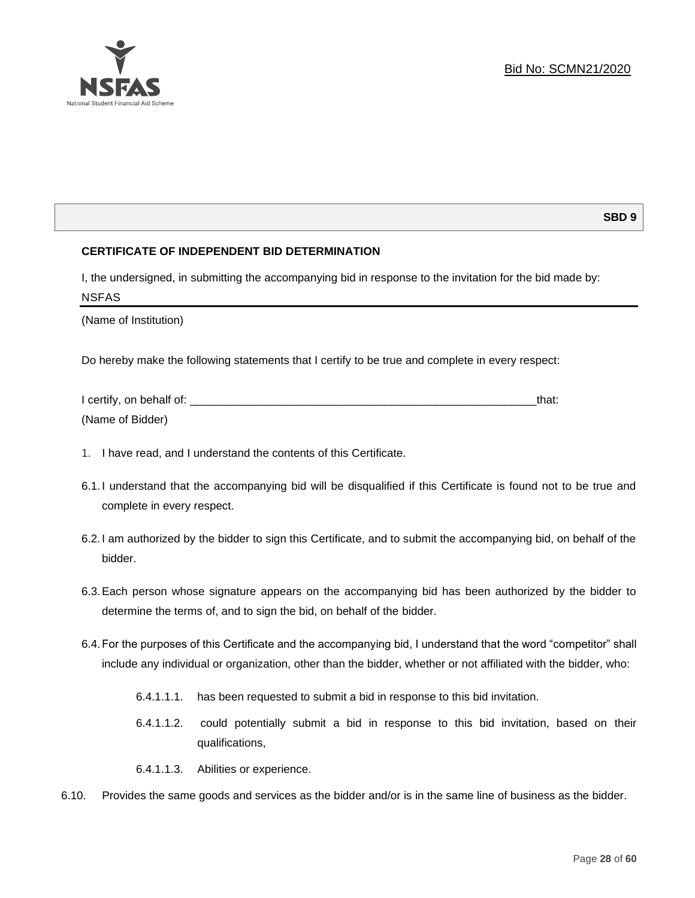#### **SBD 9**

#### **CERTIFICATE OF INDEPENDENT BID DETERMINATION**

I, the undersigned, in submitting the accompanying bid in response to the invitation for the bid made by: NSFAS

(Name of Institution)

Do hereby make the following statements that I certify to be true and complete in every respect:

| I certify, on behalf of: |  |
|--------------------------|--|
| (Name of Bidder)         |  |

- 1. I have read, and I understand the contents of this Certificate.
- 6.1.I understand that the accompanying bid will be disqualified if this Certificate is found not to be true and complete in every respect.
- 6.2.I am authorized by the bidder to sign this Certificate, and to submit the accompanying bid, on behalf of the bidder.
- 6.3.Each person whose signature appears on the accompanying bid has been authorized by the bidder to determine the terms of, and to sign the bid, on behalf of the bidder.
- 6.4.For the purposes of this Certificate and the accompanying bid, I understand that the word "competitor" shall include any individual or organization, other than the bidder, whether or not affiliated with the bidder, who:
	- 6.4.1.1.1. has been requested to submit a bid in response to this bid invitation.
	- 6.4.1.1.2. could potentially submit a bid in response to this bid invitation, based on their qualifications,
	- 6.4.1.1.3. Abilities or experience.
- 6.10. Provides the same goods and services as the bidder and/or is in the same line of business as the bidder.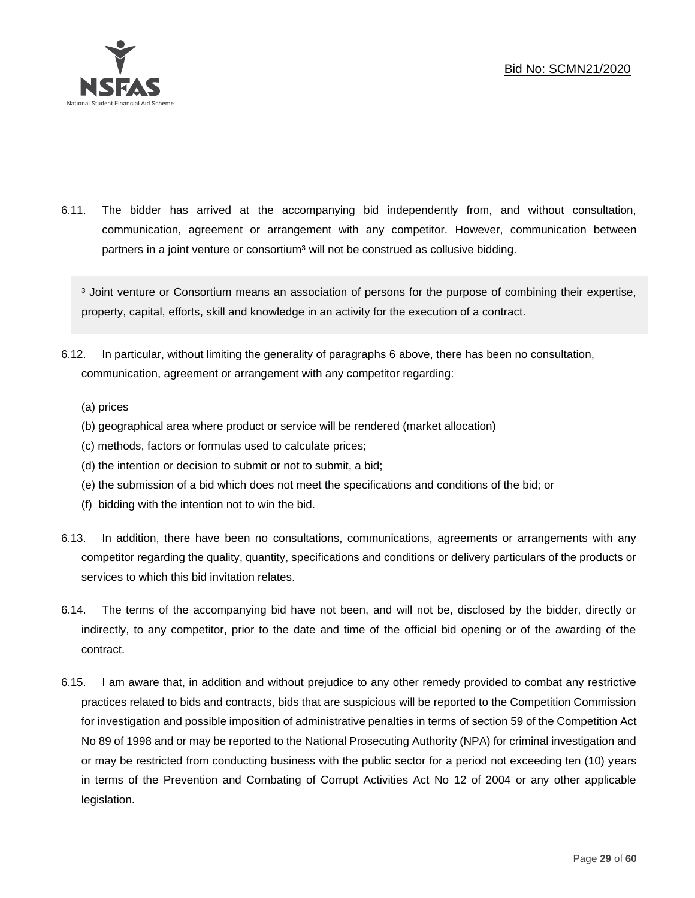

6.11. The bidder has arrived at the accompanying bid independently from, and without consultation, communication, agreement or arrangement with any competitor. However, communication between partners in a joint venture or consortium<sup>3</sup> will not be construed as collusive bidding.

<sup>3</sup> Joint venture or Consortium means an association of persons for the purpose of combining their expertise, property, capital, efforts, skill and knowledge in an activity for the execution of a contract.

- 6.12. In particular, without limiting the generality of paragraphs 6 above, there has been no consultation, communication, agreement or arrangement with any competitor regarding:
	- (a) prices
	- (b) geographical area where product or service will be rendered (market allocation)
	- (c) methods, factors or formulas used to calculate prices;
	- (d) the intention or decision to submit or not to submit, a bid;
	- (e) the submission of a bid which does not meet the specifications and conditions of the bid; or
	- (f) bidding with the intention not to win the bid.
- 6.13. In addition, there have been no consultations, communications, agreements or arrangements with any competitor regarding the quality, quantity, specifications and conditions or delivery particulars of the products or services to which this bid invitation relates.
- 6.14. The terms of the accompanying bid have not been, and will not be, disclosed by the bidder, directly or indirectly, to any competitor, prior to the date and time of the official bid opening or of the awarding of the contract.
- 6.15. I am aware that, in addition and without prejudice to any other remedy provided to combat any restrictive practices related to bids and contracts, bids that are suspicious will be reported to the Competition Commission for investigation and possible imposition of administrative penalties in terms of section 59 of the Competition Act No 89 of 1998 and or may be reported to the National Prosecuting Authority (NPA) for criminal investigation and or may be restricted from conducting business with the public sector for a period not exceeding ten (10) years in terms of the Prevention and Combating of Corrupt Activities Act No 12 of 2004 or any other applicable legislation.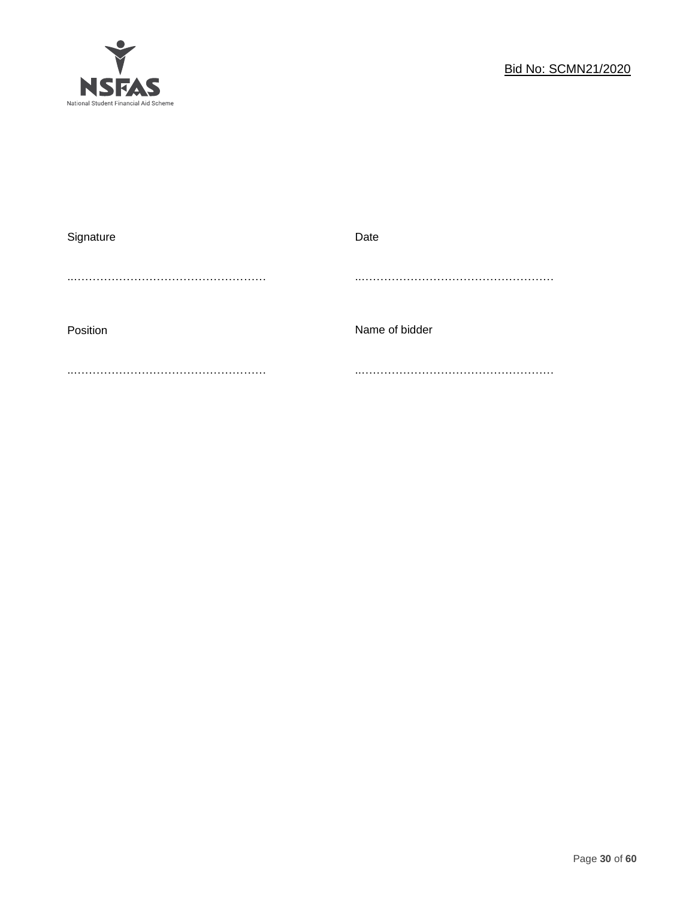

| Signature | Date           |
|-----------|----------------|
|           |                |
|           |                |
|           |                |
| Position  | Name of bidder |
|           |                |
|           |                |
|           |                |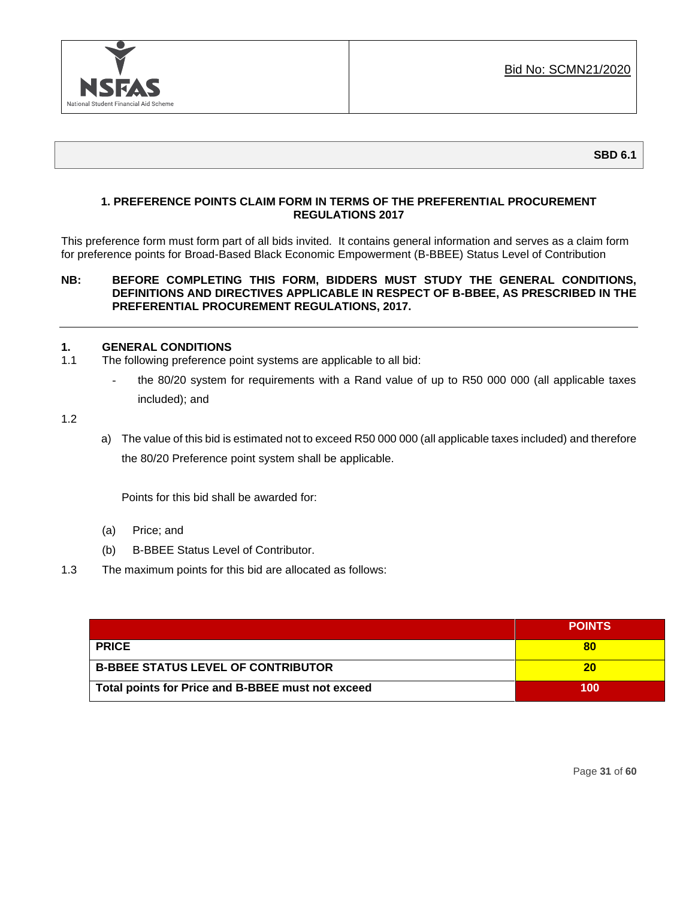

## **1. PREFERENCE POINTS CLAIM FORM IN TERMS OF THE PREFERENTIAL PROCUREMENT REGULATIONS 2017**

This preference form must form part of all bids invited. It contains general information and serves as a claim form for preference points for Broad-Based Black Economic Empowerment (B-BBEE) Status Level of Contribution

#### **NB: BEFORE COMPLETING THIS FORM, BIDDERS MUST STUDY THE GENERAL CONDITIONS, DEFINITIONS AND DIRECTIVES APPLICABLE IN RESPECT OF B-BBEE, AS PRESCRIBED IN THE PREFERENTIAL PROCUREMENT REGULATIONS, 2017.**

#### **1. GENERAL CONDITIONS**

- 1.1 The following preference point systems are applicable to all bid:
	- the 80/20 system for requirements with a Rand value of up to R50 000 000 (all applicable taxes included); and

1.2

a) The value of this bid is estimated not to exceed R50 000 000 (all applicable taxes included) and therefore the 80/20 Preference point system shall be applicable.

Points for this bid shall be awarded for:

- (a) Price; and
- (b) B-BBEE Status Level of Contributor.
- 1.3 The maximum points for this bid are allocated as follows:

|                                                   | <b>POINTS</b> |
|---------------------------------------------------|---------------|
| <b>PRICE</b>                                      | 80            |
| <b>B-BBEE STATUS LEVEL OF CONTRIBUTOR</b>         | 20            |
| Total points for Price and B-BBEE must not exceed | 100           |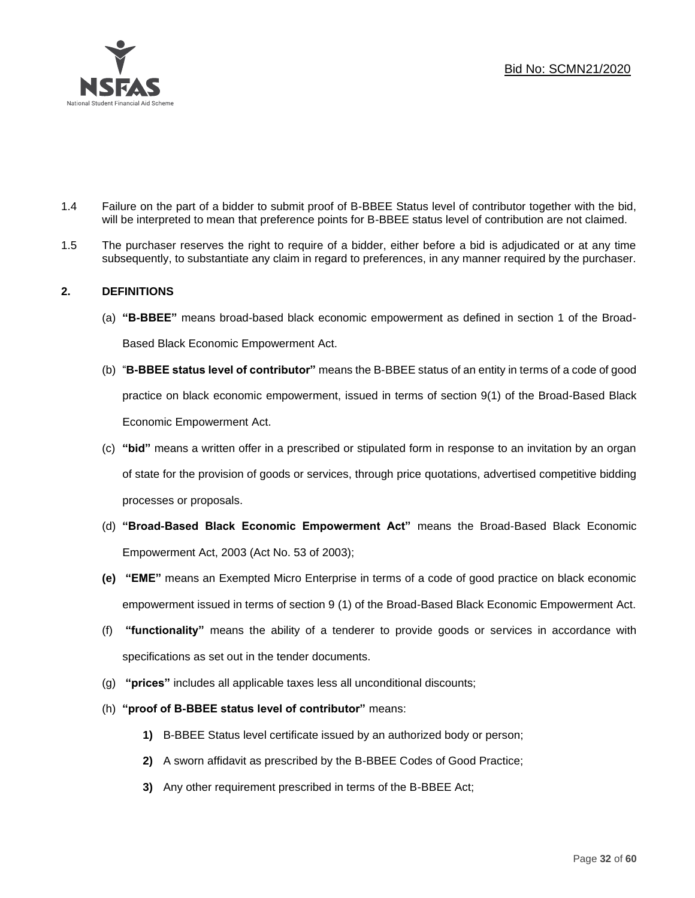

- 1.4 Failure on the part of a bidder to submit proof of B-BBEE Status level of contributor together with the bid, will be interpreted to mean that preference points for B-BBEE status level of contribution are not claimed.
- 1.5 The purchaser reserves the right to require of a bidder, either before a bid is adjudicated or at any time subsequently, to substantiate any claim in regard to preferences, in any manner required by the purchaser.

## **2. DEFINITIONS**

- (a) **"B-BBEE"** means broad-based black economic empowerment as defined in section 1 of the Broad-Based Black Economic Empowerment Act.
- (b) "**B-BBEE status level of contributor"** means the B-BBEE status of an entity in terms of a code of good practice on black economic empowerment, issued in terms of section 9(1) of the Broad-Based Black Economic Empowerment Act.
- (c) **"bid"** means a written offer in a prescribed or stipulated form in response to an invitation by an organ of state for the provision of goods or services, through price quotations, advertised competitive bidding processes or proposals.
- (d) **"Broad-Based Black Economic Empowerment Act"** means the Broad-Based Black Economic Empowerment Act, 2003 (Act No. 53 of 2003);
- **(e) "EME"** means an Exempted Micro Enterprise in terms of a code of good practice on black economic empowerment issued in terms of section 9 (1) of the Broad-Based Black Economic Empowerment Act.
- (f) **"functionality"** means the ability of a tenderer to provide goods or services in accordance with specifications as set out in the tender documents.
- (g) **"prices"** includes all applicable taxes less all unconditional discounts;
- (h) **"proof of B-BBEE status level of contributor"** means:
	- **1)** B-BBEE Status level certificate issued by an authorized body or person;
	- **2)** A sworn affidavit as prescribed by the B-BBEE Codes of Good Practice;
	- **3)** Any other requirement prescribed in terms of the B-BBEE Act;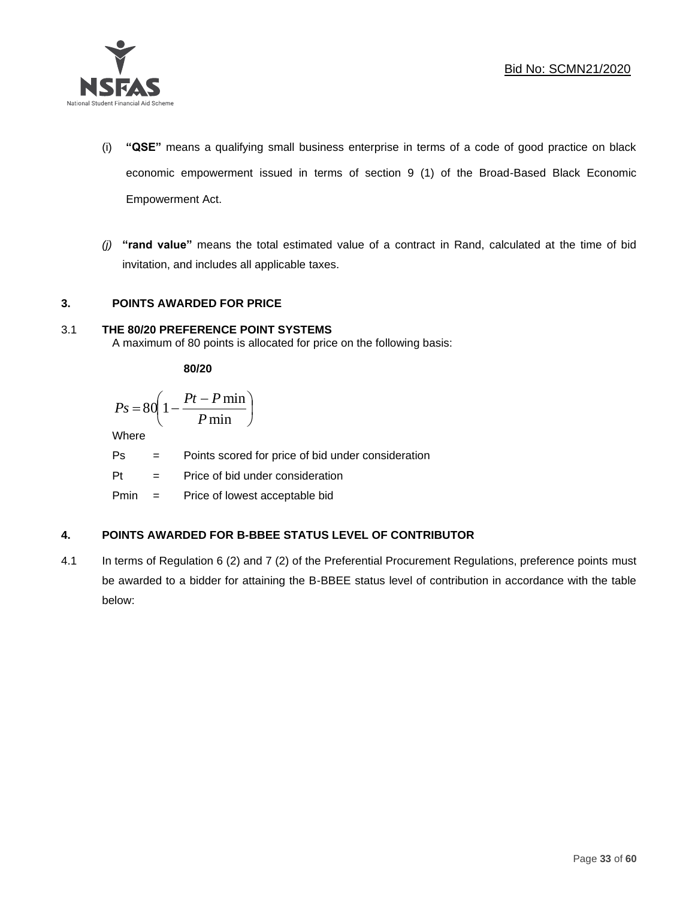

- (i) **"QSE"** means a qualifying small business enterprise in terms of a code of good practice on black economic empowerment issued in terms of section 9 (1) of the Broad-Based Black Economic Empowerment Act.
- *(j)* **"rand value"** means the total estimated value of a contract in Rand, calculated at the time of bid invitation, and includes all applicable taxes.

## **3. POINTS AWARDED FOR PRICE**

## 3.1 **THE 80/20 PREFERENCE POINT SYSTEMS**

A maximum of 80 points is allocated for price on the following basis:

**80/20**

$$
Ps = 80 \left( 1 - \frac{Pt - P \min}{P \min} \right)
$$

Where

Ps = Points scored for price of bid under consideration

l

Pt = Price of bid under consideration

Pmin = Price of lowest acceptable bid

## **4. POINTS AWARDED FOR B-BBEE STATUS LEVEL OF CONTRIBUTOR**

4.1 In terms of Regulation 6 (2) and 7 (2) of the Preferential Procurement Regulations, preference points must be awarded to a bidder for attaining the B-BBEE status level of contribution in accordance with the table below: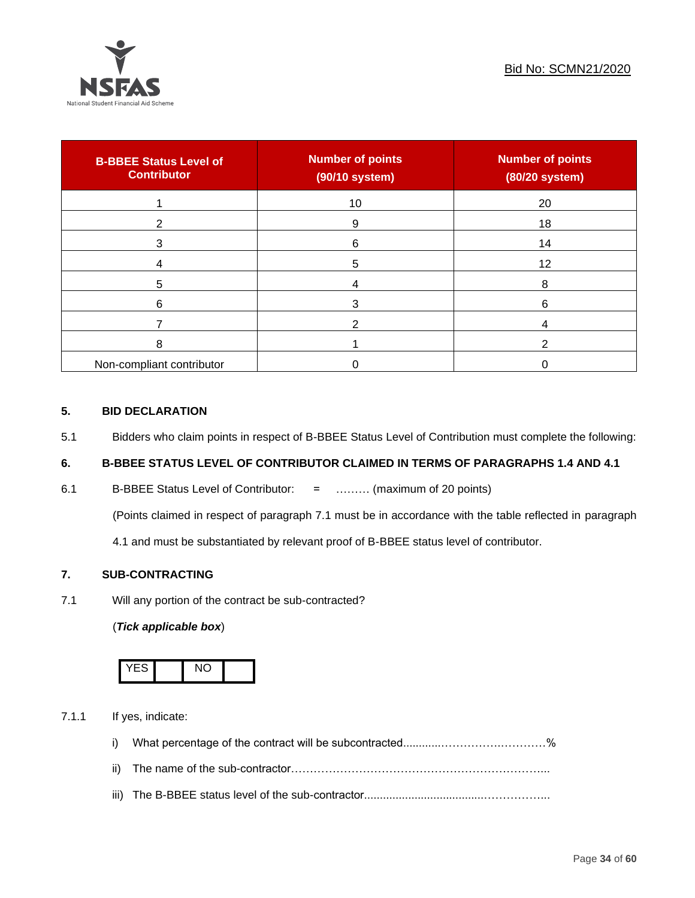

| <b>B-BBEE Status Level of</b><br><b>Contributor</b> | <b>Number of points</b><br>(90/10 system) | <b>Number of points</b><br>(80/20 system) |
|-----------------------------------------------------|-------------------------------------------|-------------------------------------------|
|                                                     | 10                                        | 20                                        |
| 2                                                   | 9                                         | 18                                        |
| 3                                                   | 6                                         | 14                                        |
|                                                     | 5                                         | 12                                        |
| 5                                                   |                                           | 8                                         |
| 6                                                   | 3                                         | 6                                         |
|                                                     |                                           |                                           |
| 8                                                   |                                           |                                           |
| Non-compliant contributor                           |                                           |                                           |

#### **5. BID DECLARATION**

5.1 Bidders who claim points in respect of B-BBEE Status Level of Contribution must complete the following:

## **6. B-BBEE STATUS LEVEL OF CONTRIBUTOR CLAIMED IN TERMS OF PARAGRAPHS 1.4 AND 4.1**

6.1 B-BBEE Status Level of Contributor: = ……… (maximum of 20 points)

(Points claimed in respect of paragraph 7.1 must be in accordance with the table reflected in paragraph

4.1 and must be substantiated by relevant proof of B-BBEE status level of contributor.

## **7. SUB-CONTRACTING**

7.1 Will any portion of the contract be sub-contracted?

## (*Tick applicable box*)



7.1.1 If yes, indicate:

- i) What percentage of the contract will be subcontracted............…………….…………%
- ii) The name of the sub-contractor…………………………………………………………...
- iii) The B-BBEE status level of the sub-contractor......................................……………...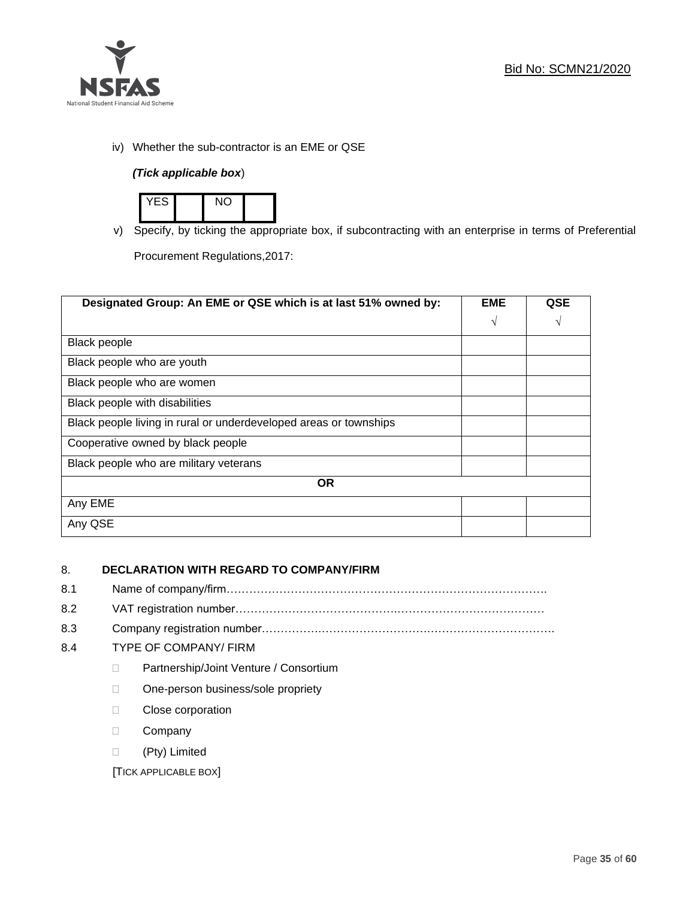

iv) Whether the sub-contractor is an EME or QSE

## *(Tick applicable box*)



v) Specify, by ticking the appropriate box, if subcontracting with an enterprise in terms of Preferential

Procurement Regulations,2017:

| Designated Group: An EME or QSE which is at last 51% owned by:    |            | <b>QSE</b> |
|-------------------------------------------------------------------|------------|------------|
|                                                                   | $\sqrt{ }$ | V          |
| <b>Black people</b>                                               |            |            |
| Black people who are youth                                        |            |            |
| Black people who are women                                        |            |            |
| Black people with disabilities                                    |            |            |
| Black people living in rural or underdeveloped areas or townships |            |            |
| Cooperative owned by black people                                 |            |            |
| Black people who are military veterans                            |            |            |
| <b>OR</b>                                                         |            |            |
| Any EME                                                           |            |            |
| Any QSE                                                           |            |            |

## 8. **DECLARATION WITH REGARD TO COMPANY/FIRM**

- 8.1 Name of company/firm………………………………………………………………………….
- 8.2 VAT registration number…………………………………….…………………………………
- 8.3 Company registration number…………….……………………….…………………………….

## 8.4 TYPE OF COMPANY/ FIRM

- D Partnership/Joint Venture / Consortium
- □ One-person business/sole propriety
- D Close corporation
- D Company
- (Pty) Limited

[TICK APPLICABLE BOX]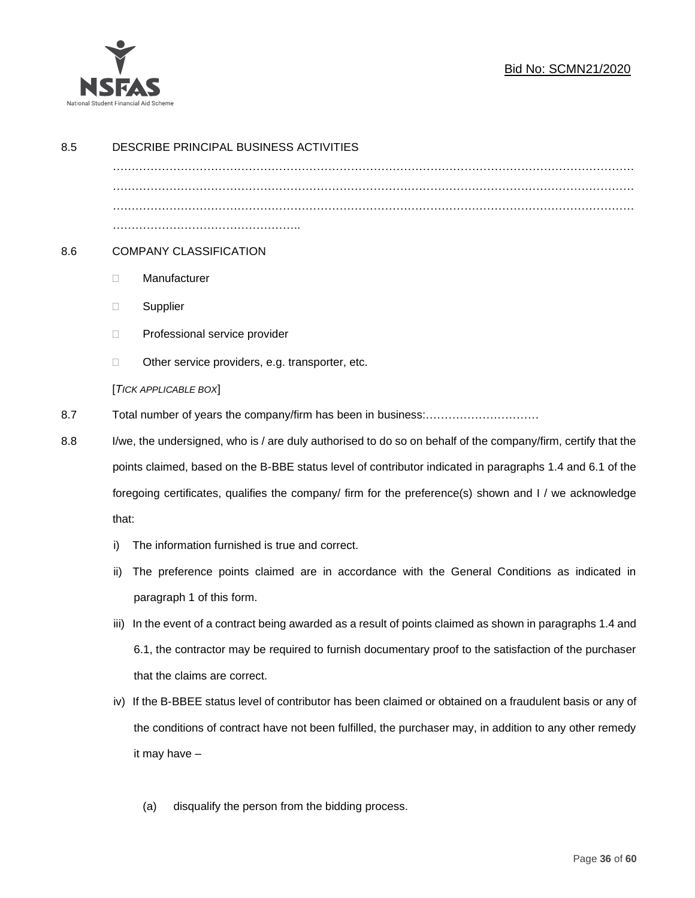

| 8.5 | DESCRIBE PRINCIPAL BUSINESS ACTIVITIES                                                                                                                                                                              |                                                                                                            |  |  |  |
|-----|---------------------------------------------------------------------------------------------------------------------------------------------------------------------------------------------------------------------|------------------------------------------------------------------------------------------------------------|--|--|--|
|     |                                                                                                                                                                                                                     |                                                                                                            |  |  |  |
|     |                                                                                                                                                                                                                     |                                                                                                            |  |  |  |
| 8.6 |                                                                                                                                                                                                                     | <b>COMPANY CLASSIFICATION</b>                                                                              |  |  |  |
|     | $\Box$                                                                                                                                                                                                              | Manufacturer                                                                                               |  |  |  |
|     | Ц                                                                                                                                                                                                                   | Supplier                                                                                                   |  |  |  |
|     | □                                                                                                                                                                                                                   | Professional service provider                                                                              |  |  |  |
|     | □                                                                                                                                                                                                                   | Other service providers, e.g. transporter, etc.                                                            |  |  |  |
|     |                                                                                                                                                                                                                     | [TICK APPLICABLE BOX]                                                                                      |  |  |  |
| 8.7 |                                                                                                                                                                                                                     |                                                                                                            |  |  |  |
| 8.8 | I/we, the undersigned, who is / are duly authorised to do so on behalf of the company/firm, certify that the                                                                                                        |                                                                                                            |  |  |  |
|     | points claimed, based on the B-BBE status level of contributor indicated in paragraphs 1.4 and 6.1 of the<br>foregoing certificates, qualifies the company/ firm for the preference(s) shown and I / we acknowledge |                                                                                                            |  |  |  |
|     |                                                                                                                                                                                                                     |                                                                                                            |  |  |  |
|     | that:                                                                                                                                                                                                               |                                                                                                            |  |  |  |
|     | i)                                                                                                                                                                                                                  | The information furnished is true and correct.                                                             |  |  |  |
|     | ii)                                                                                                                                                                                                                 | The preference points claimed are in accordance with the General Conditions as indicated in                |  |  |  |
|     |                                                                                                                                                                                                                     | paragraph 1 of this form.                                                                                  |  |  |  |
|     | iii)                                                                                                                                                                                                                | In the event of a contract being awarded as a result of points claimed as shown in paragraphs 1.4 and      |  |  |  |
|     |                                                                                                                                                                                                                     | 6.1, the contractor may be required to furnish documentary proof to the satisfaction of the purchaser      |  |  |  |
|     |                                                                                                                                                                                                                     | that the claims are correct.                                                                               |  |  |  |
|     |                                                                                                                                                                                                                     | iv) If the B-BBEE status level of contributor has been claimed or obtained on a fraudulent basis or any of |  |  |  |
|     |                                                                                                                                                                                                                     | the conditions of contract have not been fulfilled, the purchaser may, in addition to any other remedy     |  |  |  |
|     |                                                                                                                                                                                                                     | it may have -                                                                                              |  |  |  |
|     |                                                                                                                                                                                                                     |                                                                                                            |  |  |  |

(a) disqualify the person from the bidding process.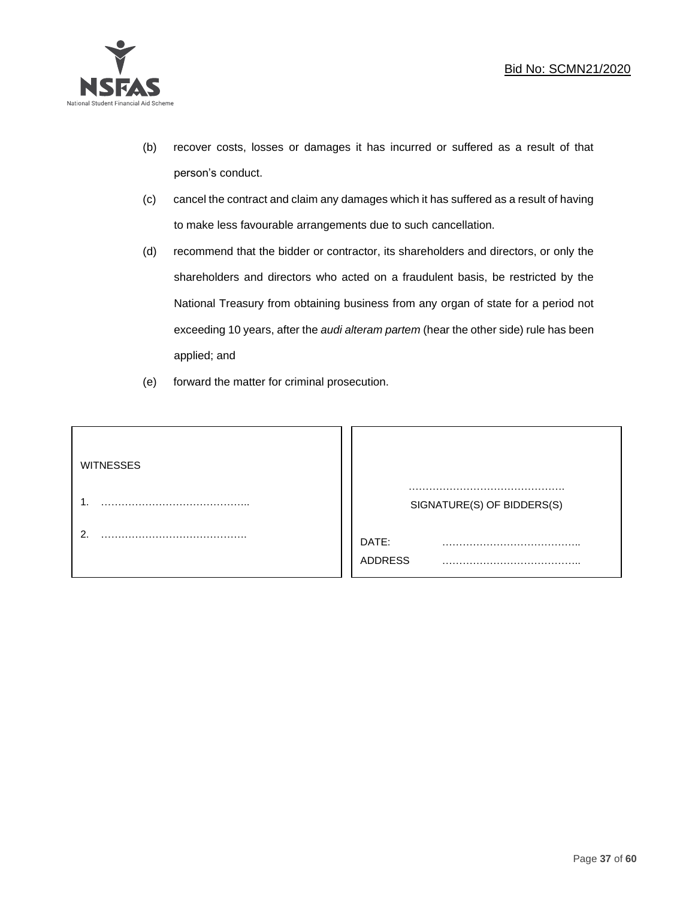

- (b) recover costs, losses or damages it has incurred or suffered as a result of that person's conduct.
- (c) cancel the contract and claim any damages which it has suffered as a result of having to make less favourable arrangements due to such cancellation.
- (d) recommend that the bidder or contractor, its shareholders and directors, or only the shareholders and directors who acted on a fraudulent basis, be restricted by the National Treasury from obtaining business from any organ of state for a period not exceeding 10 years, after the *audi alteram partem* (hear the other side) rule has been applied; and
- (e) forward the matter for criminal prosecution.

| <b>WITNESSES</b> |                              |
|------------------|------------------------------|
|                  | SIGNATURE(S) OF BIDDERS(S)   |
|                  | DATE:<br>.<br><b>ADDRESS</b> |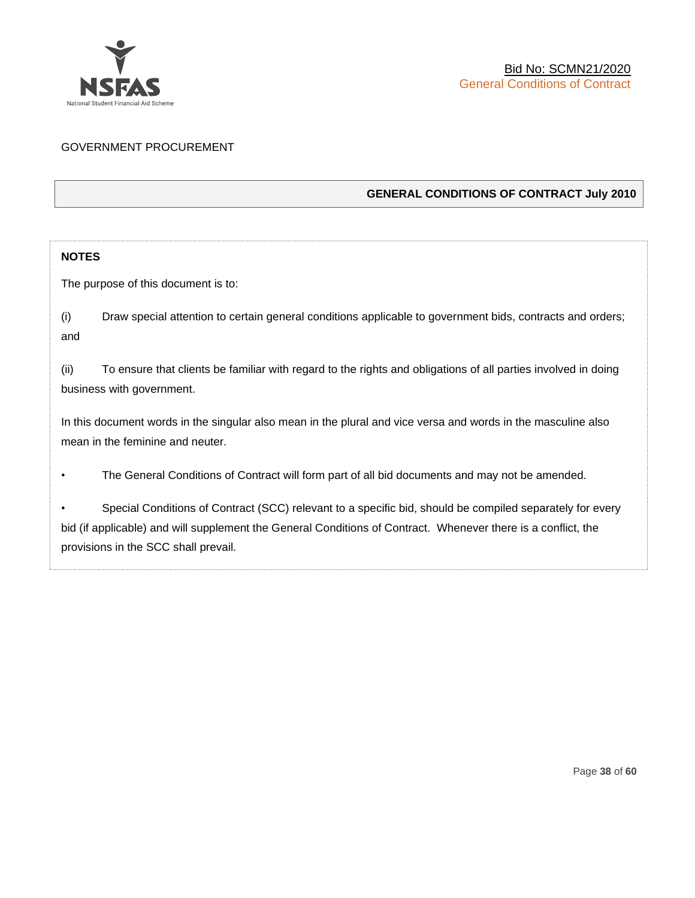

## GOVERNMENT PROCUREMENT

## **GENERAL CONDITIONS OF CONTRACT July 2010**

## **NOTES**

The purpose of this document is to:

(i) Draw special attention to certain general conditions applicable to government bids, contracts and orders; and

(ii) To ensure that clients be familiar with regard to the rights and obligations of all parties involved in doing business with government.

In this document words in the singular also mean in the plural and vice versa and words in the masculine also mean in the feminine and neuter.

• The General Conditions of Contract will form part of all bid documents and may not be amended.

Special Conditions of Contract (SCC) relevant to a specific bid, should be compiled separately for every bid (if applicable) and will supplement the General Conditions of Contract. Whenever there is a conflict, the provisions in the SCC shall prevail.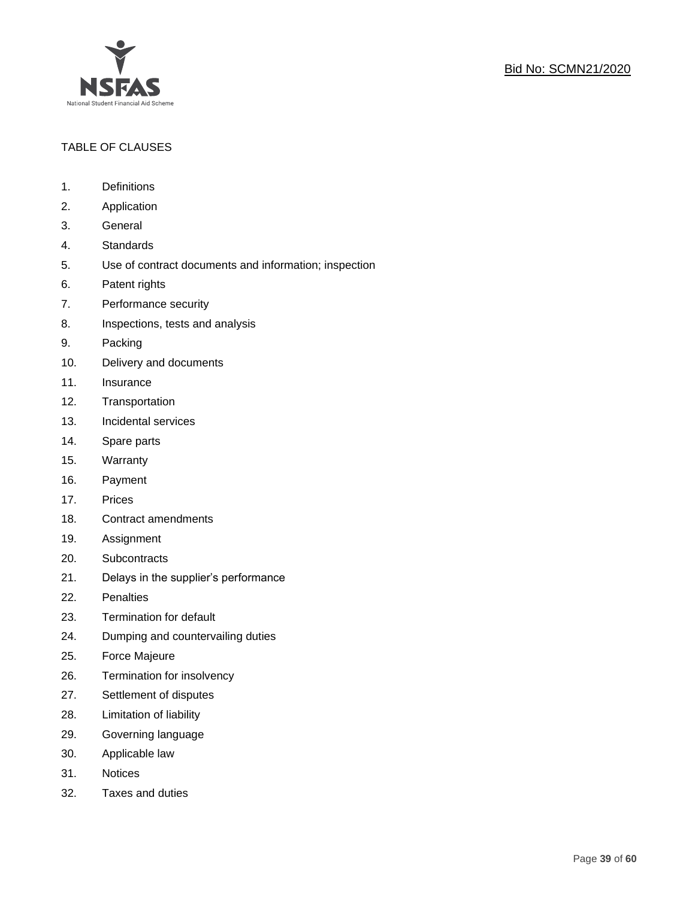

## TABLE OF CLAUSES

- 1. Definitions
- 2. Application
- 3. General
- 4. Standards
- 5. Use of contract documents and information; inspection
- 6. Patent rights
- 7. Performance security
- 8. Inspections, tests and analysis
- 9. Packing
- 10. Delivery and documents
- 11. Insurance
- 12. Transportation
- 13. Incidental services
- 14. Spare parts
- 15. Warranty
- 16. Payment
- 17. Prices
- 18. Contract amendments
- 19. Assignment
- 20. Subcontracts
- 21. Delays in the supplier's performance
- 22. Penalties
- 23. Termination for default
- 24. Dumping and countervailing duties
- 25. Force Majeure
- 26. Termination for insolvency
- 27. Settlement of disputes
- 28. Limitation of liability
- 29. Governing language
- 30. Applicable law
- 31. Notices
- 32. Taxes and duties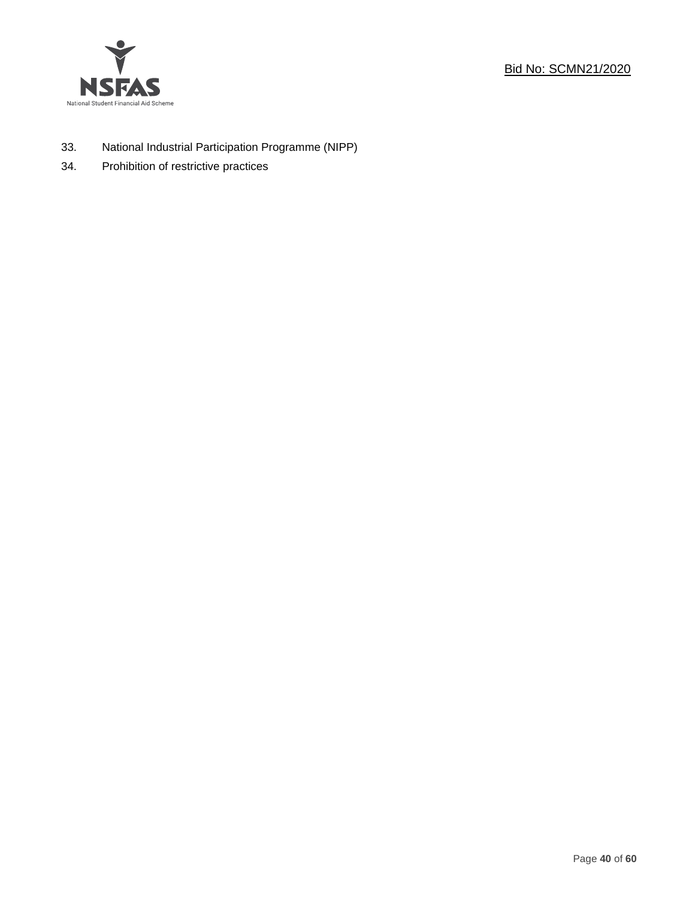



- 33. National Industrial Participation Programme (NIPP)
- 34. Prohibition of restrictive practices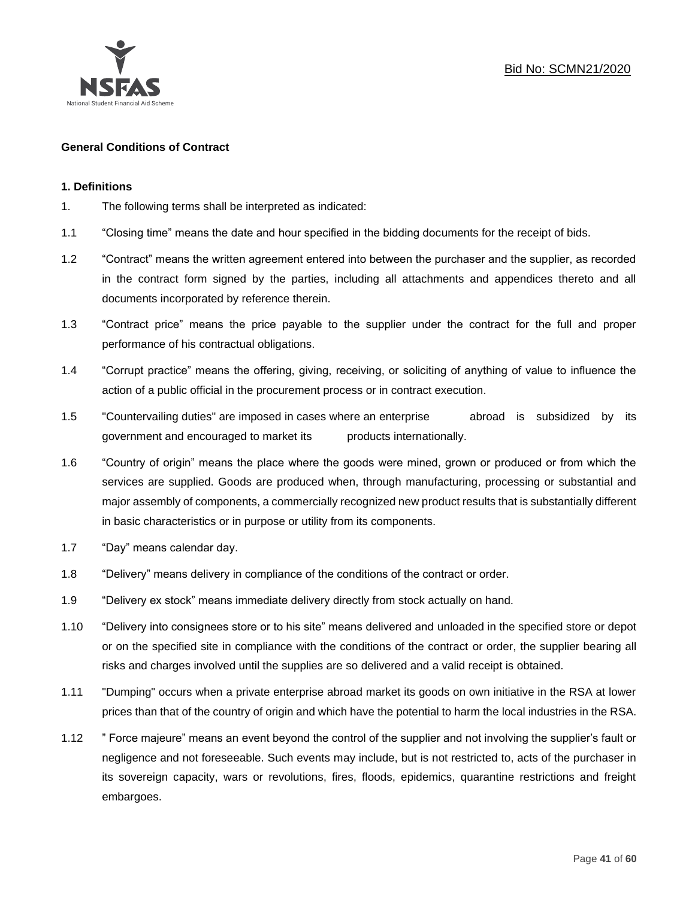

## **General Conditions of Contract**

#### **1. Definitions**

- 1. The following terms shall be interpreted as indicated:
- 1.1 "Closing time" means the date and hour specified in the bidding documents for the receipt of bids.
- 1.2 "Contract" means the written agreement entered into between the purchaser and the supplier, as recorded in the contract form signed by the parties, including all attachments and appendices thereto and all documents incorporated by reference therein.
- 1.3 "Contract price" means the price payable to the supplier under the contract for the full and proper performance of his contractual obligations.
- 1.4 "Corrupt practice" means the offering, giving, receiving, or soliciting of anything of value to influence the action of a public official in the procurement process or in contract execution.
- 1.5 "Countervailing duties" are imposed in cases where an enterprise abroad is subsidized by its government and encouraged to market its products internationally.
- 1.6 "Country of origin" means the place where the goods were mined, grown or produced or from which the services are supplied. Goods are produced when, through manufacturing, processing or substantial and major assembly of components, a commercially recognized new product results that is substantially different in basic characteristics or in purpose or utility from its components.
- 1.7 "Day" means calendar day.
- 1.8 "Delivery" means delivery in compliance of the conditions of the contract or order.
- 1.9 "Delivery ex stock" means immediate delivery directly from stock actually on hand.
- 1.10 "Delivery into consignees store or to his site" means delivered and unloaded in the specified store or depot or on the specified site in compliance with the conditions of the contract or order, the supplier bearing all risks and charges involved until the supplies are so delivered and a valid receipt is obtained.
- 1.11 "Dumping" occurs when a private enterprise abroad market its goods on own initiative in the RSA at lower prices than that of the country of origin and which have the potential to harm the local industries in the RSA.
- 1.12 " Force majeure" means an event beyond the control of the supplier and not involving the supplier's fault or negligence and not foreseeable. Such events may include, but is not restricted to, acts of the purchaser in its sovereign capacity, wars or revolutions, fires, floods, epidemics, quarantine restrictions and freight embargoes.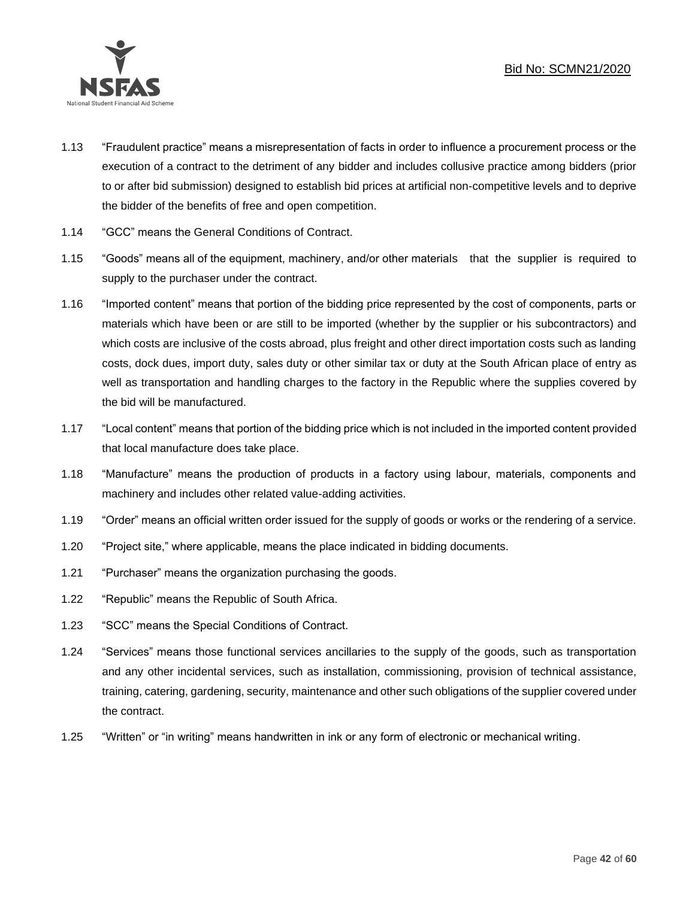

- 1.13 "Fraudulent practice" means a misrepresentation of facts in order to influence a procurement process or the execution of a contract to the detriment of any bidder and includes collusive practice among bidders (prior to or after bid submission) designed to establish bid prices at artificial non-competitive levels and to deprive the bidder of the benefits of free and open competition.
- 1.14 "GCC" means the General Conditions of Contract.
- 1.15 "Goods" means all of the equipment, machinery, and/or other materials that the supplier is required to supply to the purchaser under the contract.
- 1.16 "Imported content" means that portion of the bidding price represented by the cost of components, parts or materials which have been or are still to be imported (whether by the supplier or his subcontractors) and which costs are inclusive of the costs abroad, plus freight and other direct importation costs such as landing costs, dock dues, import duty, sales duty or other similar tax or duty at the South African place of entry as well as transportation and handling charges to the factory in the Republic where the supplies covered by the bid will be manufactured.
- 1.17 "Local content" means that portion of the bidding price which is not included in the imported content provided that local manufacture does take place.
- 1.18 "Manufacture" means the production of products in a factory using labour, materials, components and machinery and includes other related value-adding activities.
- 1.19 "Order" means an official written order issued for the supply of goods or works or the rendering of a service.
- 1.20 "Project site," where applicable, means the place indicated in bidding documents.
- 1.21 "Purchaser" means the organization purchasing the goods.
- 1.22 "Republic" means the Republic of South Africa.
- 1.23 "SCC" means the Special Conditions of Contract.
- 1.24 "Services" means those functional services ancillaries to the supply of the goods, such as transportation and any other incidental services, such as installation, commissioning, provision of technical assistance, training, catering, gardening, security, maintenance and other such obligations of the supplier covered under the contract.
- 1.25 "Written" or "in writing" means handwritten in ink or any form of electronic or mechanical writing.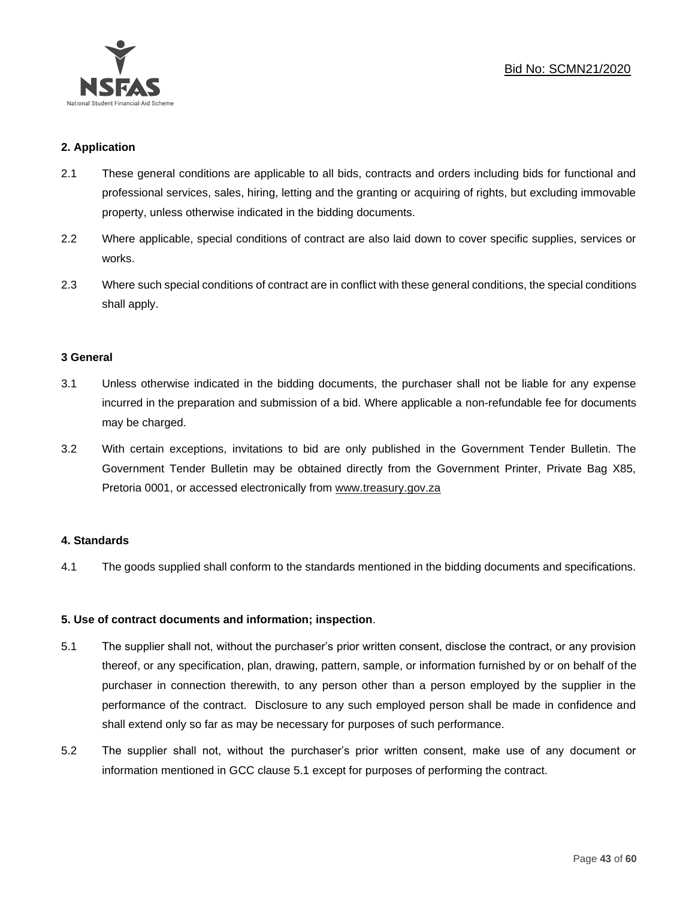

## **2. Application**

- 2.1 These general conditions are applicable to all bids, contracts and orders including bids for functional and professional services, sales, hiring, letting and the granting or acquiring of rights, but excluding immovable property, unless otherwise indicated in the bidding documents.
- 2.2 Where applicable, special conditions of contract are also laid down to cover specific supplies, services or works.
- 2.3 Where such special conditions of contract are in conflict with these general conditions, the special conditions shall apply.

#### **3 General**

- 3.1 Unless otherwise indicated in the bidding documents, the purchaser shall not be liable for any expense incurred in the preparation and submission of a bid. Where applicable a non-refundable fee for documents may be charged.
- 3.2 With certain exceptions, invitations to bid are only published in the Government Tender Bulletin. The Government Tender Bulletin may be obtained directly from the Government Printer, Private Bag X85, Pretoria 0001, or accessed electronically from [www.treasury.gov.za](http://www.treasury.gov.za/)

## **4. Standards**

4.1 The goods supplied shall conform to the standards mentioned in the bidding documents and specifications.

## **5. Use of contract documents and information; inspection**.

- 5.1 The supplier shall not, without the purchaser's prior written consent, disclose the contract, or any provision thereof, or any specification, plan, drawing, pattern, sample, or information furnished by or on behalf of the purchaser in connection therewith, to any person other than a person employed by the supplier in the performance of the contract. Disclosure to any such employed person shall be made in confidence and shall extend only so far as may be necessary for purposes of such performance.
- 5.2 The supplier shall not, without the purchaser's prior written consent, make use of any document or information mentioned in GCC clause 5.1 except for purposes of performing the contract.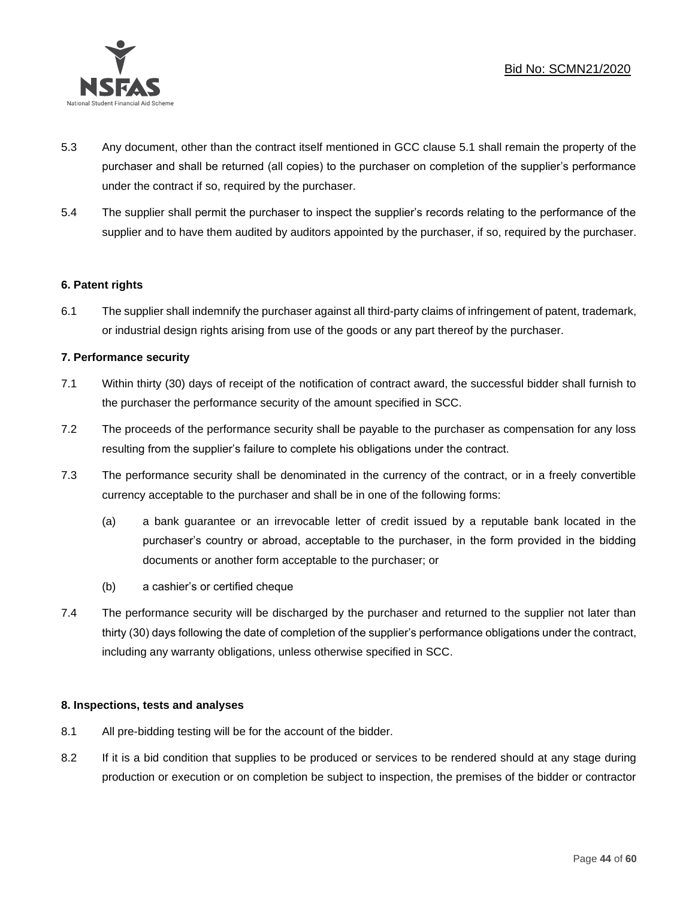

- 5.3 Any document, other than the contract itself mentioned in GCC clause 5.1 shall remain the property of the purchaser and shall be returned (all copies) to the purchaser on completion of the supplier's performance under the contract if so, required by the purchaser.
- 5.4 The supplier shall permit the purchaser to inspect the supplier's records relating to the performance of the supplier and to have them audited by auditors appointed by the purchaser, if so, required by the purchaser.

## **6. Patent rights**

6.1 The supplier shall indemnify the purchaser against all third-party claims of infringement of patent, trademark, or industrial design rights arising from use of the goods or any part thereof by the purchaser.

## **7. Performance security**

- 7.1 Within thirty (30) days of receipt of the notification of contract award, the successful bidder shall furnish to the purchaser the performance security of the amount specified in SCC.
- 7.2 The proceeds of the performance security shall be payable to the purchaser as compensation for any loss resulting from the supplier's failure to complete his obligations under the contract.
- 7.3 The performance security shall be denominated in the currency of the contract, or in a freely convertible currency acceptable to the purchaser and shall be in one of the following forms:
	- (a) a bank guarantee or an irrevocable letter of credit issued by a reputable bank located in the purchaser's country or abroad, acceptable to the purchaser, in the form provided in the bidding documents or another form acceptable to the purchaser; or
	- (b) a cashier's or certified cheque
- 7.4 The performance security will be discharged by the purchaser and returned to the supplier not later than thirty (30) days following the date of completion of the supplier's performance obligations under the contract, including any warranty obligations, unless otherwise specified in SCC.

## **8. Inspections, tests and analyses**

- 8.1 All pre-bidding testing will be for the account of the bidder.
- 8.2 If it is a bid condition that supplies to be produced or services to be rendered should at any stage during production or execution or on completion be subject to inspection, the premises of the bidder or contractor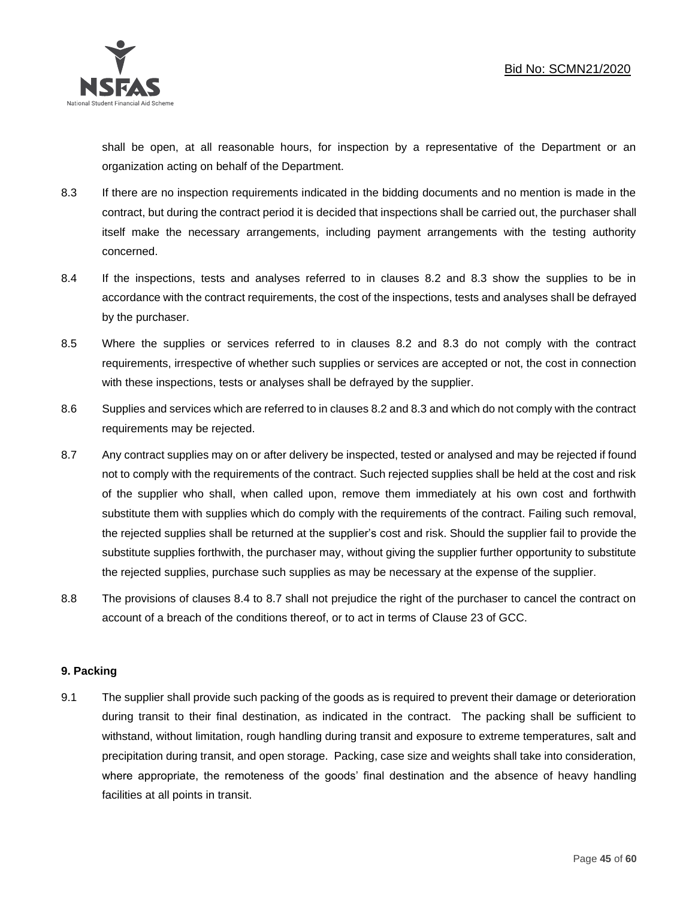

shall be open, at all reasonable hours, for inspection by a representative of the Department or an organization acting on behalf of the Department.

- 8.3 If there are no inspection requirements indicated in the bidding documents and no mention is made in the contract, but during the contract period it is decided that inspections shall be carried out, the purchaser shall itself make the necessary arrangements, including payment arrangements with the testing authority concerned.
- 8.4 If the inspections, tests and analyses referred to in clauses 8.2 and 8.3 show the supplies to be in accordance with the contract requirements, the cost of the inspections, tests and analyses shall be defrayed by the purchaser.
- 8.5 Where the supplies or services referred to in clauses 8.2 and 8.3 do not comply with the contract requirements, irrespective of whether such supplies or services are accepted or not, the cost in connection with these inspections, tests or analyses shall be defrayed by the supplier.
- 8.6 Supplies and services which are referred to in clauses 8.2 and 8.3 and which do not comply with the contract requirements may be rejected.
- 8.7 Any contract supplies may on or after delivery be inspected, tested or analysed and may be rejected if found not to comply with the requirements of the contract. Such rejected supplies shall be held at the cost and risk of the supplier who shall, when called upon, remove them immediately at his own cost and forthwith substitute them with supplies which do comply with the requirements of the contract. Failing such removal, the rejected supplies shall be returned at the supplier's cost and risk. Should the supplier fail to provide the substitute supplies forthwith, the purchaser may, without giving the supplier further opportunity to substitute the rejected supplies, purchase such supplies as may be necessary at the expense of the supplier.
- 8.8 The provisions of clauses 8.4 to 8.7 shall not prejudice the right of the purchaser to cancel the contract on account of a breach of the conditions thereof, or to act in terms of Clause 23 of GCC.

## **9. Packing**

9.1 The supplier shall provide such packing of the goods as is required to prevent their damage or deterioration during transit to their final destination, as indicated in the contract. The packing shall be sufficient to withstand, without limitation, rough handling during transit and exposure to extreme temperatures, salt and precipitation during transit, and open storage. Packing, case size and weights shall take into consideration, where appropriate, the remoteness of the goods' final destination and the absence of heavy handling facilities at all points in transit.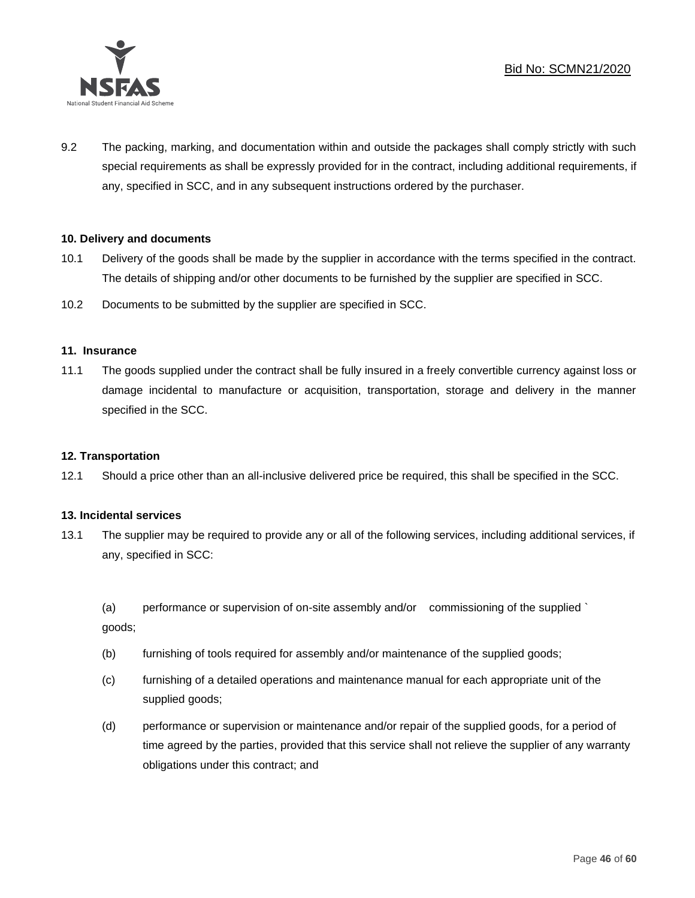

9.2 The packing, marking, and documentation within and outside the packages shall comply strictly with such special requirements as shall be expressly provided for in the contract, including additional requirements, if any, specified in SCC, and in any subsequent instructions ordered by the purchaser.

## **10. Delivery and documents**

- 10.1 Delivery of the goods shall be made by the supplier in accordance with the terms specified in the contract. The details of shipping and/or other documents to be furnished by the supplier are specified in SCC.
- 10.2 Documents to be submitted by the supplier are specified in SCC.

#### **11. Insurance**

11.1 The goods supplied under the contract shall be fully insured in a freely convertible currency against loss or damage incidental to manufacture or acquisition, transportation, storage and delivery in the manner specified in the SCC.

#### **12. Transportation**

12.1 Should a price other than an all-inclusive delivered price be required, this shall be specified in the SCC.

#### **13. Incidental services**

13.1 The supplier may be required to provide any or all of the following services, including additional services, if any, specified in SCC:

(a) performance or supervision of on-site assembly and/or commissioning of the supplied ` goods;

- (b) furnishing of tools required for assembly and/or maintenance of the supplied goods;
- (c) furnishing of a detailed operations and maintenance manual for each appropriate unit of the supplied goods;
- (d) performance or supervision or maintenance and/or repair of the supplied goods, for a period of time agreed by the parties, provided that this service shall not relieve the supplier of any warranty obligations under this contract; and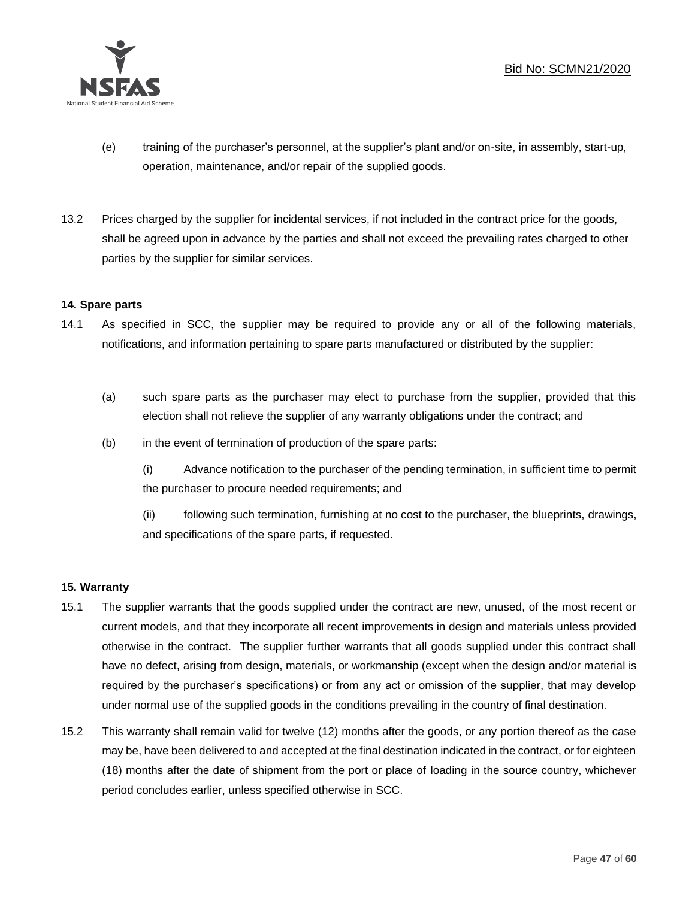

- (e) training of the purchaser's personnel, at the supplier's plant and/or on-site, in assembly, start-up, operation, maintenance, and/or repair of the supplied goods.
- 13.2 Prices charged by the supplier for incidental services, if not included in the contract price for the goods, shall be agreed upon in advance by the parties and shall not exceed the prevailing rates charged to other parties by the supplier for similar services.

## **14. Spare parts**

- 14.1 As specified in SCC, the supplier may be required to provide any or all of the following materials, notifications, and information pertaining to spare parts manufactured or distributed by the supplier:
	- (a) such spare parts as the purchaser may elect to purchase from the supplier, provided that this election shall not relieve the supplier of any warranty obligations under the contract; and
	- (b) in the event of termination of production of the spare parts:

(i) Advance notification to the purchaser of the pending termination, in sufficient time to permit the purchaser to procure needed requirements; and

(ii) following such termination, furnishing at no cost to the purchaser, the blueprints, drawings, and specifications of the spare parts, if requested.

## **15. Warranty**

- 15.1 The supplier warrants that the goods supplied under the contract are new, unused, of the most recent or current models, and that they incorporate all recent improvements in design and materials unless provided otherwise in the contract. The supplier further warrants that all goods supplied under this contract shall have no defect, arising from design, materials, or workmanship (except when the design and/or material is required by the purchaser's specifications) or from any act or omission of the supplier, that may develop under normal use of the supplied goods in the conditions prevailing in the country of final destination.
- 15.2 This warranty shall remain valid for twelve (12) months after the goods, or any portion thereof as the case may be, have been delivered to and accepted at the final destination indicated in the contract, or for eighteen (18) months after the date of shipment from the port or place of loading in the source country, whichever period concludes earlier, unless specified otherwise in SCC.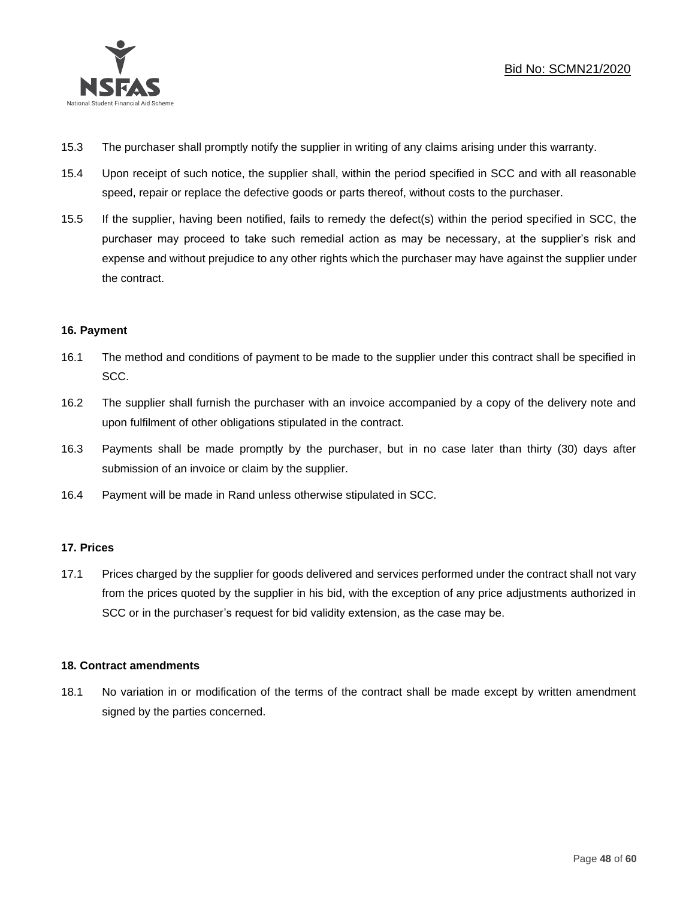

- 15.3 The purchaser shall promptly notify the supplier in writing of any claims arising under this warranty.
- 15.4 Upon receipt of such notice, the supplier shall, within the period specified in SCC and with all reasonable speed, repair or replace the defective goods or parts thereof, without costs to the purchaser.
- 15.5 If the supplier, having been notified, fails to remedy the defect(s) within the period specified in SCC, the purchaser may proceed to take such remedial action as may be necessary, at the supplier's risk and expense and without prejudice to any other rights which the purchaser may have against the supplier under the contract.

## **16. Payment**

- 16.1 The method and conditions of payment to be made to the supplier under this contract shall be specified in SCC.
- 16.2 The supplier shall furnish the purchaser with an invoice accompanied by a copy of the delivery note and upon fulfilment of other obligations stipulated in the contract.
- 16.3 Payments shall be made promptly by the purchaser, but in no case later than thirty (30) days after submission of an invoice or claim by the supplier.
- 16.4 Payment will be made in Rand unless otherwise stipulated in SCC.

## **17. Prices**

17.1 Prices charged by the supplier for goods delivered and services performed under the contract shall not vary from the prices quoted by the supplier in his bid, with the exception of any price adjustments authorized in SCC or in the purchaser's request for bid validity extension, as the case may be.

## **18. Contract amendments**

18.1 No variation in or modification of the terms of the contract shall be made except by written amendment signed by the parties concerned.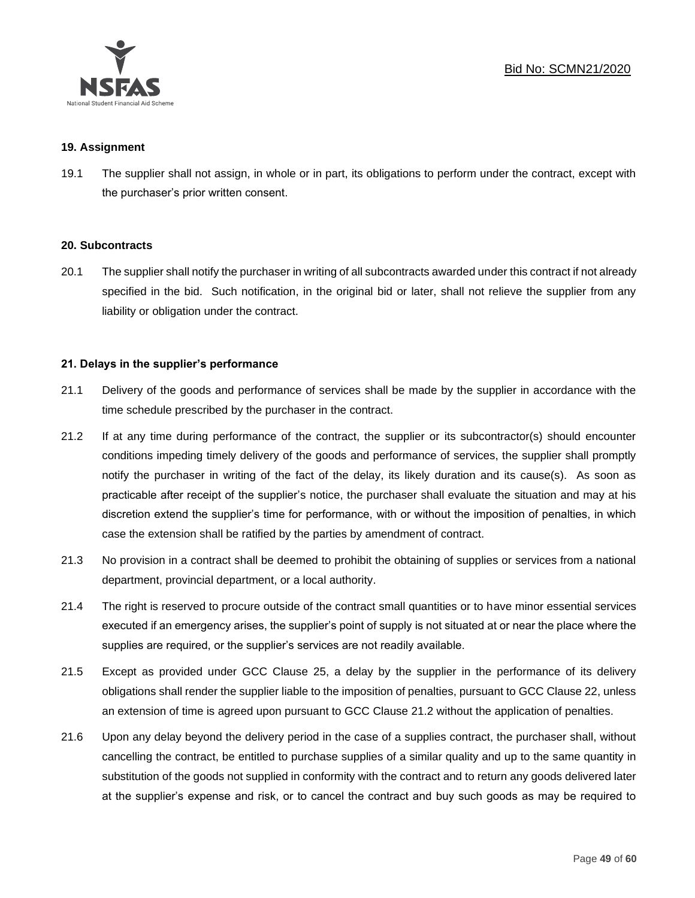

#### **19. Assignment**

19.1 The supplier shall not assign, in whole or in part, its obligations to perform under the contract, except with the purchaser's prior written consent.

#### **20. Subcontracts**

20.1 The supplier shall notify the purchaser in writing of all subcontracts awarded under this contract if not already specified in the bid. Such notification, in the original bid or later, shall not relieve the supplier from any liability or obligation under the contract.

## **21. Delays in the supplier's performance**

- 21.1 Delivery of the goods and performance of services shall be made by the supplier in accordance with the time schedule prescribed by the purchaser in the contract.
- 21.2 If at any time during performance of the contract, the supplier or its subcontractor(s) should encounter conditions impeding timely delivery of the goods and performance of services, the supplier shall promptly notify the purchaser in writing of the fact of the delay, its likely duration and its cause(s). As soon as practicable after receipt of the supplier's notice, the purchaser shall evaluate the situation and may at his discretion extend the supplier's time for performance, with or without the imposition of penalties, in which case the extension shall be ratified by the parties by amendment of contract.
- 21.3 No provision in a contract shall be deemed to prohibit the obtaining of supplies or services from a national department, provincial department, or a local authority.
- 21.4 The right is reserved to procure outside of the contract small quantities or to have minor essential services executed if an emergency arises, the supplier's point of supply is not situated at or near the place where the supplies are required, or the supplier's services are not readily available.
- 21.5 Except as provided under GCC Clause 25, a delay by the supplier in the performance of its delivery obligations shall render the supplier liable to the imposition of penalties, pursuant to GCC Clause 22, unless an extension of time is agreed upon pursuant to GCC Clause 21.2 without the application of penalties.
- 21.6 Upon any delay beyond the delivery period in the case of a supplies contract, the purchaser shall, without cancelling the contract, be entitled to purchase supplies of a similar quality and up to the same quantity in substitution of the goods not supplied in conformity with the contract and to return any goods delivered later at the supplier's expense and risk, or to cancel the contract and buy such goods as may be required to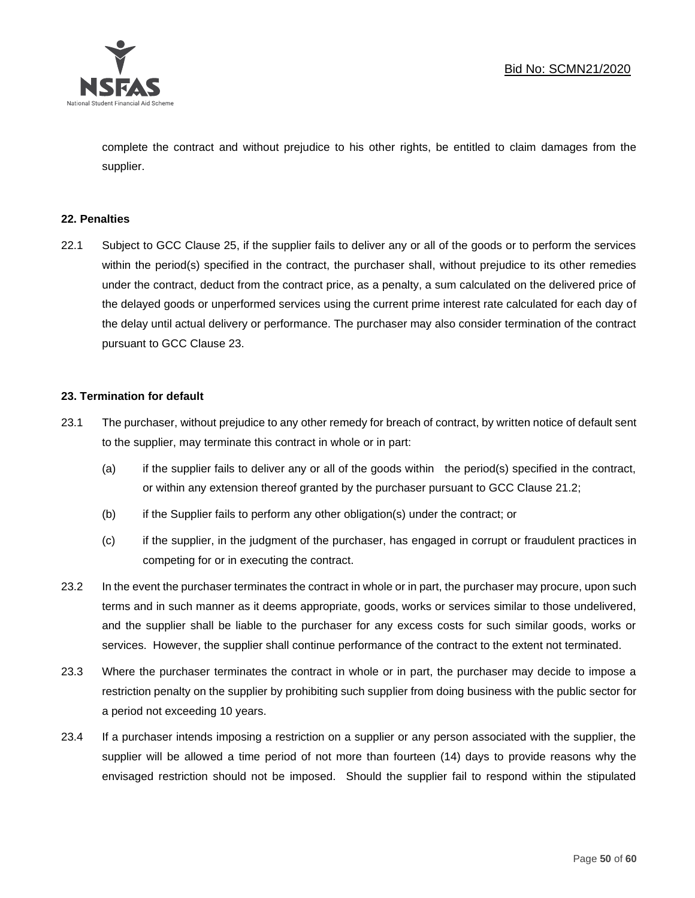

complete the contract and without prejudice to his other rights, be entitled to claim damages from the supplier.

#### **22. Penalties**

22.1 Subject to GCC Clause 25, if the supplier fails to deliver any or all of the goods or to perform the services within the period(s) specified in the contract, the purchaser shall, without prejudice to its other remedies under the contract, deduct from the contract price, as a penalty, a sum calculated on the delivered price of the delayed goods or unperformed services using the current prime interest rate calculated for each day of the delay until actual delivery or performance. The purchaser may also consider termination of the contract pursuant to GCC Clause 23.

#### **23. Termination for default**

- 23.1 The purchaser, without prejudice to any other remedy for breach of contract, by written notice of default sent to the supplier, may terminate this contract in whole or in part:
	- (a) if the supplier fails to deliver any or all of the goods within the period(s) specified in the contract, or within any extension thereof granted by the purchaser pursuant to GCC Clause 21.2;
	- (b) if the Supplier fails to perform any other obligation(s) under the contract; or
	- (c) if the supplier, in the judgment of the purchaser, has engaged in corrupt or fraudulent practices in competing for or in executing the contract.
- 23.2 In the event the purchaser terminates the contract in whole or in part, the purchaser may procure, upon such terms and in such manner as it deems appropriate, goods, works or services similar to those undelivered, and the supplier shall be liable to the purchaser for any excess costs for such similar goods, works or services. However, the supplier shall continue performance of the contract to the extent not terminated.
- 23.3 Where the purchaser terminates the contract in whole or in part, the purchaser may decide to impose a restriction penalty on the supplier by prohibiting such supplier from doing business with the public sector for a period not exceeding 10 years.
- 23.4 If a purchaser intends imposing a restriction on a supplier or any person associated with the supplier, the supplier will be allowed a time period of not more than fourteen (14) days to provide reasons why the envisaged restriction should not be imposed. Should the supplier fail to respond within the stipulated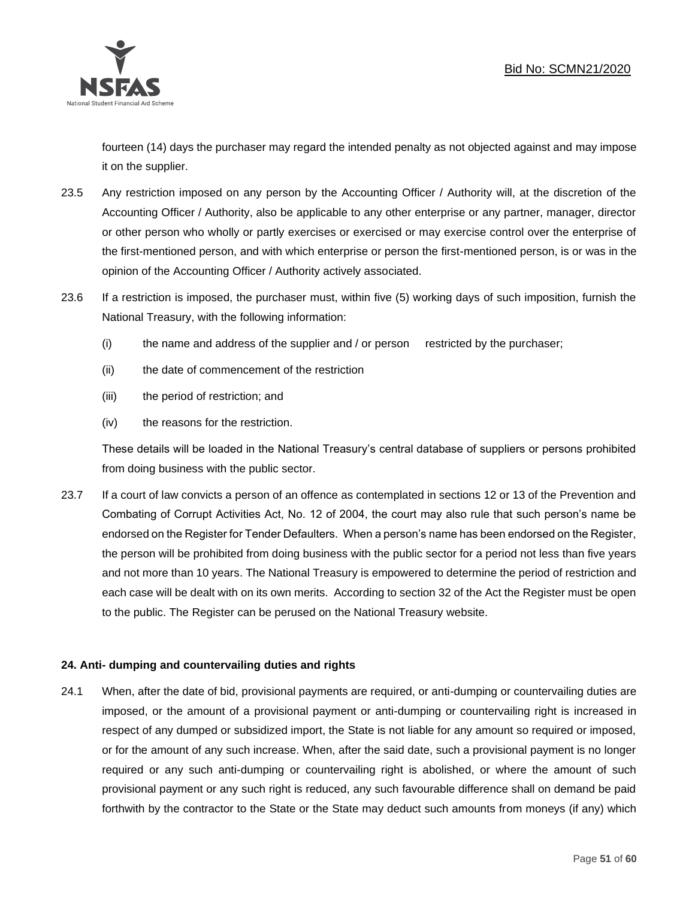

fourteen (14) days the purchaser may regard the intended penalty as not objected against and may impose it on the supplier.

- 23.5 Any restriction imposed on any person by the Accounting Officer / Authority will, at the discretion of the Accounting Officer / Authority, also be applicable to any other enterprise or any partner, manager, director or other person who wholly or partly exercises or exercised or may exercise control over the enterprise of the first-mentioned person, and with which enterprise or person the first-mentioned person, is or was in the opinion of the Accounting Officer / Authority actively associated.
- 23.6 If a restriction is imposed, the purchaser must, within five (5) working days of such imposition, furnish the National Treasury, with the following information:
	- (i) the name and address of the supplier and / or person restricted by the purchaser;
	- (ii) the date of commencement of the restriction
	- (iii) the period of restriction; and
	- (iv) the reasons for the restriction.

These details will be loaded in the National Treasury's central database of suppliers or persons prohibited from doing business with the public sector.

23.7 If a court of law convicts a person of an offence as contemplated in sections 12 or 13 of the Prevention and Combating of Corrupt Activities Act, No. 12 of 2004, the court may also rule that such person's name be endorsed on the Register for Tender Defaulters. When a person's name has been endorsed on the Register, the person will be prohibited from doing business with the public sector for a period not less than five years and not more than 10 years. The National Treasury is empowered to determine the period of restriction and each case will be dealt with on its own merits. According to section 32 of the Act the Register must be open to the public. The Register can be perused on the National Treasury website.

## **24. Anti- dumping and countervailing duties and rights**

24.1 When, after the date of bid, provisional payments are required, or anti-dumping or countervailing duties are imposed, or the amount of a provisional payment or anti-dumping or countervailing right is increased in respect of any dumped or subsidized import, the State is not liable for any amount so required or imposed, or for the amount of any such increase. When, after the said date, such a provisional payment is no longer required or any such anti-dumping or countervailing right is abolished, or where the amount of such provisional payment or any such right is reduced, any such favourable difference shall on demand be paid forthwith by the contractor to the State or the State may deduct such amounts from moneys (if any) which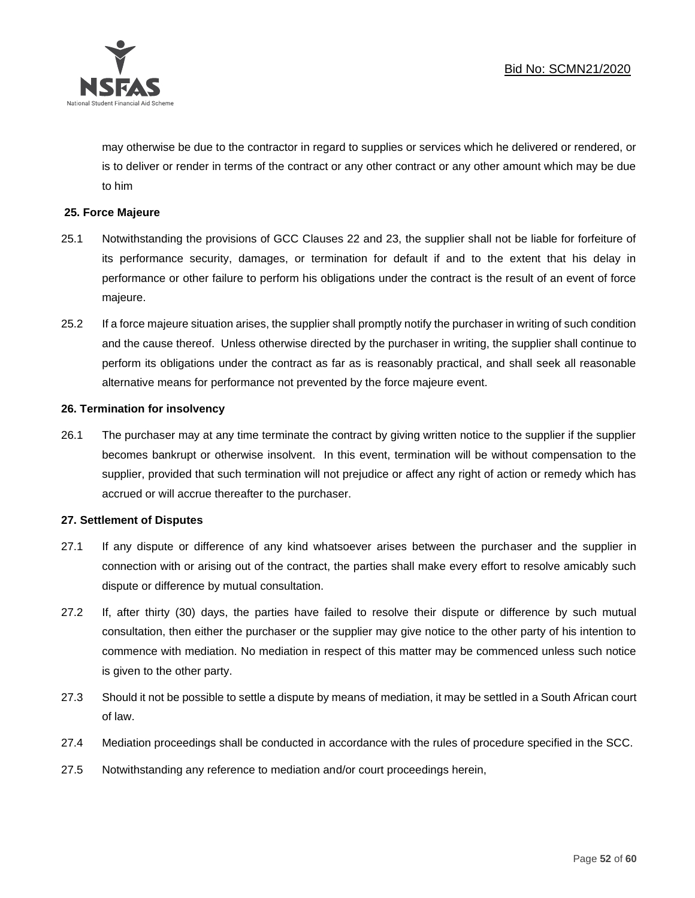

may otherwise be due to the contractor in regard to supplies or services which he delivered or rendered, or is to deliver or render in terms of the contract or any other contract or any other amount which may be due to him

#### **25. Force Majeure**

- 25.1 Notwithstanding the provisions of GCC Clauses 22 and 23, the supplier shall not be liable for forfeiture of its performance security, damages, or termination for default if and to the extent that his delay in performance or other failure to perform his obligations under the contract is the result of an event of force majeure.
- 25.2 If a force majeure situation arises, the supplier shall promptly notify the purchaser in writing of such condition and the cause thereof. Unless otherwise directed by the purchaser in writing, the supplier shall continue to perform its obligations under the contract as far as is reasonably practical, and shall seek all reasonable alternative means for performance not prevented by the force majeure event.

#### **26. Termination for insolvency**

26.1 The purchaser may at any time terminate the contract by giving written notice to the supplier if the supplier becomes bankrupt or otherwise insolvent. In this event, termination will be without compensation to the supplier, provided that such termination will not prejudice or affect any right of action or remedy which has accrued or will accrue thereafter to the purchaser.

#### **27. Settlement of Disputes**

- 27.1 If any dispute or difference of any kind whatsoever arises between the purchaser and the supplier in connection with or arising out of the contract, the parties shall make every effort to resolve amicably such dispute or difference by mutual consultation.
- 27.2 If, after thirty (30) days, the parties have failed to resolve their dispute or difference by such mutual consultation, then either the purchaser or the supplier may give notice to the other party of his intention to commence with mediation. No mediation in respect of this matter may be commenced unless such notice is given to the other party.
- 27.3 Should it not be possible to settle a dispute by means of mediation, it may be settled in a South African court of law.
- 27.4 Mediation proceedings shall be conducted in accordance with the rules of procedure specified in the SCC.
- 27.5 Notwithstanding any reference to mediation and/or court proceedings herein,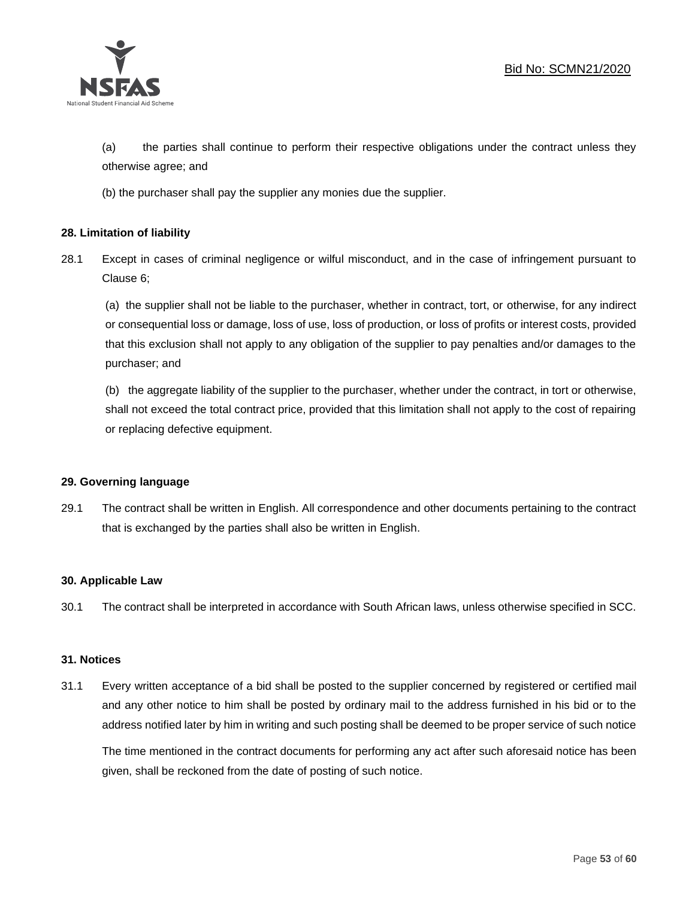

(a) the parties shall continue to perform their respective obligations under the contract unless they otherwise agree; and

(b) the purchaser shall pay the supplier any monies due the supplier.

## **28. Limitation of liability**

28.1 Except in cases of criminal negligence or wilful misconduct, and in the case of infringement pursuant to Clause 6;

(a) the supplier shall not be liable to the purchaser, whether in contract, tort, or otherwise, for any indirect or consequential loss or damage, loss of use, loss of production, or loss of profits or interest costs, provided that this exclusion shall not apply to any obligation of the supplier to pay penalties and/or damages to the purchaser; and

(b) the aggregate liability of the supplier to the purchaser, whether under the contract, in tort or otherwise, shall not exceed the total contract price, provided that this limitation shall not apply to the cost of repairing or replacing defective equipment.

#### **29. Governing language**

29.1 The contract shall be written in English. All correspondence and other documents pertaining to the contract that is exchanged by the parties shall also be written in English.

#### **30. Applicable Law**

30.1 The contract shall be interpreted in accordance with South African laws, unless otherwise specified in SCC.

#### **31. Notices**

31.1 Every written acceptance of a bid shall be posted to the supplier concerned by registered or certified mail and any other notice to him shall be posted by ordinary mail to the address furnished in his bid or to the address notified later by him in writing and such posting shall be deemed to be proper service of such notice

The time mentioned in the contract documents for performing any act after such aforesaid notice has been given, shall be reckoned from the date of posting of such notice.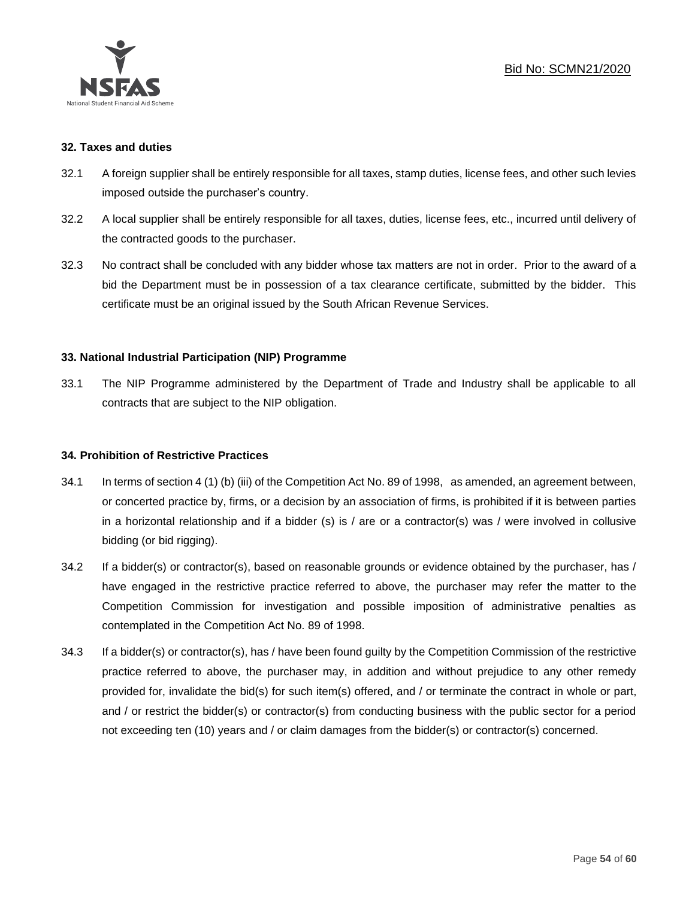

#### **32. Taxes and duties**

- 32.1 A foreign supplier shall be entirely responsible for all taxes, stamp duties, license fees, and other such levies imposed outside the purchaser's country.
- 32.2 A local supplier shall be entirely responsible for all taxes, duties, license fees, etc., incurred until delivery of the contracted goods to the purchaser.
- 32.3 No contract shall be concluded with any bidder whose tax matters are not in order. Prior to the award of a bid the Department must be in possession of a tax clearance certificate, submitted by the bidder. This certificate must be an original issued by the South African Revenue Services.

#### **33. National Industrial Participation (NIP) Programme**

33.1 The NIP Programme administered by the Department of Trade and Industry shall be applicable to all contracts that are subject to the NIP obligation.

#### **34. Prohibition of Restrictive Practices**

- 34.1 In terms of section 4 (1) (b) (iii) of the Competition Act No. 89 of 1998, as amended, an agreement between, or concerted practice by, firms, or a decision by an association of firms, is prohibited if it is between parties in a horizontal relationship and if a bidder (s) is / are or a contractor(s) was / were involved in collusive bidding (or bid rigging).
- 34.2 If a bidder(s) or contractor(s), based on reasonable grounds or evidence obtained by the purchaser, has / have engaged in the restrictive practice referred to above, the purchaser may refer the matter to the Competition Commission for investigation and possible imposition of administrative penalties as contemplated in the Competition Act No. 89 of 1998.
- 34.3 If a bidder(s) or contractor(s), has / have been found guilty by the Competition Commission of the restrictive practice referred to above, the purchaser may, in addition and without prejudice to any other remedy provided for, invalidate the bid(s) for such item(s) offered, and / or terminate the contract in whole or part, and / or restrict the bidder(s) or contractor(s) from conducting business with the public sector for a period not exceeding ten (10) years and / or claim damages from the bidder(s) or contractor(s) concerned.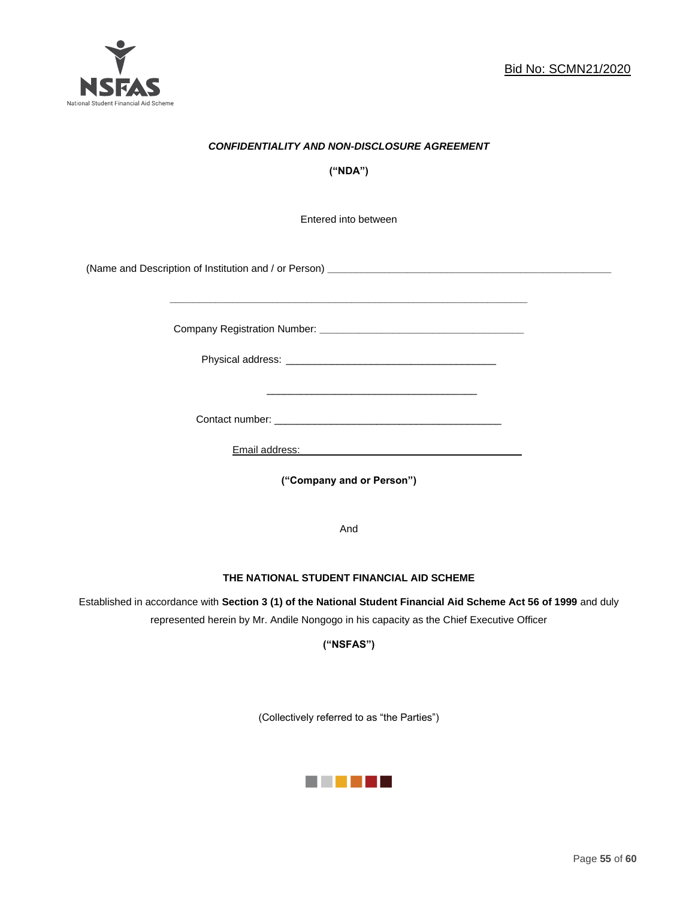

## *CONFIDENTIALITY AND NON-DISCLOSURE AGREEMENT*

**("NDA")**

Entered into between

(Name and Description of Institution and / or Person) **\_\_\_\_\_\_\_\_\_\_\_\_\_\_\_\_\_\_\_\_\_\_\_\_\_\_\_\_\_\_\_\_\_\_\_\_\_\_\_\_\_\_\_\_\_\_\_\_\_\_**

Company Registration Number: **\_\_\_\_\_\_\_\_\_\_\_\_\_\_\_\_\_\_\_\_\_\_\_\_\_\_\_\_\_\_\_\_\_\_\_\_**

 $\frac{1}{\sqrt{2}}$  ,  $\frac{1}{\sqrt{2}}$  ,  $\frac{1}{\sqrt{2}}$  ,  $\frac{1}{\sqrt{2}}$  ,  $\frac{1}{\sqrt{2}}$  ,  $\frac{1}{\sqrt{2}}$  ,  $\frac{1}{\sqrt{2}}$  ,  $\frac{1}{\sqrt{2}}$  ,  $\frac{1}{\sqrt{2}}$  ,  $\frac{1}{\sqrt{2}}$  ,  $\frac{1}{\sqrt{2}}$  ,  $\frac{1}{\sqrt{2}}$  ,  $\frac{1}{\sqrt{2}}$  ,  $\frac{1}{\sqrt{2}}$  ,  $\frac{1}{\sqrt{2}}$ 

Physical address: \_\_\_\_\_\_\_\_\_\_\_\_\_\_\_\_\_\_\_\_\_\_\_\_\_\_\_\_\_\_\_\_\_\_\_\_\_

**\_\_\_\_\_\_\_\_\_\_\_\_\_\_\_\_\_\_\_\_\_\_\_\_\_\_\_\_\_\_\_\_\_\_\_\_\_\_\_\_\_\_\_\_\_\_\_\_\_\_\_\_\_\_\_\_\_\_\_\_\_\_\_**

Contact number: \_\_\_\_\_\_\_\_\_\_\_\_\_\_\_\_\_\_\_\_\_\_\_\_\_\_\_\_\_\_\_\_\_\_\_\_\_\_\_\_

Email address: \_\_\_\_\_\_\_\_\_\_\_\_\_\_\_\_\_\_\_\_\_\_\_\_\_\_\_\_\_\_\_\_\_\_\_\_\_

**("Company and or Person")**

And

#### **THE NATIONAL STUDENT FINANCIAL AID SCHEME**

Established in accordance with **Section 3 (1) of the National Student Financial Aid Scheme Act 56 of 1999** and duly represented herein by Mr. Andile Nongogo in his capacity as the Chief Executive Officer

**("NSFAS")**

(Collectively referred to as "the Parties")

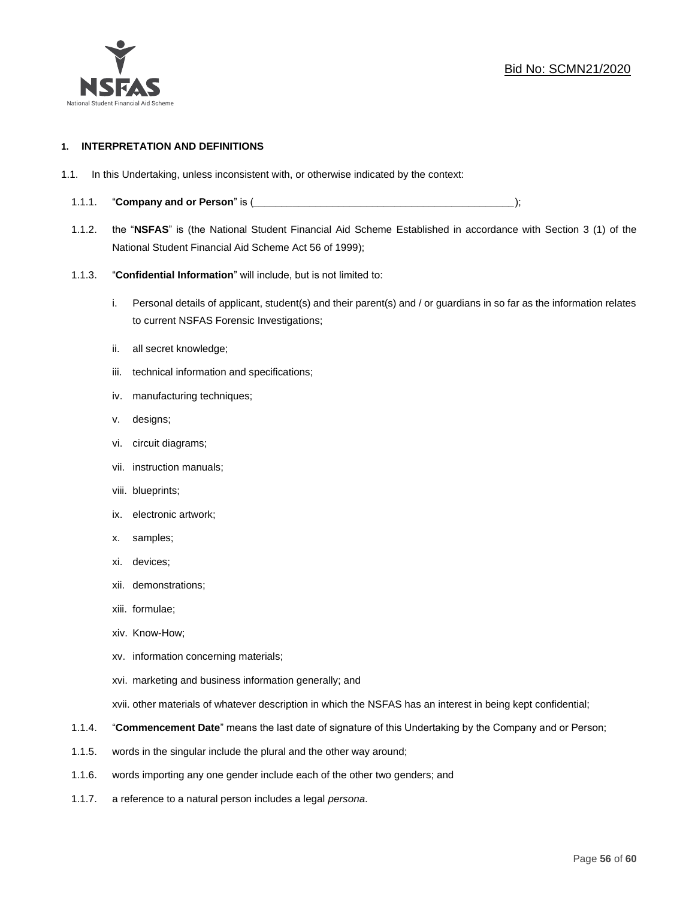

#### **1. INTERPRETATION AND DEFINITIONS**

- 1.1. In this Undertaking, unless inconsistent with, or otherwise indicated by the context:
	- 1.1.1. "**Company and or Person**" is (*\_\_\_\_\_\_\_\_\_\_\_\_\_\_\_\_\_\_\_\_\_\_\_\_\_\_\_\_\_\_\_\_\_\_\_\_\_\_\_\_\_\_\_\_\_\_*);
	- 1.1.2. the "**NSFAS**" is (the National Student Financial Aid Scheme Established in accordance with Section 3 (1) of the National Student Financial Aid Scheme Act 56 of 1999);
	- 1.1.3. "**Confidential Information**" will include, but is not limited to:
		- i. Personal details of applicant, student(s) and their parent(s) and / or guardians in so far as the information relates to current NSFAS Forensic Investigations;
		- ii. all secret knowledge;
		- iii. technical information and specifications;
		- iv. manufacturing techniques;
		- v. designs;
		- vi. circuit diagrams;
		- vii. instruction manuals;
		- viii. blueprints;
		- ix. electronic artwork;
		- x. samples;
		- xi. devices;
		- xii. demonstrations;
		- xiii. formulae;
		- xiv. Know-How;
		- xv. information concerning materials;
		- xvi. marketing and business information generally; and
		- xvii. other materials of whatever description in which the NSFAS has an interest in being kept confidential;
	- 1.1.4. "**Commencement Date**" means the last date of signature of this Undertaking by the Company and or Person;
	- 1.1.5. words in the singular include the plural and the other way around;
	- 1.1.6. words importing any one gender include each of the other two genders; and
	- 1.1.7. a reference to a natural person includes a legal *persona*.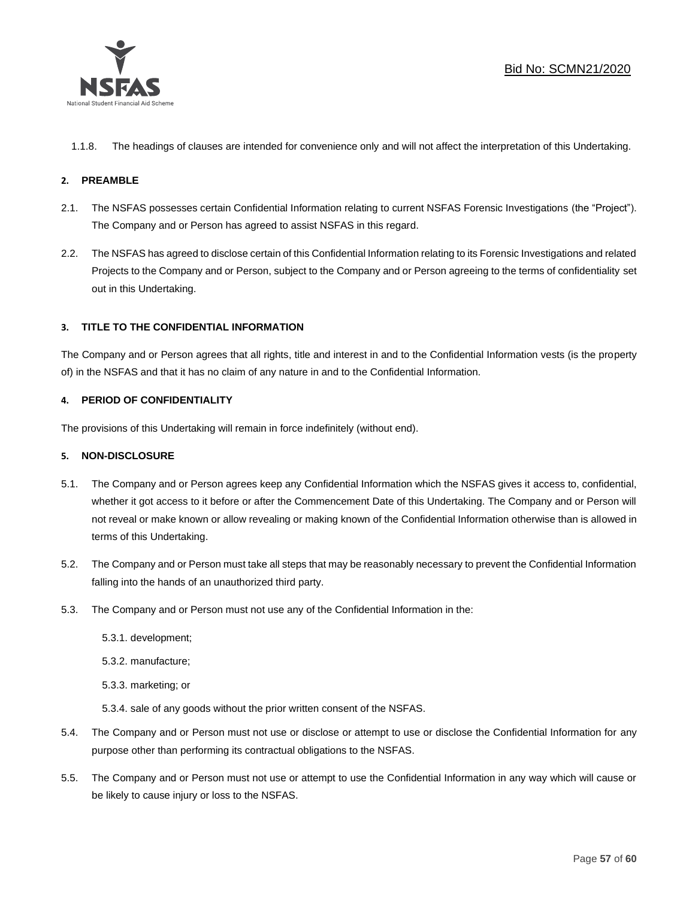

1.1.8. The headings of clauses are intended for convenience only and will not affect the interpretation of this Undertaking.

#### **2. PREAMBLE**

- 2.1. The NSFAS possesses certain Confidential Information relating to current NSFAS Forensic Investigations (the "Project"). The Company and or Person has agreed to assist NSFAS in this regard.
- 2.2. The NSFAS has agreed to disclose certain of this Confidential Information relating to its Forensic Investigations and related Projects to the Company and or Person, subject to the Company and or Person agreeing to the terms of confidentiality set out in this Undertaking.

#### **3. TITLE TO THE CONFIDENTIAL INFORMATION**

The Company and or Person agrees that all rights, title and interest in and to the Confidential Information vests (is the property of) in the NSFAS and that it has no claim of any nature in and to the Confidential Information.

#### **4. PERIOD OF CONFIDENTIALITY**

The provisions of this Undertaking will remain in force indefinitely (without end).

#### **5. NON-DISCLOSURE**

- 5.1. The Company and or Person agrees keep any Confidential Information which the NSFAS gives it access to, confidential, whether it got access to it before or after the Commencement Date of this Undertaking. The Company and or Person will not reveal or make known or allow revealing or making known of the Confidential Information otherwise than is allowed in terms of this Undertaking.
- 5.2. The Company and or Person must take all steps that may be reasonably necessary to prevent the Confidential Information falling into the hands of an unauthorized third party.
- 5.3. The Company and or Person must not use any of the Confidential Information in the:
	- 5.3.1. development;
	- 5.3.2. manufacture;
	- 5.3.3. marketing; or
	- 5.3.4. sale of any goods without the prior written consent of the NSFAS.
- 5.4. The Company and or Person must not use or disclose or attempt to use or disclose the Confidential Information for any purpose other than performing its contractual obligations to the NSFAS.
- 5.5. The Company and or Person must not use or attempt to use the Confidential Information in any way which will cause or be likely to cause injury or loss to the NSFAS.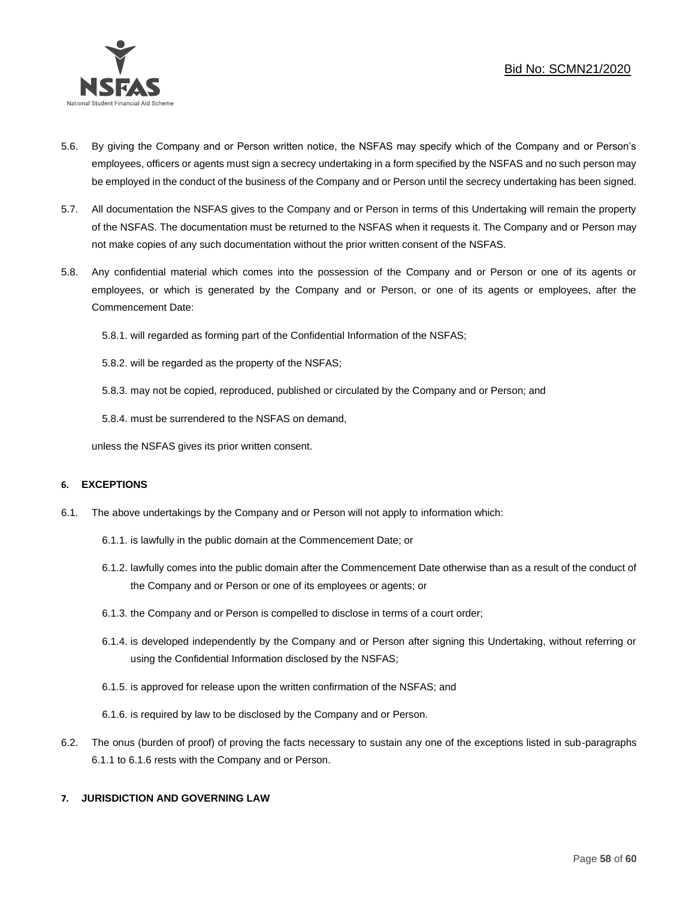

- 5.6. By giving the Company and or Person written notice, the NSFAS may specify which of the Company and or Person's employees, officers or agents must sign a secrecy undertaking in a form specified by the NSFAS and no such person may be employed in the conduct of the business of the Company and or Person until the secrecy undertaking has been signed.
- 5.7. All documentation the NSFAS gives to the Company and or Person in terms of this Undertaking will remain the property of the NSFAS. The documentation must be returned to the NSFAS when it requests it. The Company and or Person may not make copies of any such documentation without the prior written consent of the NSFAS.
- 5.8. Any confidential material which comes into the possession of the Company and or Person or one of its agents or employees, or which is generated by the Company and or Person, or one of its agents or employees, after the Commencement Date:

5.8.1. will regarded as forming part of the Confidential Information of the NSFAS;

5.8.2. will be regarded as the property of the NSFAS;

5.8.3. may not be copied, reproduced, published or circulated by the Company and or Person; and

5.8.4. must be surrendered to the NSFAS on demand,

unless the NSFAS gives its prior written consent.

#### **6. EXCEPTIONS**

- 6.1. The above undertakings by the Company and or Person will not apply to information which:
	- 6.1.1. is lawfully in the public domain at the Commencement Date; or
	- 6.1.2. lawfully comes into the public domain after the Commencement Date otherwise than as a result of the conduct of the Company and or Person or one of its employees or agents; or
	- 6.1.3. the Company and or Person is compelled to disclose in terms of a court order;
	- 6.1.4. is developed independently by the Company and or Person after signing this Undertaking, without referring or using the Confidential Information disclosed by the NSFAS;
	- 6.1.5. is approved for release upon the written confirmation of the NSFAS; and
	- 6.1.6. is required by law to be disclosed by the Company and or Person.
- 6.2. The onus (burden of proof) of proving the facts necessary to sustain any one of the exceptions listed in sub-paragraphs 6.1.1 to 6.1.6 rests with the Company and or Person.

#### **7. JURISDICTION AND GOVERNING LAW**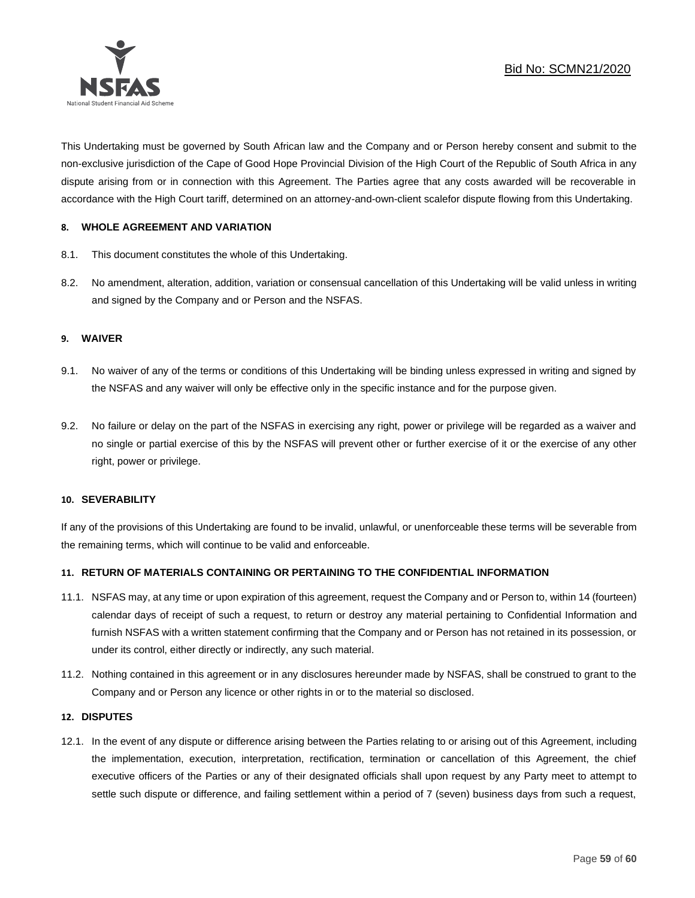

This Undertaking must be governed by South African law and the Company and or Person hereby consent and submit to the non-exclusive jurisdiction of the Cape of Good Hope Provincial Division of the High Court of the Republic of South Africa in any dispute arising from or in connection with this Agreement. The Parties agree that any costs awarded will be recoverable in accordance with the High Court tariff, determined on an attorney-and-own-client scalefor dispute flowing from this Undertaking.

#### **8. WHOLE AGREEMENT AND VARIATION**

- 8.1. This document constitutes the whole of this Undertaking.
- 8.2. No amendment, alteration, addition, variation or consensual cancellation of this Undertaking will be valid unless in writing and signed by the Company and or Person and the NSFAS.

#### **9. WAIVER**

- 9.1. No waiver of any of the terms or conditions of this Undertaking will be binding unless expressed in writing and signed by the NSFAS and any waiver will only be effective only in the specific instance and for the purpose given.
- 9.2. No failure or delay on the part of the NSFAS in exercising any right, power or privilege will be regarded as a waiver and no single or partial exercise of this by the NSFAS will prevent other or further exercise of it or the exercise of any other right, power or privilege.

#### **10. SEVERABILITY**

If any of the provisions of this Undertaking are found to be invalid, unlawful, or unenforceable these terms will be severable from the remaining terms, which will continue to be valid and enforceable.

#### **11. RETURN OF MATERIALS CONTAINING OR PERTAINING TO THE CONFIDENTIAL INFORMATION**

- 11.1. NSFAS may, at any time or upon expiration of this agreement, request the Company and or Person to, within 14 (fourteen) calendar days of receipt of such a request, to return or destroy any material pertaining to Confidential Information and furnish NSFAS with a written statement confirming that the Company and or Person has not retained in its possession, or under its control, either directly or indirectly, any such material.
- 11.2. Nothing contained in this agreement or in any disclosures hereunder made by NSFAS, shall be construed to grant to the Company and or Person any licence or other rights in or to the material so disclosed.

#### **12. DISPUTES**

12.1. In the event of any dispute or difference arising between the Parties relating to or arising out of this Agreement, including the implementation, execution, interpretation, rectification, termination or cancellation of this Agreement, the chief executive officers of the Parties or any of their designated officials shall upon request by any Party meet to attempt to settle such dispute or difference, and failing settlement within a period of 7 (seven) business days from such a request,